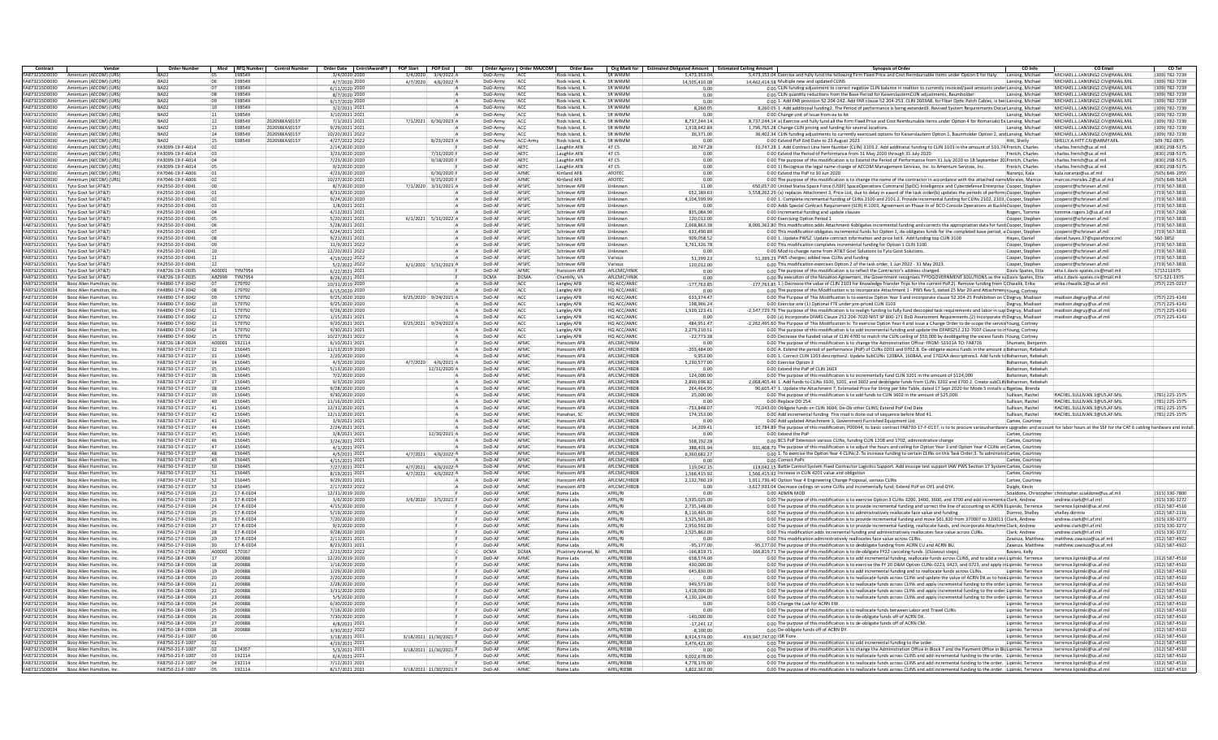| Contract                       | Vendo                                                  | <b>Order Number</b>                  |                 | Mod RFO Number         |               |                                 | Control Number   Order Date   CntrctAwardFY   POP Start   POP End   OSI   Order Agency   Order MAJCOM |                  |              | Order Base               |                            | Org Mark for Estimated Obligated Amount Estimated Ceiling Amount |                          | <b>Synopsis of Order</b>                                                                                                                                                                                            | CO Info                                  | <b>CO Email</b>                                          | CO Tel                           |
|--------------------------------|--------------------------------------------------------|--------------------------------------|-----------------|------------------------|---------------|---------------------------------|-------------------------------------------------------------------------------------------------------|------------------|--------------|--------------------------|----------------------------|------------------------------------------------------------------|--------------------------|---------------------------------------------------------------------------------------------------------------------------------------------------------------------------------------------------------------------|------------------------------------------|----------------------------------------------------------|----------------------------------|
| A873215D0030                   | Amentum (AECOM) (URS                                   | <b>RAO</b>                           |                 | 198549                 |               | 3/4/2020 2020                   | 3/4/2020<br>3/4/20224                                                                                 | DoD-Army         | <b>ACC</b>   | Rock Island, II          | <b>SR W4MM</b>             | 5.473.353.04                                                     |                          | 5,473,353.04 Exercise and fully fund the following Firm Fixed Price and Cost Reimbursable items under Option 6 for Italy:                                                                                           | Lansing, Michael                         | MICHAEL LIANSING2.CIV@MAIL.MII                           | (309) 782-7239                   |
| FA873215D0030                  | Amentum (AFCOM) (URS                                   | BA02                                 | 06              | 198549                 |               | 4/7/2020 2020                   | 4/7/2020 4/6/2022 /                                                                                   | DoD-Army         | ACC          | Rock Island, II          | <b>SR W4MM</b>             | 14,505,410.08                                                    |                          | 14,462,414.58 Multiple new and updated CLINS                                                                                                                                                                        | Lansing, Michael                         | MICHAEL LIANSING2 CIV@MAIL MIL                           | (309) 782-7239                   |
| A873215D0030                   | Amentum (AECOM) (URS                                   | BA02                                 |                 | 198549                 |               | 6/11/2020 2020                  |                                                                                                       | DoD-Army         | ACC          | Rock Island, I           | SR W4MM                    | 0.00                                                             |                          | 0.00 CLIN funding adjustment to correct negative CLIN balance in realtion to currently invoiced/paid amounts under Lansing, Michael                                                                                 |                                          | MICHAEL.L.LANSING2.CIV@MAIL.MII                          | (309) 782-7239                   |
| FA873215D0030                  | Amentum (AECOM) (URS                                   | BA02                                 | 08              | 198549                 |               | 8/7/2020 2020                   |                                                                                                       | DoD-Army         | ACC          | Rock Island, IL          | SR W4MM                    | 0.00                                                             |                          | 0.00 CLIN quantity reductions from the Base Period for KaiserslauternCLIN adjustments, Baumholder                                                                                                                   | Lansing, Michael                         | MICHAEL.L.LANSING2.CIV@MAIL.MIL                          | (309) 782-7239                   |
| FA873215D0030                  | Amentum (AECOM) (URS                                   | BA02                                 | 09              | 198549                 |               | 9/17/2020 2020                  |                                                                                                       | DoD-Army         | ACC          | Rock Island, IL          | SR W4MM                    | 0.00                                                             |                          | 0.00 1. Add FAR provision 52.204-242. Add FAR clause 52.204-253. CLIN 2603AB, for Fiber Optic Patch Cables, is beir Lansing, Michael                                                                                |                                          | MICHAEL.L.LANSING2.CIV@MAIL.MIL                          | (309) 782-7239                   |
| FA873215D0030                  | Amentum (AFCOM) (URS                                   | BA02                                 | 10              | 198549                 |               | 3/2/2021 2021                   |                                                                                                       | DoD-Army         | ACC          | Rock Island, II          | <b>SR W4MM</b>             | 8.260.05                                                         |                          | 8,260.05 1. Add additional funding2. The Period of performance is being extended3. Revised System Requirements Docur Lansing, Michael                                                                               |                                          | MICHAEL LIANSING2 CIV@MAIL.MIL                           | (309) 782-7239                   |
| FA873215D0030                  | Amentum (AECOM) (LIRS                                  | BA02                                 | 11              | 198549                 |               | 3/10/2021 2021                  |                                                                                                       | DoD-Army         | ACC          | Rock Island, I           | <b>SR W4MM</b>             | 0.00                                                             |                          | 0.00 Change unit of issue from ea to lot                                                                                                                                                                            | Lansing, Michael                         | MICHAEL.L.LANSING2.CIV@MAIL.MIL                          | (309) 782-7239                   |
| A873215D0030                   | Amentum (AECOM) (URS                                   | BA02                                 | 12              | 198549                 | 2020SBEAS0153 | 7/1/2021 202:                   | 7/1/2021 6/30/2023 A                                                                                  | DoD-Army         | ACC          | Rock Island, I           | SR W4MM                    | 8.737.244.14                                                     |                          | 8,737,244.14 a) Exercise and fully fund all the Firm Fixed Price and Cost Reimbursable items under Option 4 for Romaniab) Ex Lansing, Michael                                                                       |                                          | MICHAEL.L.LANSING2.CIV@MAIL.MIL                          | (309) 782-7239                   |
| FA873215D0030                  | Amentum (AECOM) (URS                                   | BA02                                 | 13              | 198549                 | 2020SBEAS0153 | 9/29/2021 2021                  |                                                                                                       | DoD-Army         | ACC          | Rock Island, IL          | SR W4MM                    | 1,918,642.84                                                     |                          | 1,796,765.28 Change CLIN pricing and funding for several locations.                                                                                                                                                 | Lansing, Michael                         | MICHAEL.L.LANSING2.CIV@MAIL.MIL                          | (309) 782-7239                   |
| FA873215D0030                  | Amentum (AFCOM) (URS                                   | BA02                                 | 14              | 198549                 | 2020SBFAS0153 | 10/20/2021 2022                 |                                                                                                       | DoD-Army         | ACC          | Rock Island, II          | <b>SR W4MM</b>             | 36.371.00                                                        |                          | 36,402.34 CLIN funding adjustments to currently exercised options for Kaiserslautern Option 1, Baumholder Option 2, and Lansing, Michael                                                                            |                                          | MICHAEL LIANSING2 CIV@MAIL.MIL                           | (309) 782-7239                   |
| FA873215D0030                  | Amentum (AFCOM) (URS                                   | BA02                                 |                 | 198549                 | 2020SBEAS0157 | 4/27/2022 2022                  | 8/23/2023                                                                                             | DoD-Army         | ACC-Army     | Rock Island, I           | <b>SR W4MM</b>             | 0.00                                                             |                          | 0.00 Extend PoP End Date to 23 August 2023                                                                                                                                                                          | Hitt, Shelly                             | SHELLY A HITT CIV@ARMY MIL                               | 309-782-0875                     |
| FA873215D0030                  | Amentum (AECOM) (URS)                                  | FA3099-19-F-A014                     | ln2             |                        |               | 2/14/2020 2020                  |                                                                                                       | DoD-AF           | AETC         | aughlin AFB              | 47 CS                      | 10,747.28                                                        |                          | 10,747.28 1. Add Contract Line Item Number (CLIN) 3103.2. Add additional funding to CLIN 3103 in the amount of \$10,74 Frerich, Charles                                                                             |                                          | charles.frerich@us.af.mil                                | (830) 298-5175                   |
| FA873215D0030                  | Amentum (AECOM) (URS                                   | FA3099-19-F-A014                     |                 |                        |               | 3/23/2020 2020                  | 7/31/2020                                                                                             | DoD-AR           | AETC         | Laughlin AFB             | 47 CS                      | 0.00                                                             |                          | 0.00 Extend the Period of Performance from 31 May 2020 through 31 July 2020                                                                                                                                         | Frerich, Charles                         | charles.frerich@us.af.m                                  | (830) 298-5175                   |
| FA873215D0030                  | Amentum (AECOM) (URS)                                  | FA3099-19-F-A014                     |                 |                        |               | 7/23/2020 2020                  | 9/18/2020 F                                                                                           | DoD-AF           | AETC         | Laughlin AFB             | 47 CS                      | 0.00                                                             |                          | 0.00 The purpose of this modification is to Extend the Period of Performance from 31 July 2020 to 18 September 20 Frerich, Charles                                                                                  |                                          | charles.frerich@us.af.mi                                 | (830) 298-5175                   |
| FA873215D0030                  | Amentum (AFCOM) (URS                                   | FA3099-19-F-A014                     |                 |                        |               | 9/2/2020 2020                   |                                                                                                       | DoD-AF           | AFTO         | Laughlin AFB             | 47.05                      | 0.00                                                             |                          | 0.00 1) Recognize the legal name change of AECOM Management Services, Inc. to Amentum Services, Inc.                                                                                                                | Frerich, Charles                         | charles.frerich@us.af.mi                                 | (830) 298-5175                   |
| FA873215D0030                  | Amentum (AFCOM) (URS                                   | FA7046-19-F-A006                     |                 |                        |               | 4/23/2020 2020                  | $6/30/2020$ F                                                                                         | DoD-AF           | AFMO         | Kirtland AFR             | AFOTEC                     | 0.00                                                             |                          | 0.00 Extend the PoP to 30 Jun 2020                                                                                                                                                                                  | Naranjo, Kala                            | kala.naranjo@us.af.mil                                   | (505) 846-1955                   |
| FA873215D0030                  | Amentum (AECOM) (URS                                   | FA7046-19-F-A006                     |                 |                        |               | 10/27/2020 2021                 | 9/15/2020 F                                                                                           | DoD-AF           | AFMO         | Kirtland AFB             | AFOTEC                     | 0.00                                                             |                          | 0.00 The purpose of this modification is to change the name of the contractor in accordance with the attached nam(Morales, Marcos                                                                                   |                                          | marcos.morales.2@us.af.m                                 | (505) 846-5624                   |
| FA873215D0031                  | Tyto Govt Sol (AT&T                                    | FA2550-20-F-0041                     |                 |                        |               | 8/7/2020 2020                   | 7/1/2020 3/31/2021 A                                                                                  | DoD-AF           | AFSPC        | Schriever AFE            | Unknown                    | 11.00                                                            |                          | 650,057.00 United States Space Force (USSF) SpaceOperations Command (SpOC) Intelligence and Cyberdefense Enterprise Cooper, Stephen                                                                                 |                                          | coopersr@schriever.af.mi                                 | (719) 567-3831                   |
| FA873215D0031                  | Tyto Govt Sol (AT&T                                    | FA2550-20-F-0041                     |                 |                        |               | 8/31/2020 2020                  |                                                                                                       | DoD-AF           | AFSPC        | Schriever AFB            | Unknown                    | 652.189.63                                                       |                          | 5.558.262.29 (a) replaces Attachment 3. Price List, due to delay in award of the task order(b) updates the periods of perform. Cooper, Stephen                                                                      |                                          | coopersr@schriever.af.mi                                 | (719) 567-3831                   |
| FA873215D0031                  | Tyto Govt Sol (AT&T                                    | FA2550-20-F-0041                     |                 |                        |               | 9/24/2020 2020                  |                                                                                                       | DoD-AF           | AFSPC        | Schriever AFB            | Unknown                    | 4,104,599.99                                                     |                          | 0.00 1. Complete incremental funding of CLINs 2100 and 2101.2. Provide incremental funding for CLINs 2102, 2103, Cooper, Stephen                                                                                    |                                          | coopersr@schriever.af.mil                                | (719) 567-3831                   |
| FA873215D0031                  | Tyto Goyt Sol (AT&T                                    | FA2550-20-F-0041                     |                 |                        |               | 1/8/2021 202:                   |                                                                                                       | DoD-AF           | AFSPC        | Schriever AFE            | Unknown                    | 0.00                                                             |                          | 0.00 Adds Special Contract Requirement (SCR) H.1003, Agreement on Phase-In of DCO Console Operations at Buckle Cooper, Stephen                                                                                      |                                          | oopersr@schriever.af.mi                                  | (719) 567-3831                   |
| FA873215D0031                  | Tyto Govt Sol (AT&T                                    | FA2550-20-F-0041                     |                 |                        |               | 4/12/2021 2021                  |                                                                                                       | DoD-AF           | AFSPO        | Schriever AFE            | Unknown                    | 835.084.90                                                       |                          | 0.00 Incremental funding and update clauses                                                                                                                                                                         | Rogers, Tommie                           | tommie.rogers.1@us.af.mil                                | (719) 567-2306                   |
| FA873215D0031                  | Tyto Goyt Sol (AT&T                                    | FA2550-20-F-0041                     |                 |                        |               | 5/20/2021 202:                  | 6/1/2021 5/31/2022 A                                                                                  | DoD-AF           | AFSPC        | Schriever AFE            | Unknown                    | 120.012.00                                                       |                          | 0.00 Exercising Option Period 1                                                                                                                                                                                     | Cooper, Stephen                          | coopersr@schriever.af.mil                                | (719) 567-3831                   |
| FA873215D0031                  | Tyto Govt Sol (AT&T                                    | FA2550-20-F-0041                     |                 |                        |               | 5/28/2021 2021                  |                                                                                                       | DoD-AF           | AFSPC        | Schriever AFB            | Unknown                    | 2.668.863.38                                                     |                          | 8.006.362.80 This modification adds Attachment 4obligates incremental funding and corrects the appropriation data for fund Cooper. Stephen                                                                          |                                          | coopersr@schriever.af.mil                                | (719) 567-3831                   |
| FA873215D0031                  | Tyto Goyt Sol (AT&T                                    | FA2550-20-F-0041                     |                 |                        |               | 6/24/2021 202:                  |                                                                                                       | DoD-AF           | AFSPC        | Schriever AFB            | Unknown                    | 633.490.89                                                       |                          | 0.00 This modification obligates incremental funds for Option 1; de-obligates funds for the completed base period; a Cooper, Stephen                                                                                |                                          | coopersr@schriever.af.mi                                 | (719) 567-3831                   |
| FA873215D003:                  | Tyto Goyt Sol (AT&T                                    | FA2550-20-F-0041                     |                 |                        |               | 9/21/2021 202:                  |                                                                                                       | DoD-AF           | AFSPC        | Schriever AFE            | Unknown                    | 909.058.52                                                       |                          | 0.00 1. Update PWS2. Update contract information and price list3. Add funding top CLIN 3100                                                                                                                         | Hayes, Daniel                            | daniel.hayes.37@spaceforce.m                             | 560-3852                         |
| FA873215D0031                  | Tyto Goyt Sol (AT&T                                    | FA2550-20-F-0041                     |                 |                        |               | 11/9/2021 2022                  |                                                                                                       | DoD-AR           | AFSPO        | Schriever AFE            | Unknown                    | 3,761,326.78                                                     |                          | 0.00 This modification completes incremental funding for Option 1 CLIN 3100.                                                                                                                                        | Cooper, Stephen                          | coopersr@schriever.af.mi                                 | (719) 567-3831                   |
| FA873215D0031                  | Tyto Govt Sol (AT&T                                    | FA2550-20-F-0041                     |                 |                        |               | 12/20/2021 2022                 |                                                                                                       | DoD-AF           | AFSPC        | Schriever AFE            | Unknown                    | 0.00                                                             |                          | 0.00 Mod to change name from AT&T Govt Solutions to Tyto Govt Solutions                                                                                                                                             | Cooper, Stephen                          | coopersr@schriever.af.mi                                 | (719) 567-3831                   |
| FA873215D0031                  | Tyto Goyt Sol (AT&T)                                   | FA2550-20-F-0041                     |                 |                        |               | 4/19/2022 2022                  |                                                                                                       | DoD-AF           | AFSPC        | Schriever AFR            | Various                    | 51.399.23                                                        |                          | 51.399.23 PWS changes: added new CLINs and funding                                                                                                                                                                  | Conner, Stephen                          | connersr@schriever.af.mil                                | (719) 567-3831                   |
| FA873215D0031                  | Tyto Govt Sol (AT&T                                    | FA2550-20-F-0041                     |                 |                        |               | 5/2/2022 2022                   | 6/1/2002 5/31/2023 A                                                                                  | DoD-AF           | AFSPC        | Schriever AFE            | Various                    | 120,012.00                                                       |                          | 0.00 This modification exercises Option 2 of the task order, 1 Jun 2022 - 31 May 2023.                                                                                                                              | Cooper, Stephen                          | coopersr@schriever.af.mi                                 | (719) 567-3831                   |
| FA873215D003:                  | Tyto Govt Sol (AT&T                                    | FA8726-19-F-0035                     | A00001          | <b>TYN7954</b>         |               | 6/22/2021 202:                  |                                                                                                       | DoD-AR           | AFMC         | Hanscom AFI              | AFI CMC/HNI                | 0.00                                                             |                          | 0.00 The purpose of this modification is to reflect the Contractor's address changed                                                                                                                                | Davis-Spates, Etta                       | etta.t.davis-spates.civ@mail.m                           | 5715211975                       |
| FA873215D0031                  | Tyto Goyt Sol (AT&T                                    | FA8726-19-F-0035                     | ARZ999          | TYN795                 |               | 8/26/2021 2021                  |                                                                                                       | <b>DCMA</b>      | <b>DCMA</b>  | Chantilly, VA            | AFLCMC/HNI                 | 0.00                                                             |                          | 0.00 By execution of the Novation Agreement, the Government recognizes TYTOGOVERNMENT SOLUTIONS as the su Davis-Spates, Etta                                                                                        |                                          | etta.t.davis-spates.civ@mail.mi                          | 571-521-1975                     |
| FA873215D0034                  | Booz Allen Hamilton, Inc.                              | FA4890-17-F-3042                     | 07              | 179792                 |               | 10/31/2019 2020                 |                                                                                                       | DoD-AF           | ACC          | Langley AFB              | HO ACC/AMIC                | $-177.763.85$                                                    |                          | -177,763.85 1.) Decrease the value of CLIN 2103 for Knowledge Transfer Trips for the current PoP.2). Remove funding from CChwalik, Erika                                                                            |                                          | erika.chwalik.2@us.af.mil                                | (757) 225-0217                   |
| FA873215D0034                  | Booz Allen Hamilton, Inc.                              | FA4890-17-F-3042                     | in <sub>8</sub> | 179792                 |               | 6/15/2020 2020                  |                                                                                                       | DoD-AF           | ACC          | Langley AFB              | HO ACC/AMIC                | 0.00                                                             |                          | 0.00 The purpose of this Modification is to incorporate Attachment 1 - PWS Rev 5, dated 25 Mar 20 and Attachment Young, Cortney                                                                                     |                                          |                                                          |                                  |
| FA873215D0034                  | Booz Allen Hamilton, Inc                               | FA4890-17-F-3042                     |                 | 179792                 |               | 9/25/2020 2020                  | 9/25/2020 9/24/2021 /                                                                                 | DoD-AF           | ACC          | Langley AFB              | HQ ACC/AMIC                | 633,374.47                                                       |                          | 0.00 The Purpose of This Modification Is to exercise Option Year 3 and incorporate clause 52.204-25 Prohibition on CDegruy, Madison                                                                                 |                                          | madison.degruy@us.af.mi                                  | (757) 225-4143                   |
| FA873215D003                   | Booz Allen Hamilton, In                                | FA4890-17-F-3042                     |                 | 179792                 |               | 9/25/2020 2020                  |                                                                                                       | DoD-AR           | ACC          | Langley AFB              | HO ACC/AMIO                | 198.966.24                                                       |                          | 0.00 Exercise one (1) Optional FTE under pre-priced CLIN 3103                                                                                                                                                       | Degruy, Madison                          | nadison.degruv@us.af.mi                                  | (757) 225-4143                   |
| FA873215D0034                  | Booz Allen Hamilton, Inc.                              | FA4890-17-F-3042                     | 11              | 179792                 |               | 9/26/2020 2020                  |                                                                                                       | DoD-AR           | ACC          | Langley AFB              | HQ ACC/AMIC                | 1,920,123.41                                                     |                          | -2,147,729.76 The purpose of this modification is to realign funding to fully fund descoped task requirements and labor in sup Degruy, Madison                                                                      |                                          | madison.degruy@us.af.mil                                 | (757) 225-4143                   |
| FA873215D0034                  | Booz Allen Hamilton, Inc.                              | FA4890-17-F-3042                     |                 | 179792                 |               | 1/15/2021 2021                  |                                                                                                       | DoD-AF           | ACC          | Langley AFB              | HO ACC/AMIC                | 0.00                                                             |                          | 0.00 (a) Incorporate DFARS Clause 252.204-7020 NIST SP 800-171 DoD Assessment Requirements.(2) Incorporate th Degruy, Madison                                                                                       |                                          | madison.degruy@us.af.mil                                 | (757) 225-4143                   |
| FA873215D0034                  | Booz Allen Hamilton, Inc.                              | FA4890-17-F-3042                     | 13              | 179792                 |               | 9/20/2021 2021                  | 9/25/2021 9/24/2022 A                                                                                 | DoD-AF           | ACC          | Langley AFB              | HO ACC/AMIC                | 484.951.47                                                       |                          | 2,262,495.60 The Purpose of This Modification Is: To exercise Option Year 4 and issue a Change Order to de-scope the service Young, Cortney                                                                         |                                          |                                                          |                                  |
| FA873215D0034                  | Booz Allen Hamilton, Inc.                              | FA4890-17-F-3042                     |                 | 179792                 |               | 9/30/2021 202:                  |                                                                                                       | DoD-AF           | ACC          | Langley AFB              | HO ACC/AMIO                | 2.279.210.5                                                      |                          | 0.00 The purpose of this modification is to add incremental funding and update the DFARS252.232-7007 Clause to in Young, Cortney                                                                                    |                                          |                                                          |                                  |
| FA873215D0034                  | Booz Allen Hamilton, Inc                               | FA4890-17-F-3042                     |                 | 179792                 |               | 10/27/2021 2022                 |                                                                                                       | DoD-AR           | ACC          | Langley AFB              | HO ACC/AMIC                | $-22,773.38$                                                     |                          | 0.00 Decrease the funded value of CLIN 4700 to match the CLIN ceiling of \$50,000 by deobligating the excess funds (Young, Cortney                                                                                  |                                          |                                                          |                                  |
| FA873215D0034                  | Booz Allen Hamilton, Inc.                              | FA8726-18-F-0024                     | A00001          | 192114                 |               | 6/10/2021 2021                  |                                                                                                       | DoD-AR           | AFMC         | Hanscom AFE              | AFLCMC/HNIM                | 0.00                                                             |                          | 0.00 The purpose of this modification is to change the Administration Office: FROM: \$3101A TO: FA8726                                                                                                              | Shumate, Benjamir                        |                                                          |                                  |
| FA873215D0034                  | Booz Allen Hamilton, Inc.                              | FA8730-17-F-0137                     | 32              | 156445                 |               | 11/13/2019 2020                 |                                                                                                       | DoD-AF           | AFMC         | Hanscom AFE              | AFI CMC/HRDP               | $-203.484.00$                                                    |                          | 0.00 A. Extend the period of performance (PoP) of CLINs 0203 and 0702.B. De-obligate excess funds in the amount o Bohannon, Rebekah                                                                                 |                                          |                                                          |                                  |
| <b>EA873215D0034</b>           | Booz Allen Hamilton, Inc.                              | FA8730-17-F-0137                     | २२              | 156445                 |               | 2/20/2020 2020                  |                                                                                                       | DoD-AF           | AFMC         | Hanscom AFF              | AFI CMC/HRDP               | 9.953.00                                                         |                          | 0.00 1. Correct CLIN 1203 description2. Update SubCLINs 1208AA, 1608AA, and 1702AA descriptions3. Add funds to Bohannon, Rebekah                                                                                    |                                          |                                                          |                                  |
| FA873215D0034                  | Booz Allen Hamilton, Inc                               | FA8730-17-F-0137                     | 34              | 156445                 |               | 4/3/2020 2020                   | 4/7/2020<br>$4/6/2021$ A                                                                              | DoD-AR           | AFMO         | Hanscom AFB              | AFLCMC/HBDB                | 5.230.577.00                                                     |                          | 0.00 Exercise Option 3                                                                                                                                                                                              | Bohannon, Rebekah                        |                                                          |                                  |
| FA873215D0034                  | Booz Allen Hamilton, Inc.                              | FA8730-17-F-0137                     |                 | 156445                 |               | 5/13/2020 2020                  | 12/31/2020 A                                                                                          | DoD-AF           | AFMC         | Hanscom AFE              | AFLCMC/HBDB                | 0.00                                                             |                          | 0.00 Extend the PoP of CLIN 1603                                                                                                                                                                                    | Bohannon, Rebekah                        |                                                          |                                  |
| FA873215D0034                  | Booz Allen Hamilton, Inc.                              | FA8730-17-F-0137                     |                 | 156445                 |               | 7/2/2020 2020                   |                                                                                                       | DoD-AF           | AFMC         | Hanscom AFE              | AFLCMC/HBDB                | 124,000.00                                                       |                          | 0.00 The purpose of this modification is to incrementally fund CLIN 3201 in the amount of \$124,000                                                                                                                 | Bohannon, Rebekah                        |                                                          |                                  |
| <b>FA873215D0034</b>           | Booz Allen Hamilton, Inc                               | FA8730-17-F-0137                     |                 | 156445                 |               | 9/3/2020 2020                   |                                                                                                       | DoD-AF           | AFMC         | Hanscom AFE              | AFLCMC/HBDB                | 2,890,696.82                                                     |                          | 2,068,405.46 1. Add funds to CLINs 3100, 3201, and 3602 and deobligate funds from CLINs 3202 and 3700.2. Create subCLIN Bohannon, Rebekah                                                                           |                                          |                                                          |                                  |
| FA873215D0034                  | Booz Allen Hamilton, In                                | FA8730-17-F-0137                     |                 | 156445                 |               | 9/28/2020 2020                  |                                                                                                       | DoD-AF           | AFMO         | Janscom AFF              | AFLCMC/HBDB                | 264.464.95                                                       |                          | 90,605.47 1. Update the Attachment 7, Estimated Price for String per Site Table, dated 17 Sept 2020 for Mode 5 installs u Bigelow, Brenda                                                                           |                                          |                                                          |                                  |
| FA873215D0034                  | Booz Allen Hamilton, Inc.                              | FA8730-17-F-0137                     | 39              | 156445                 |               | 9/30/2020 2020                  |                                                                                                       | DoD-AR           | AFMC         | Hanscom AFB              | AFLCMC/HBDB                | 25,000.00                                                        |                          | 0.00 The purpose of this modification is to add funds to CLIN 3602 in the amount of \$25,000.                                                                                                                       | Sullivan, Rachel                         | RACHEL.SULLIVAN.3@US.AF.MI                               | (781) 225-1575                   |
| FA873215D0034                  | Booz Allen Hamilton, Inc                               | FA8730-17-F-0137                     | 40              | 156445                 |               | 11/16/2020 202:                 |                                                                                                       | DoD-AF           | AFMC         | Hanscom AFE              | AFLCMC/HBDB                | 0.00                                                             |                          | 0.00 Replace DD 254.                                                                                                                                                                                                | Sullivan, Rachel                         | RACHEL.SULLIVAN.3@US.AF.MIL                              | (781) 225-1575                   |
| FA873215D0034                  | Booz Allen Hamilton, Inc.                              | FA8730-17-F-0137                     | 41              | 156445                 |               | 12/31/2020 202:                 |                                                                                                       | DoD-AF           | AFMC         | Hanscom AFB              | AFLCMC/HBDB                | 753.848.07                                                       |                          | 70.043.00 Obligate funds on CLIN 3604: De-Ob other CLINS: Extend PoP End Date                                                                                                                                       | Sullivan, Rache                          | RACHEL.SULLIVAN.3@US.AF.MIL                              | (781) 225-1575                   |
| FA873215D0034                  | Booz Allen Hamilton, Inc                               | FA8730-17-F-0137                     |                 | 156445                 |               | 12/11/2020 202                  |                                                                                                       | DoD-AF           | AFMO         | Hanahan, SC              | AFLCMC/HBDB                | 174,153.00                                                       |                          | 0.00 Add incremental funding This mod is done out of sequence before Mod 41.                                                                                                                                        | Sullivan, Rachel                         | RACHEL.SULLIVAN.3@US.AF.MI                               | (781) 225-1575                   |
| FA873215D0034                  | Booz Allen Hamilton, In                                | FA8730-17-F-0137                     |                 | 156445                 |               | 3/9/2021 202:                   |                                                                                                       | DoD-AF           | AFMC         | lanscom AFI              | AFLCMC/HBDB                | 0.00                                                             |                          | 0.00 Add updated Attachment 3, Government Furnished Equipment List                                                                                                                                                  | Cartee, Courtney                         |                                                          |                                  |
| FA873215D0034                  | Booz Allen Hamilton, Inc.                              | FA8730-17-F-0137                     | 44              | 156445                 |               | 2/24/2021 2021                  |                                                                                                       | DoD-AF           | AFMC         | Hanscom AFE              | AFLCMC/HBDB                | 14,209.41                                                        |                          | 10,784.89 The purpose of this modification, P00044, to basic contract FA8730-17-F-0137, is to to procure varioushardware upgrades and account for labor hours at the SSF for the CAT 6 cabling hardware and install |                                          |                                                          |                                  |
| FA873215D0034                  | Booz Allen Hamilton, Inc.                              | FA8730-17-F-0137                     | 45              | 156445                 |               | 3/8/2021 202:                   | 12/30/2021 A                                                                                          | DoD-AF           | AFMC         | Hanscom AFE              | AFLCMC/HBDB                | 0.00                                                             |                          | 0.00 Extend the PoP                                                                                                                                                                                                 | Cartee, Courtney                         |                                                          |                                  |
| FA873215D0034                  | Booz Allen Hamilton, Inc.                              | FA8730-17-F-0137                     | AC              | 156445                 |               | 3/24/2021 202:                  |                                                                                                       | DoD-AF           | AFMC         | Hanscom AFR              | AFI CMC/HRDP               | 568,192.28                                                       |                          | 0.00 BCS PoP Extension various CLINs, funding CLIN 1208 and 1702, administrative change                                                                                                                             | Cartee, Courtney                         |                                                          |                                  |
| FA873215D0034                  | Booz Allen Hamilton, Inc                               | FA8730-17-F-0137                     |                 | 156445                 |               | 4/1/2021 202                    |                                                                                                       | DoD-AF           | AFMO         | Hanscom AFI              | AFLCMC/HBDB                | 388,401.94                                                       |                          | 931,408.79 The purpose of this modification is to adjust the hours and ceiling for Option Year 3 and Option Year 4 CLINs on Cartee, Courtney                                                                        |                                          |                                                          |                                  |
| FA873215D003                   | Booz Allen Hamilton, In                                | FA8730-17-F-0137                     |                 | 156445                 |               | 4/5/2021 202:                   | 4/7/2021<br>$4/6/2022$ A                                                                              | DoD-AR           | AFMC         | Hanscom AFI              | AFLCMC/HBDB                | 6.360.682.27                                                     |                          | 0.00 1. To exercise the Option Year 4 CLINs;2. To increase funding to certain CLINs on this Task Order;3. To administra Cartee, Courtney                                                                            |                                          |                                                          |                                  |
| FA873215D0034                  | Booz Allen Hamilton, Inc.                              | FA8730-17-F-0137                     | 49              | 156445                 |               | 4/15/2021 2021                  |                                                                                                       | DoD-AF           | AFMC         | Hanscom AFB              | AFLCMC/HBDB                | 0.00                                                             |                          | 0.00 Correct PoPs                                                                                                                                                                                                   | Cartee, Courtney                         |                                                          |                                  |
| FA873215D0034                  | Booz Allen Hamilton, Inc.                              | FA8730-17-F-0137                     | 50              | 156445                 |               | 7/27/2021 2021                  | 4/7/2021<br>$4/6/2022$ A                                                                              | DoD-AF           | AFMC         | Hanscom AFF              | AFLCMC/HRDB                | 119.042.15                                                       |                          | 119,042.15 Battle Control System Fixed Contractor Logistics Support. Add inscope test support IAW PWS Section 17 System Cartee, Courtney                                                                            |                                          |                                                          |                                  |
| FA873215D0034                  | Booz Allen Hamilton, Inc.                              | FA8730-17-F-0137                     |                 | 156445                 |               | 8/19/2021 202:                  | $4/7/2021$ $4/6/2022$                                                                                 | DoD-AF           | AFMC         | Hanscom AFR              | AFI CMC/HRDP               | 1.566.415.92                                                     |                          | 1.566.415.92 Increase in CLIN 4201 value and obligation                                                                                                                                                             | Cartee, Courtney                         |                                                          |                                  |
| FA873215D0034<br>FA873215D0034 | Booz Allen Hamilton, Inc                               | FA8730-17-F-0137<br>FA8730-17-F-0137 |                 | 156445<br>156445       |               | 9/29/2021 202<br>2/17/2022 2022 |                                                                                                       | DoD-AF<br>DoD-AR | AFMO<br>AFMC | Hanscom AFI              | AFLCMC/HBDB<br>AFLCMC/HBDB | 2,132,760.19<br>0.00                                             |                          | 1,011,736.40 Option Year 4 Engineering Change Proposal, various CLINs                                                                                                                                               | Cartee, Courtney                         |                                                          |                                  |
|                                | Booz Allen Hamilton, Inc                               |                                      |                 |                        |               |                                 |                                                                                                       |                  |              | Hanscom AFI              |                            |                                                                  |                          | 3,617,933.04 Decrease ceilings on some CLINs and incrementally fund; Extend PoP on OY1 and OY4.                                                                                                                     | Daigle, Kevin                            |                                                          |                                  |
| FA873215D0034                  | Booz Allen Hamilton, Inc.                              | FA8750-17-F-0104                     | 22              | 17-R-0104              |               | 12/31/2019 2020                 |                                                                                                       | DoD-AF           | AFMC         | Rome Labs                | AFRL/RI                    | 0.00                                                             |                          | 0.00 ADMIN MOD                                                                                                                                                                                                      |                                          | Scialdone, Christopher christopher, scialdone@us.af.mi   | (315) 330-7800                   |
| FA873215D0034                  | Booz Allen Hamilton, Inc.                              | FA8750-17-F-0104                     |                 | 17-R-0104<br>17-R-0104 |               | 3/6/2020 2020                   | 3/6/2020 3/5/2021 F                                                                                   | DoD-AF<br>DoD-AF | AFMC         | Rome Labs                | AFRI/R<br>AFRI/R           | 5.935.025.00                                                     |                          | 0.00 The purpose of this modification is to exercise Option 3 CLINs 3200, 3400, 3600, and 3700 and add incrementa Clark, Andrew                                                                                     |                                          | andrew clark@rl.af.mil                                   | (315) 330-3272                   |
| FA873215D0034                  | Booz Allen Hamilton, Inc.                              | FA8750-17-F-0104                     |                 |                        |               | 4/15/2020 2020                  |                                                                                                       |                  | AFMC         | Rome Labs                |                            | 2,735,148.00                                                     |                          | 0.00 The purpose of this modification is to provide incremental funding and correct the line of accounting on ACRN ELipinski, Terrence                                                                              |                                          | terrence.lipinski@us.af.mi                               | (312) 587-4510                   |
| FA873215D0034                  | Booz Allen Hamilton, Inc.                              | FA8750-17-F-0104                     |                 | 17-R-0104              |               | 5/19/2020 2020                  |                                                                                                       | DoD-A            | AFMO         | Rome Labs                | AFRL/R                     | 8.116.465.00                                                     |                          | 0.00 The purpose of this modification is to administratively reallocate face value and funding                                                                                                                      | Dormio, Shelley                          | shelley.dormio                                           | (312) 587-2116                   |
| A873215D0034                   | Booz Allen Hamilton, Inc                               | FA8750-17-F-0104                     |                 | 17-R-0104              |               | 7/20/2020 2020                  |                                                                                                       | DoD-AR           | AFMC         | Rome Labs                | AFRL/RI                    | 3.525.501.00                                                     |                          | 0.00 The purpose of this modification is to provide incremental funding and move \$61,820 from 370007 to 320011 (Clark, Andrew                                                                                      |                                          | andrew.clark@rl.af.mil                                   | (315) 330-3272                   |
| FA873215D0034                  | Booz Allen Hamilton, Inc.                              | FA8750-17-F-0104                     |                 | 17-R-0104              |               | 9/2/2020 2020                   |                                                                                                       | DoD-AF           | AFMC         | Rome Labs                | AFRI/RI                    | 2.950.592.00                                                     |                          | 0.00 The purpose of this modification is to provide incremental funding, reallocate funds, and incorporate Attachme Clark, Andrew                                                                                   |                                          | andrew clark@rl.af.mil                                   | (315) 330-3272                   |
| FA873215D0034                  | Booz Allen Hamilton, Inc.                              | FA8750-17-F-0104                     | 28              | 17-R-0104              |               | 9/28/2020 2020                  |                                                                                                       | DoD-AF           | AFMC         | Rome Labs                | AFRI/RI                    | 2,525,862.00                                                     |                          | 0.00 This modification adds incremental funding and administratively reallocates face value across CLINs                                                                                                            | Clark, Andrew                            | andrew.clark@rl.af.mil                                   | (315) 330-3272                   |
| FA873215D0034                  | Booz Allen Hamilton, In                                | FA8750-17-F-0104                     |                 | 17-R-0104              |               | 2/11/2021 202:                  |                                                                                                       | DoD-AR           | AFMC         | Rome Labs                | AFRI/RI                    | 0.00                                                             |                          | n no This modification administratively reallocates face value across CLINs                                                                                                                                         | Zawisza, Matthey                         | matthew.zawisza@us.af.mi                                 | (312) 587-4922                   |
| FA873215D0034                  | Booz Allen Hamilton, Inc.                              | FA8750-17-F-0104                     | 30              | 17-R-010               |               | 8/23/2021 2021                  |                                                                                                       | DoD-AR           | AFMO         | Rome Labs                | AFRL/R                     | $-95.177.00$                                                     |                          | -95,177.00 The purpose of this modification is to deobligate funding from ACRN CU and ACRN BU.                                                                                                                      | Zawisza, Matthew                         | matthew.zawisza@us.af.mil                                | (312) 587-4922                   |
| FA873215D0034                  | Booz Allen Hamilton, Inc.                              | FA8750-17-F-0186                     | A00001          | 170167                 |               | 2/23/2022 2022                  |                                                                                                       | <b>DCMA</b>      | <b>DCMA</b>  | <b>Picatinny Arsenal</b> | AFRL/RIEBB                 | 166.819.71                                                       |                          | 166.819.71 The purpose of this modification is to de-obligate FY22 canceling funds. (Closeout steps                                                                                                                 | Bavaro, Kelly                            |                                                          |                                  |
| FA873215D0034                  | Booz Allen Hamilton, Inc.                              | FA8750-18-F-0004                     | 17              | 200688                 |               | 12/20/2019 2020                 |                                                                                                       | DoD-AF           | AFMC         | Rome Labs                | AFRI /RIFRF                | 658.574.00                                                       |                          | 0.00 The purpose of this modification is to add incremental funding, reallocate funds across CLINS, and to add a revi Lipinski. Terrence                                                                            |                                          | terrence lininski@us af mil                              | (312) 587-4510                   |
| FA873215D0034                  | Booz Allen Hamilton, Inc.                              | FA8750-18-F-0004                     | 18              | 200688                 |               | 1/16/2020 2020                  |                                                                                                       | DoD-AF           | AFMC         | Rome Labs                | AFRI /RIFRE                | 430,000.00                                                       |                          | 0.00 The purpose of this modification is to exercise the FY 20 O&M Option CLINs 0223, 0423, and 0723, and apply ir Lipinski, Terrence                                                                               |                                          | terrence.lipinski@us.af.mil                              | (312) 587-4510                   |
| FA873215D0034                  | Booz Allen Hamilton, In                                | FA8750-18-F-0004                     | 19              | 200688                 |               | 1/29/2020 2020                  |                                                                                                       | DoD-AR           | AFMO         | Rome Labs                | AFRL/RIEBE                 | 645.830.00                                                       |                          | 0.00 The purpose of this modification is to add incremental funding and to reallocate funds across CLINs                                                                                                            | Lipinski, Terrence                       | terrence.lipinski@us.af.mi                               | (312) 587-4510                   |
| FA873215D0034                  | Booz Allen Hamilton, Inc.                              | FA8750-18-F-0004                     |                 | 200688                 |               | 2/20/2020 2020                  |                                                                                                       | DoD-AR           | AFMC         | Rome Labs                | AFRL/RIEBE                 | 0.00                                                             |                          | 0.00 The purpose of this modification is to reallocate funds across CLINs and update the value of ACRN DK as to how Lipinski, Terrence                                                                              |                                          | terrence.lipinski@us.af.mi                               | (312) 587-4510                   |
| FA873215D0034                  | Booz Allen Hamilton, Inc.                              | FA8750-18-F-0004                     |                 | 200688                 |               | 2/28/2020 2020                  |                                                                                                       | DoD-AR           | AFMC         | Rome Labs                | AFRL/RIEBE                 | 949,573.00                                                       |                          | 0.00 The purpose of this modification is to reallocate funds across CLINs and apply incremental funding to the order Lipinski. Terrence                                                                             |                                          | terrence.lipinski@us.af.mil                              | (312) 587-4510                   |
| FA873215D0034                  | Booz Allen Hamilton, Inc.                              | FA8750-18-F-0004                     | 22              | 200688                 |               | 3/31/2020 2020                  |                                                                                                       | DoD-AF           | AFMC         | Rome Labs                | AFRI /RIFRF                | 1.418.000.00                                                     |                          | 0.00 The purpose of this modification is to reallocate funds across CLINs and apply incremental funding to the order Lipinski, Terrence                                                                             |                                          | terrence.lipinski@us.af.mil                              | (312) 587-4510                   |
| FA873215D0034                  | Booz Allen Hamilton, In                                | FA8750-18-F-0004                     | 23              | 200688                 |               | 5/5/2020 2020                   |                                                                                                       | DoD-AF           | AFMO         | Rome Labs                | AFRI /RIFRF                | 4,130,104.00                                                     |                          | 0.00 The purpose of this modification is to reallocate funds across CLINs and apply incremental funding to the order Lipinski, Terrence                                                                             |                                          | terrence.lipinski@us.af.mil                              | (312) 587-4510                   |
| FA873215D0034                  | Booz Allen Hamilton, Inc                               | FA8750-18-F-0004                     |                 | 200688                 |               | 6/30/2020 2020                  |                                                                                                       | DoD-AR           | AFMC         | Rome Labs                | AFRL/RIEBE                 | 0.00                                                             |                          | 0.00 Change the LoA for ACRN EW                                                                                                                                                                                     | Lipinski, Terrence                       | terrence.lipinski@us.af.mi                               | (312) 587-4510                   |
| FA873215D0034                  | Booz Allen Hamilton, Inc.                              | FA8750-18-F-0004                     |                 | 200688                 |               | 7/16/2020 2020                  |                                                                                                       | DoD-AR           | AFMC         | Rome Labs                | AFRL/RIEBE                 | 0.00                                                             |                          | 0.00 The purpose of this modification is to reallocate funds between Labor and Travel CLINs                                                                                                                         | Lipinski, Terrence                       | terrence.lipinski@us.af.mi                               | (312) 587-4510                   |
| FA873215D0034                  | Booz Allen Hamilton, Inc.                              | FA8750-18-F-0004                     |                 | 200688                 |               | 7/30/2020 2020                  |                                                                                                       | DoD-AF           | AFMC         | Rome Labs                | AFRL/RIEBE                 | $-140.000.00$                                                    |                          | 0.00 The purpose of this modification is to de-obligate funds off of ACRN DK                                                                                                                                        | Lipinski, Terrence                       | terrence.lipinski@us.af.mil                              | (312) 587-4510                   |
| FA873215D0034                  | Booz Allen Hamilton, Inc.                              | FA8750-18-F-0004                     | 127             | 200688                 |               | 4/8/2021 2021                   |                                                                                                       | DoD-AF           | AFMC         | Rome Labs                | AFRI /RIFRF                | $-17.241.12$                                                     |                          | 0.00 The purpose of this modification is to de-obligate funds off of ACRN CM.                                                                                                                                       | Lipinski, Terrence                       | terrence.lipinski@us.af.mi                               | (312) 587-4510                   |
| FA873215D0034<br>FA873215D0034 | Booz Allen Hamilton, Inc<br>Booz Allen Hamilton, Inc.  | FA8750-18-F-0004<br>FA8750-21-F-1007 | 28              | 200688                 |               | 3/30/2022 202:                  |                                                                                                       | DoD-AF<br>DoD-AF | AFMO<br>AFMO | Rome Labs<br>Rome Labs   | AFRL/RIEBE<br>AFRL/RIEBE   | $-8,100.00$                                                      | 419 947 747 00 ISR Fiore | 0.00 De-obligate funds off of ACRN DY.                                                                                                                                                                              | Lipinski, Terrence<br>Lipinski, Terrence | terrence.lipinski@us.af.mi<br>terrence.lipinski@us.af.mi | (312) 587-4510<br>(312) 587-4510 |
|                                |                                                        | FA8750-21-F-1007                     |                 |                        |               | 3/18/2021 2021                  | 3/18/2021 11/30/2021                                                                                  | DoD-AF           | AFMC         |                          | AFRL/RIEBE                 | 8,914,574.00<br>3.476.421.00                                     |                          | 0.00 The purpose of this modification is to add incremental funding to the order                                                                                                                                    |                                          |                                                          | (312) 587-4510                   |
| FA873215D0034<br>FA873215D0034 | Booz Allen Hamilton, Inc.<br>Booz Allen Hamilton, Inc. | FA8750-21-F-1007                     | n <sub>2</sub>  | 124357                 |               | 4/19/2021 2021<br>5/3/2021 2021 | 3/18/2021 11/30/2021 8                                                                                | DoD-AF           | AFMC         | Rome Labs<br>Rome Labs   | AFRI /RIFRF                | 0.00                                                             |                          | 0.00 The purpose of this modification is to change the Administration Office in Block 7 and the Payment Office in BloLipinski. Terrence                                                                             | Lipinski, Terrence                       | terrence.lipinski@us.af.mi<br>terrence lininski@us af mi | (312) 587-4510                   |
|                                |                                                        |                                      |                 |                        |               |                                 |                                                                                                       | DoD-AF           | AFMC         |                          | AFRL/RIEBE                 | 9.002.678.00                                                     |                          |                                                                                                                                                                                                                     |                                          |                                                          |                                  |
| FA873215D0034                  | Booz Allen Hamilton, In                                | FA8750-21-F-1007                     |                 | 192114                 |               | 6/4/2021 202:                   |                                                                                                       |                  |              | Rome Labs                |                            |                                                                  |                          | 0.00 The purpose of this modification is to reallocate funds across CLINS and add incremental funding to the order. Lipinski, Terrence                                                                              |                                          | terrence.lipinski@us.af.mi                               | (312) 587-4510                   |
| FA873215D0034                  | Booz Allen Hamilton, Inc                               | FA8750-21-F-1007                     |                 | 192114                 |               | 7/12/2021 202:                  |                                                                                                       | DoD-AF           | AFMO         | Rome Labs                | AFRL/RIEBE                 | 4,778,176.00                                                     |                          | 0.00 The purpose of this modification is to reallocate funds across CLINS and add incremental funding to the order. Lipinski, Terrence                                                                              |                                          | terrence.lipinski@us.af.m                                | (312) 587-4510                   |
| FA873215D0034                  | Booz Allen Hamilton, Inc.                              | FA8750-21-F-1007                     |                 | 192114                 |               | 8/17/2021 2021                  | 3/18/2021 11/30/2021                                                                                  | DoD-AF           | AFMO         | ome Labs                 | AFRL/RIEBE                 | 3.802.367.00                                                     |                          | 0.00 The purpose of this modification is to reallocate funds across CLINS and add incremental funding to the order. Lipinski, Terrence                                                                              |                                          | terrence.lipinski@us.af.mi                               | (312) 587-4510                   |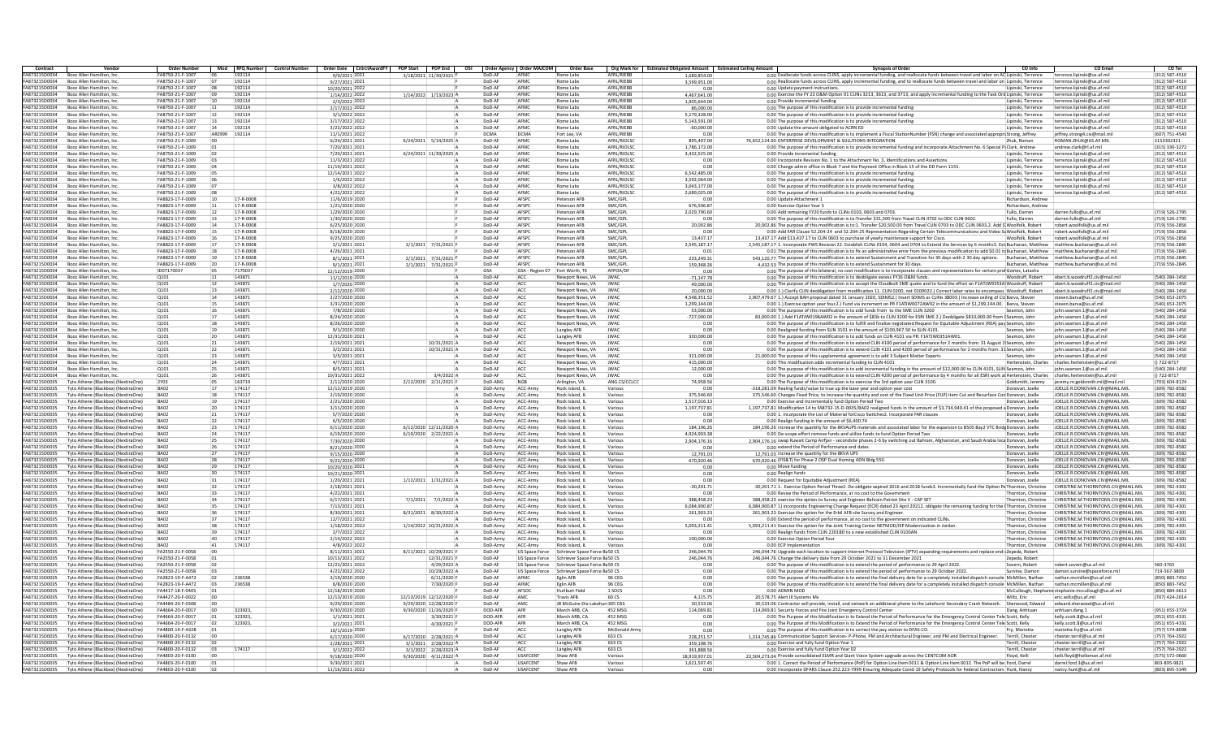| Contract                              | Vendor                                                                     | <b>Order Number</b>                  | Mod RFO Number               | Control Number   Order Date   CntrctAwardFY   POP Start   POP End |                            |                      | OSI Order Agency Order MAJCOM | Order Base                           |                                | Org Mark for Estimated Obligated Amount Estimated Ceiling Amount | <b>Synopsis of Order</b><br>CO Info<br>CO Email                                                                                                                                                                                                                                                                                              | CO Tel                           |
|---------------------------------------|----------------------------------------------------------------------------|--------------------------------------|------------------------------|-------------------------------------------------------------------|----------------------------|----------------------|-------------------------------|--------------------------------------|--------------------------------|------------------------------------------------------------------|----------------------------------------------------------------------------------------------------------------------------------------------------------------------------------------------------------------------------------------------------------------------------------------------------------------------------------------------|----------------------------------|
| A873215D0034                          | Booz Allen Hamilton, In                                                    | FA8750-21-F-1007                     | 192114                       | 9/9/2021 202:                                                     | 3/18/2021 11/30/202        | DoD-AF               | AFM                           |                                      | <b>AFRI /RIFRE</b>             | 1.689.854.0                                                      | 0.00 Eeallocate funds across CLINS, apply incremental funding, and reallocate funds between travel and labor on AC Lip<br>inski, Terrence<br>nce lininski@us af mil                                                                                                                                                                          | 12) 587-4510                     |
| <b>EAR73215D0034</b>                  | Booz Allen Hamilton, In                                                    | FA8750-21-F-1007                     | 192114                       | 9/27/2021 202:                                                    |                            | DoD-AF               | AFMO                          | Rome Labs                            | AFRI /RIFRF                    | 3.599.951.0                                                      | 0.00 Reallocate funds across CLINS, apply incremental funding, and to reallocate funds between travel and labor on Lipinski, Terrence<br>terrence.lipinski@us.af.mi                                                                                                                                                                          | (312) 587-4510                   |
| A873215D0034                          | Booz Allen Hamilton, Inc                                                   | FA8750-21-F-1007                     | 192114                       | 10/20/2021 2023                                                   |                            | DoD-Al               | AFMO                          | Rome Labs                            | AFRL/RIEBE                     | 0.0                                                              | 0.00 Update payment instructions<br>Lipinski, Terrence<br>terrence.lipinski@us.af.mi                                                                                                                                                                                                                                                         | (312) 587-4510                   |
| FA873215D0034                         | Booz Allen Hamilton, Inc.                                                  | FA8750-21-F-1007                     | 192114                       | 1/14/2022 2022                                                    | 1/14/2022 1/13/2023 A      | DoD-AP               | AFMO                          | Rome Labs                            | AFRL/RIEBB                     | 4,467,641.00                                                     | 0.00 Exercise the FY 22 O&M Option 01 CLINs 3213, 3613, and 3713, and apply incremental funding to the Task Ord Lipinski, Terrence<br>terrence.lipinski@us.af.mil                                                                                                                                                                            | (312) 587-4510                   |
| FA873215D0034                         | Booz Allen Hamilton, Inc.                                                  | FA8750-21-F-1007                     | 10<br>192114<br>192114       | 2/3/2022 2022                                                     |                            | DoD-AF<br>DoD-AF     | AFMC                          | Rome Labs                            | AFRI /RIFRR                    | 1.905.644.00                                                     | 0.00 Provide incremental funding<br>Lininski, Terrence<br>terrence lininski@us af mil                                                                                                                                                                                                                                                        | (312) 587-4510                   |
| FA873215D0034<br>FA873215D0034        | Booz Allen Hamilton, Inc.<br>Booz Allen Hamilton, Inc.                     | FA8750-21-F-1007<br>FA8750-21-F-1007 | 12<br>192114                 | 2/17/2022 202:<br>3/1/2022 202                                    |                            | DoD-Al               | AFMO<br>AFMO                  | Rome Labs<br>Rome Labs               | AFRL/RIEBE<br>AFRI /RIFRF      | 86,000.00<br>5.179.328.00                                        | 0.00 The purpose of this modification is to provide incremental funding<br>Lipinski, Terrence<br>terrence.lipinski@us.af.mi<br>0.00 The purpose of this modification is to provide incremental funding<br>Lipinski, Terrence<br>terrence.lipinski@us.af.mi                                                                                   | (312) 587-4510<br>(312) 587-4510 |
| A873215D0034                          | Booz Allen Hamilton, Inc                                                   | FA8750-21-F-1007                     | 192114<br>13                 | 3/17/2022 2022                                                    |                            | DoD-Al               | AFMO                          | Rome Labs                            | AFRL/RIEBE                     | 5.143.591.00                                                     | 0.00 The purpose of this modification is to provide incremental funding<br>Lipinski, Terrence<br>terrence.lipinski@us.af.mi                                                                                                                                                                                                                  | (312) 587-4510                   |
| FA873215D0034                         | Booz Allen Hamilton, Inc.                                                  | FA8750-21-F-1007                     | 14<br>192114                 | 3/22/2022 2022                                                    |                            | DoD-AF               | AFMC                          | Rome Labs                            | AFRL/RIEBB                     | $-60,000.00$                                                     | 0.00 Update the amount obligated to ACRN ED<br>Lipinski, Terrence<br>terrence.lipinski@us.af.mil                                                                                                                                                                                                                                             | (312) 587-4510                   |
| FA873215D0034                         | Booz Allen Hamilton, Inc.                                                  | FA8750-21-F-1007                     | AR7999<br>192114             | 11/1/2021 2022                                                    |                            | <b>DCMA</b>          | DCMA                          | Fort Lee, VA                         | AFRI /RIFRR                    | 0.00                                                             | 0.00 The purpose of this modification is to implement a Fiscal StationNumber (FSN) change and associated appropri Strong, Jeffrey<br>jeffrey.strong4.civ@mail.mil                                                                                                                                                                            | (607) 751-4543                   |
| FA873215D0034                         | Booz Allen Hamilton, Inc.                                                  | FA8750-21-F-1009                     |                              | 6/24/2021 202:                                                    | 6/24/2021 5/14/2025 A      | DoD-AL               | AFMO                          | Rome Labs                            | AFRL/RIOLSO                    | 895.407.00                                                       | 76.652.124.00 ENTERPRISE DEVELOPMENT & SOLUTIONS INTEGRATION<br>ROMAN.ZHUK@US.AF.MIL<br>Zhuk, Roman                                                                                                                                                                                                                                          | 3153302321                       |
| FA873215D0034                         | Booz Allen Hamilton, Inc.                                                  | FA8750-21-F-1009                     |                              | 7/20/2021 202:                                                    |                            | DoD-Al               | AFMO                          | Rome Labs                            | AFRI /RIOI SC                  | 1.786.172.00                                                     | 0.00 The purpose of this modification is to provide incremental funding and incorporate Attachment No. 6 Special PiClark, Andrew<br>andrew.clark@rl.af.mil                                                                                                                                                                                   | (315) 330-3272                   |
| A873215D0034                          | Booz Allen Hamilton, Inc                                                   | FA8750-21-F-1009                     |                              | 7/20/2021 2021                                                    | 6/24/2021 11/30/2025 A     | DoD-Al               | AFMO                          | Rome Labs                            | AFRL/RIOLSO                    | 3,432,525.00                                                     | 0.00 Provide incremental funding<br>terrence.lipinski@us.af.m<br>Lipinski, Terrence                                                                                                                                                                                                                                                          | (312) 587-4510                   |
| FA873215D0034                         | Booz Allen Hamilton, Inc.                                                  | FA8750-21-F-1009                     |                              | 11/3/2021 2023                                                    |                            | DoD-AF               | AFMO                          | Rome Labs                            | AFRL/RIOLSO                    | 0.00                                                             | 0.00 Incorporate Revision No. 1 to the Attachment No. 3, Identifications and Assertions<br>Lipinski, Terrence<br>terrence.lipinski@us.af.mi                                                                                                                                                                                                  | (312) 587-4510                   |
| FA873215D0034                         | Booz Allen Hamilton, Inc.                                                  | FA8750-21-F-1009                     |                              | 11/19/2021 2022                                                   |                            | DoD-AF               | AFMC                          | Rome Labs                            | AFRI /RIOLSC                   | 0.00                                                             | 0.00 Change admin office in Block 7 and the Payment Office in Block 15 of the DD Form 1155<br>Lipinski, Terrence<br>terrence lininski@us af mil                                                                                                                                                                                              | (312) 587-4510                   |
| FA873215D0034                         | Booz Allen Hamilton, Inc.                                                  | FA8750-21-F-1009                     |                              | 12/14/2021 2022                                                   |                            | DoD-AP               | AFMO                          | Rome Labs                            | AFRL/RIOLSO                    | 6,542,485.00                                                     | 0.00 The purpose of this modification is to provide incremental fundin<br>Lipinski, Terrence<br>terrence.lipinski@us.af.mi                                                                                                                                                                                                                   | (312) 587-4510                   |
| FA873215D0034                         | Booz Allen Hamilton, Inc.                                                  | FA8750-21-F-1009                     |                              | 1/6/2022 202                                                      |                            | DoD-Al               | AFMO                          | Rome Labs                            | AFRI /RIOI SC                  | 3.592.064.00                                                     | 0.00 The purpose of this modification is to provide incremental funding<br>Lipinski, Terrence<br>terrence.lipinski@us.af.mi                                                                                                                                                                                                                  | (312) 587-4510                   |
| A873215D0034                          | Booz Allen Hamilton, Inc                                                   | FA8750-21-F-1009                     |                              | 3/8/2022 2022                                                     |                            | DoD-Al               | AFMO                          | Rome Labs                            | AFRL/RIOLS                     | 3.043.177.00                                                     | 0.00 The purpose of this modification is to provide incremental funding<br>Lipinski, Terrence<br>terrence.lipinski@us.af.mi                                                                                                                                                                                                                  | (312) 587-4510                   |
| FA873215D0034                         | Booz Allen Hamilton, Inc.                                                  | FA8750-21-F-1009                     |                              | 4/22/2022 2023                                                    |                            | DoD-AF               | AFMC                          | Rome Labs                            | AFRL/RIOLSO                    | 2.689.025.00                                                     | 0.00 The purpose of this modification is to provide incremental funding<br>Lipinski, Terrence<br>terrence.lipinski@us.af.mil                                                                                                                                                                                                                 | (312) 587-4510                   |
| FA873215D0034<br>FA873215D0034        | Booz Allen Hamilton, Inc.                                                  | FA8823-17-F-0009<br>FA8823-17-F-0009 | 17-R-0008<br>17-R-0008       | 11/6/2019 2020                                                    |                            | DoD-AF<br>DoD-Al     | AFSPC<br>AFSPC                | Peterson AFR                         | SMC/GPL                        | 0.00                                                             | 0.00 Update Attachment 1<br>Richardson, Andrey                                                                                                                                                                                                                                                                                               |                                  |
| FA873215D0034                         | Booz Allen Hamilton, In<br>Booz Allen Hamilton, In                         | FA8823-17-F-0009                     | 17-R-0008                    | 1/21/2020 2020<br>1/29/2020 2020                                  |                            | DoD-Al               | AFSPC                         | Peterson AFB<br>Peterson AFB         | SMC/GPL<br>SMC/GPL             | 676,596.87                                                       | Richardson, Andrey<br>0.00 Exercise Option Year 3<br>0.00 Add remaining FY20 funds to CLINs 0103, 0603 and 0703.<br>darren.fullo@us.af.mil<br>Fullo, Darren                                                                                                                                                                                  | (719) 526-2795                   |
| A873215D0034                          | Booz Allen Hamilton, Inc                                                   | FA8823-17-F-0009                     | 17-R-0008                    | 1/30/2020 2020                                                    |                            | DoD-Al               | AFSPC                         | Peterson AFB                         | SMC/GPL                        | 2,029,790.60<br>0.00                                             | 0.00 The purpose of this modification is to:Transfer \$31,500 from Travel CLIN 0702 to ODC CLIN 0602<br>darren.fullo@us.af.mil<br>Fullo, Darren                                                                                                                                                                                              | (719) 526-2795                   |
| FA873215D0034                         | Booz Allen Hamilton, Inc.                                                  | FA8823-17-F-0009                     | 17-R-0008                    | 6/25/2020 2020                                                    |                            | DoD-AP               | AFSPC                         | Peterson AFB                         | SMC/GPL                        | 20,002.86                                                        | 20,002.86 The purpose of this modification is to:1. Transfer \$20,500.00 from Travel CLIN 0703 to ODC CLIN 0603.2. Add \$ Woolfolk, Robert<br>robert.woolfolk@us.af.mi                                                                                                                                                                       | (719) 556-2856                   |
| FA873215D0034                         | Booz Allen Hamilton, Inc.                                                  | FA8823-17-F-0009                     | 17-R-0008                    | 8/18/2020 2020                                                    |                            | DoD-AF               | AFSPC                         | Peterson AFR                         | SMC/GPL                        | 0.00                                                             | 0.00 Add FAR Clause 52.204-24 and 52.204-25 Representation Regarding Certain Telecommunications and Video St Woolfolk, Robert<br>robert woolfolk@us.af.mil.                                                                                                                                                                                  | (719) 556-2856                   |
| <b>EA873215D0034</b>                  | Booz Allen Hamilton, In                                                    | FA8823-17-F-0009                     | 17.8.0008                    | 9/25/2020 2020                                                    |                            | DoD-AP               | AFSPC                         | Peterson AFP                         | SMC/GPI                        | 13,437.17                                                        | 13,437.17 Add \$13,437.17 to CLIN 0603 to purchase of yearly maintenace support for Cisco<br>Woolfolk, Robert<br>robert woolfolk@us af mil                                                                                                                                                                                                   | (719) 556-2856                   |
| FA873215D0034                         | Booz Allen Hamilton, In                                                    | FA8823-17-F-0009                     | 17-R-0008                    | 2/1/2021 202                                                      | 2/1/2021 7/31/2021         | DoD-AF               | AFSPC                         | Peterson AFB                         | SMC/GPL                        | 2,545,187.17                                                     | 2,545,187.17 1. Incorporate PWS Revision 22. Establish CLINs 0104, 0604 and 0704 to Extend the Services by 6 months3. Est Buchanan, Matthew<br>matthew.buchanan@us.af.mi                                                                                                                                                                     | (719) 556-2845                   |
| A873215D0034                          | Booz Allen Hamilton, Inc                                                   | FA8823-17-F-0009                     | 17-R-0008<br>18              | 4/26/2021 2021                                                    |                            | DoD-Al               | AFSPC                         | Peterson AFB                         | SMC/GPL                        | 0.01                                                             | 0.01 The purpose of this modification is to fix an administrative error from the previous modification to add \$0.01 tc Buchanan, Matthew matthew buchanan@us.af.mil                                                                                                                                                                         | (719) 556-2845                   |
| FA873215D0034                         | Booz Allen Hamilton, Inc.                                                  | FA8823-17-F-0009                     | 17-R-0008                    | 8/1/2021 202                                                      | 2/1/2021 7/31/2021         | DoD-AP               | AFSPC                         | Peterson AFB                         | SMC/GPL                        | 233,249.31                                                       | 543.120.77 The purpose of this modification is to extend Sustainment and Transition for 30 days with 2 30 day options.<br>Buchanan, Matthew matthew.buchanan@us.af.mi                                                                                                                                                                        | (719) 556-2845                   |
| FA873215D0034                         | Booz Allen Hamilton, Inc.                                                  | FA8823-17-F-0009                     | 20<br>17-R-0008              | 9/1/2021 2021                                                     | 2/1/2021 7/31/2021 F       | DoD-AF               | AFSPC                         | Peterson AFR                         | SMC/GPI                        | 159.368.26                                                       | 4.432.53 The purpose of this modification is to extend Sustainment for 30 days<br>Buchanan, Matthew matthew.buchanan@us.af.mi                                                                                                                                                                                                                | (719) 556-2845                   |
| <b>EA873215D0034</b>                  | Booz Allen Hamilton, In                                                    | ID07170037                           | 7170037                      | 12/12/2019 2020                                                   |                            | GSA                  | GSA - Reg                     | Fort Worth, TX                       | AFPOA/DF                       | 0.00                                                             | 0.00 The purpose of this bilateral, no cost modification is to incorporate clauses and representations for certain prol Goines, Latasha                                                                                                                                                                                                      |                                  |
| FA873215D0034                         | Booz Allen Hamilton, In                                                    | 0101                                 | 143871                       | 11/1/2019 2020                                                    |                            | DoD-A                | ACC                           | ewport News, V.                      | <b>JWAC</b>                    | $-71.147.78$                                                     | obert.b.woodruff2.civ@mail.mil<br>0.00 The purpose of this modification is to deobligate excess FY16 O&M funds<br>Woodruff, Robert                                                                                                                                                                                                           | (540) 284-1450                   |
| FA873215D0034                         | Booz Allen Hamilton, Inc                                                   | 0101                                 | 143871<br>12                 | 1/7/2020 2020                                                     |                            | DoD-Al               | ACC                           | Newport News, VA                     | <b>JWAC</b>                    | 49,000.00                                                        | 0.00 The purpose of this modification is to accept the Cloudbolt SME quote and to fund the effort on F1ATJW9353A\Woodruff, Robert<br>obert.b.woodruff2.civ@mail.mil                                                                                                                                                                          | (540) 284-1450                   |
| FA873215D0034                         | Booz Allen Hamilton, Inc.                                                  | 0101                                 | 143871<br>13                 | 2/12/2020 2020                                                    |                            | DoD-AF               | ACC                           | Newport News, VA                     | <b>JWAC</b>                    | 20,000.00                                                        | 0.00 1.) Clarify CLIN deobligation from modification 11, CLIN 0200, not 0100022.) Correct labor rates to encompass Woodruff, Robert<br>obert.b.woodruff2.civ@mail.mil                                                                                                                                                                        | (540) 284-1450                   |
| FA873215D0034<br><b>EA873215D0034</b> | Booz Allen Hamilton, Inc.                                                  | 0101<br>0101                         | 143871<br>14<br>143871       | 2/27/2020 2020                                                    |                            | DoD-AF<br>DoD-AF     | ACC<br>ACC                    | Newport News, VA                     | <b>IWAC</b>                    | 4.548.351.52                                                     | 2,907,479.67 1.) Accept BAH proposal dated 31 January 2020, SDIMS2.) Insert SDIMS as CLINs 38003.) Increase ceiling of CLI Barva, Steven<br>steven.barva@us.af.mil                                                                                                                                                                           | (540) 653-2075                   |
| FA873215D0034                         | Booz Allen Hamilton, In<br>Booz Allen Hamilton, In                         | 0101                                 | 14387                        | 3/31/2020 2020<br>7/8/2020 2020                                   |                            | DoD-Al               | ACC                           | Newport News, VA<br>Newport News, VA | <b>IWAC</b><br>JWA             | 1.299.144.00<br>53,000.00                                        | 0.00 1.) Exercise option year four 2.) Fund via increment on PR F1ATJW0072AW02 in the amount of \$1.299.144.00. Barya, Steven<br>steven harva@us.af.mi<br>0.00 The purpose of this modification is to add funds from to the SME CLIN 3200<br>Seamon, Johr<br>john.seamon.1@us.af.m                                                           | (540) 653-2075<br>(540) 284-1450 |
| FA873215D0034                         |                                                                            | 0101                                 | 143871                       | 8/24/2020 2020                                                    |                            | DoD-Al               | ACC                           |                                      | JWA                            | $-727,000.00$                                                    | 83,000.00 1.) Add F1ATJW0196AW02 in the amount of \$83k to CLIN 3200 for ESRI SME.2.) Deobligate \$810,000.00 from (Seamon, John<br>john.seamon.1@us.af.m                                                                                                                                                                                    | (540) 284-1450                   |
| FA873215D0034                         | Booz Allen Hamilton, Inc<br>Booz Allen Hamilton, Inc.                      | 0101                                 | 143871<br>18                 | 8/26/2020 2020                                                    |                            | DoD-AF               | ACC                           | Newport News, VA<br>Newport News, VA | <b>JWAC</b>                    | 0.00                                                             | 0.00 The purpose of this modification is to fulfill and finalize negotiated Request for Equitable Adjustment (REA) pay Seamon, John<br>iohn.seamon.1@us.af.m                                                                                                                                                                                 | (540) 284-1450                   |
| FA873215D0034                         | Booz Allen Hamilton, In                                                    | 0101                                 | 143871<br>19                 | 9/1/2020 2020                                                     |                            | DoD-AF               | ACC                           | Langley AFB                          | <b>IWAC</b>                    | 0.00                                                             | 0.00 Realigned funding from SLIN 3101 in the amount of \$100,967.50 to SLIN 4101.<br>Seamon, John<br>iohn.seamon.1@us.af.mi                                                                                                                                                                                                                  | (540) 284-1450                   |
| FA873215D0034                         | Booz Allen Hamilton, In                                                    | 0101                                 | 143871                       | 12/31/2020 2021                                                   |                            | DoD-AP               | ACC                           | Langley AFB                          | <b>IWAC</b>                    | 330,000.00                                                       | 0.00 The purpose of this modification is to add funds on CLIN 4101 via PR: F1ATJW0351AW01<br>Seamon, John<br>iohn.seamon.1@us.af.m                                                                                                                                                                                                           | (540) 284-1450                   |
| FA873215D0034                         | Booz Allen Hamilton, In                                                    | Q101                                 | 14387                        | 2/19/2021 202:                                                    | 10/31/2021 /               | DoD-Al               | ACC                           | Newport News, VA                     | <b>JWAC</b>                    | 0.00                                                             | 0.00 The purpose of this modification is to extend CLIN 4100 period of performance for 2 months from: 31 August 2 Seamon, John<br>john.seamon.1@us.af.m                                                                                                                                                                                      | (540) 284-1450                   |
| FA873215D0034                         | Booz Allen Hamilton, Inc                                                   | 0101                                 | 143871<br>22                 | 3/2/2021 202:                                                     | 10/31/2021 /               | DoD-AF               | ACC                           | Newport News, VA                     | <b>JWAC</b>                    | 0.00                                                             | 0.00 The purpose of this modification is to extend CLIN 4101 and 4200 period of performance for 2 months from: 31 Seamon, John<br>iohn.seamon.1@us.af.m                                                                                                                                                                                      | (540) 284-1450                   |
| FA873215D0034                         | Booz Allen Hamilton, Inc.                                                  | 0101                                 | 143871<br>23                 | 3/5/2021 2021                                                     |                            | DoD-AF               | ACC                           | Newport News, VA                     | <b>JWAC</b>                    | 321,000.00                                                       | 21.000.00 The purpose of this supplemental agreement is to add 3 Subject Matter Experts<br>Seamon, John<br>iohn.seamon.1@us.af.mi                                                                                                                                                                                                            | (540) 284-1450                   |
| FA873215D0034                         | Booz Allen Hamilton, In                                                    | 0101                                 | 143871<br>24                 | $4/7/2021$ 2021                                                   |                            | DoD-AF               | ACC                           | Newport News, VA                     | <b>IWAC</b>                    | 415,000.00                                                       | 0.00 This modification adds incremental funding to CLIN 4101<br>Hertenstein, Charles<br>charles.hertenstein@us.af.mil                                                                                                                                                                                                                        | () 722-8717                      |
| FA873215D0034                         | Booz Allen Hamilton, In                                                    | 0101                                 | 143871                       | 8/5/2021 202:                                                     |                            | DoD-AP               | ACC                           | Newport News, VA                     | <b>JWAC</b>                    | 12,000.00                                                        | 0.00 The purpose of this modification is to add incremental funding in the amount of \$12,000,00 to CLIN 4101. SLIN Seamon, John<br>iohn.seamon.1@us.af.mil                                                                                                                                                                                  | (540) 284-1450                   |
| FA873215D0034                         | Booz Allen Hamilton, In                                                    | Q101                                 | 143871                       | 10/31/2021 2022                                                   | 3/4/2022                   | DoD-AF               | ACC                           | Newport News, VA                     | JWA                            | 0.00                                                             | 0.00 The purpose of this modification is to extend CLIN 4200 period of performance by 4 months for all ESRI work at Hertenstein, Charles<br>charles.hertenstein@us.af.mil                                                                                                                                                                    | $() 722 - 8717$                  |
| FA873215D0035                         | Tyto Athene (Blackhox) (NextiraOne)                                        | 2Y03                                 | 163719<br>05                 | 2/11/2020 2020                                                    | 2/12/2020 2/11/2021        | DoD-ANG              | <b>NGR</b>                    | Arlington, VA                        | ANG CS/CCLCC                   | 74,958.56                                                        | jeremy m goldsmith mil@mail.mi<br>0.00 The Purpose of this modification is to exercise the 3rd option year CLIN 3100.<br>Goldsmith, Jeremy                                                                                                                                                                                                   | (703) 604-8124                   |
| FA873215D0035                         | Tyto Athene (Blackbox) (NextiraOne)                                        | BA02                                 | 174117                       | 12/12/2019 2020                                                   |                            | DoD-Army             | ACC-Army                      | Rock Island, IL                      | Various                        | 0.00                                                             | JOELLE.R.DONOVAN.CIV@MAIL.MIL<br>-318.281.09 Realing funds/value to true up the base year and option year cost<br>Donovan, Joelle                                                                                                                                                                                                            | (309) 782-8582                   |
| FA873215D0035                         | Tyto Athene (Blackbox) (NextiraOne)                                        | BA07                                 | 174117<br>18                 | 2/19/2020 2020                                                    |                            | DoD-Army             | ACC-Arm                       | Rock Island, II                      | Various                        | 375.546.60                                                       | 375,546.60 Changes Fixed Price, to increase the quantity and cost of the Fixed Unit Price (FUP) item Cut and Resurface Con Donovan, Joelle<br>JOELLE.R.DONOVAN.CIV@MAIL.MIL                                                                                                                                                                  | (309) 782-8582                   |
| FA873215D0035<br>FA873215D0035        | Tyto Athene (Blackbox) (NextiraOne<br>Tyto Athene (Blackbox) (NextiraOne   | BA02<br>BA02                         | 174117<br>19<br>20<br>174117 | 2/21/2020 2020                                                    |                            | DoD-Army<br>DoD-Army | ACC-Arm<br>ACC-Arm            | Rock Island, I<br>Rock Island, I     | Various<br>Variou:             | 1.517.016.13                                                     | 0.00 Exercise and Incrementally fund Option Period Two<br>Donovan, Joelle<br>JOELLE, R.DONOVAN, CIV@MAIL.MII<br>1,197,737.81 Modification 14 to FA8732-15-D-0035/BA02 realigned funds in the amount of \$3,734,940.41 of the proposed a Donovan, Joelle<br>JOELLE.R.DONOVAN.CIV@MAIL.MII                                                     | (309) 782-8582<br>(309) 782-8582 |
| FA873215D0035                         | Tyto Athene (Blackhox) (NextiraOne)                                        | BA07                                 | 174117<br>21                 | 3/11/2020 2020<br>5/7/2020 2020                                   |                            | DoD-Army             | ACC-Army                      | Rock Island, II                      | Various                        | 1,197,737.81<br>0.00                                             | IOFITE R DONOVAN CIV@MAIL MIL<br>0.00 1. incorporate the List of Material forCisco Switches2. Incorporate FAR clauses<br>Donovan, Joelle                                                                                                                                                                                                     | (309) 782-8582                   |
| FA873215D0035                         | Tyto Athene (Blackbox) (NextiraOne)                                        | BA02                                 | 174117<br>22                 | 6/5/2020 2020                                                     |                            | DoD-Army             | ACC-Army                      | Rock Island, IL                      | Various                        | 0.00                                                             | JOELLE, R.DONOVAN, CIV@MAIL, MIL<br>0.00 Realign funding in the amount of \$6,400.74<br>Donovan, Joelle                                                                                                                                                                                                                                      | (309) 782-8582                   |
| <b>FA873215D0035</b>                  | Tyto Athene (Blackbox) (NextiraOne)                                        | BA07                                 | 174117<br>23                 | 6/11/2020 2020                                                    | 6/12/2020 12/11/2020 A     | DoD-Army             | ACC-Arm                       | Rock Island, II                      | Various                        | 184.196.26                                                       | 184,196.26 increase the quantity for the 8KVAUPS materials and associated labor for the expansion to B505 Bay2 VTC Bridg Donovan, Joelle<br>JOELLE.R.DONOVAN.CIV@MAIL.MIL                                                                                                                                                                    | (309) 782-8582                   |
| FA873215D0035                         | Tyto Athene (Blackbox) (NextiraOne                                         | BA02                                 | 174117                       | 6/19/2020 2020                                                    | 6/19/2020 2/22/2021 A      | DoD-Army             | ACC-Arm                       | Rock Island, I                       | Various                        | 4.924.903.38                                                     | 0.00 De-scope effort remove funds and utilize funds to fund Option Period Two<br>Donovan, Joelle<br>JOELLE, R.DONOVAN, CIV@MAIL.MII                                                                                                                                                                                                          | (309) 782-8582                   |
| FA873215D0035                         | Tyto Athene (Blackbox) (NextiraOne                                         | BA02                                 | 174117                       | 7/30/2020 2020                                                    |                            | DoD-Army             | ACC-Arm                       | Rock Island, I                       | Variou:                        | 2,904,176.16                                                     | 2.904.176.16 swap Kuwait Camp Airfjan - secondsite phases 2-6 by switching out Bahrain, Afghanistan, and Saudi Arabia loca Donovan, Joelle<br>JOELLE.R.DONOVAN.CIV@MAIL.MII                                                                                                                                                                  | (309) 782-8582                   |
| FA873215D0035                         | Tyto Athene (Blackbox) (NextiraOne)                                        | BA07                                 | 174117                       | 8/21/2020 2020                                                    |                            | DoD-Army             | ACC-Army                      | Rock Island, II                      | Various                        | 0.00                                                             | IOFITE R DONOVAN CIV@MAIL MIL<br>0.00 extend the Period of Performance end dates<br>Donovan, Joelle                                                                                                                                                                                                                                          | (309) 782-8582                   |
| FA873215D0035                         | Tyto Athene (Blackbox) (NextiraOne)                                        | BA02                                 | 174117                       | 9/15/2020 2020                                                    |                            | DoD-Army             | ACC-Army                      | Rock Island, IL                      | Various                        | 12,791.03                                                        | JOELLE, R.DONOVAN, CIV@MAIL, MIL<br>12.791.03 increase the quantity for the 8KVA UPS<br>Donovan, Joelle                                                                                                                                                                                                                                      | (309) 782-8582                   |
| <b>FA873215D0035</b>                  | Tyto Athene (Blackbox) (NextiraOne)                                        | RA07                                 | 174117<br>28                 | 9/22/2020 2020                                                    |                            | DoD-Army             | ACC-Arm                       | Rock Island, II                      | Various                        | 670,920.46                                                       | 670,920.46 (FIS&T) for Phase 2 OSP Dual Homing ADN Bldg 550.<br>JOELLE.R.DONOVAN.CIV@MAIL.MIL<br>Donovan, Joelle                                                                                                                                                                                                                             | (309) 782-8587                   |
| FA873215D0035                         | Tyto Athene (Blackbox) (NextiraOne                                         | BA07                                 | 174117                       | 10/20/2020 2021                                                   |                            | DoD-Army             | ACC-Arm                       | Rock Island, I                       | Various                        | 0.00                                                             | 0.00 Move funding<br>Donovan, Joelle<br>JOELLE.R.DONOVAN.CIV@MAIL.MIL                                                                                                                                                                                                                                                                        | (309) 782-8582                   |
| FA873215D0035                         | Tyto Athene (Blackbox) (NextiraOne                                         | BA02                                 | 174117                       | 10/21/2020 202:                                                   |                            | DoD-Army             | ACC-Arm                       | Rock Island, I                       | Various                        | 0.00                                                             | 0.00 Realign funds<br>Donovan, Joelle<br>JOELLE.R.DONOVAN.CIV@MAIL.MII                                                                                                                                                                                                                                                                       | (309) 782-8582                   |
| FA873215D0035                         | Tyto Athene (Blackbox) (NextiraOne)                                        | BA07                                 | 174117                       | 1/20/2021 202:                                                    | 1/12/2021 1/31/2021 /      | DoD-Army             | ACC-Army                      | Rock Island, II                      | Various                        | 0.00                                                             | IOFITE R DONOVAN CIV@MAIL MIL<br>0.00 Request for Equitable Adjustment (REA)<br>Donovan, Joelle                                                                                                                                                                                                                                              | 309) 782-8582                    |
| FA873215D0035<br><b>FA873215D0035</b> | Tyto Athene (Blackbox) (NextiraOne)                                        | BA02<br>RA07                         | 174117<br>37<br>174117       | 2/18/2021 202:                                                    |                            | DoD-Army             | ACC-Army<br>ACC-Army          | Rock Island, IL                      | Various                        | $-30.201.71$<br>n nr                                             | -30.201.71 1. Exercise Option Period Three2. De-obligate expired 2016 and 2018 funds3. Incrementally fund the Option Pe Thornton. Christine<br>CHRISTINE.M.THORNTONS.CIV@MAIL.MII                                                                                                                                                            | (309) 782-4301<br>(309) 782-4301 |
| FA873215D0035                         | Tyto Athene (Blackbox) (NextiraOne)<br>Tyto Athene (Blackbox) (NextiraOne  | BA02                                 | 33<br>174117                 | 4/22/2021 202<br>6/17/2021 2021                                   | 7/1/2021 7/1/2022 A        | DoD-Army<br>DoD-Army | ACC-Arm                       | Rock Island, II<br>Rock Island, I    | Various<br>Various             | 388.458.23                                                       | CHRISTINE.M.THORNTONS.CIV@MAIL.MIL<br>0.00 Revise the Period of Performance, at no cost to the Governmen<br>Thornton, Christine<br>388,458.23 exercise the option to Survey and Engineer Bahrain Patriot Site V - CAP SET<br>Thornton, Christine<br>CHRISTINE.M.THORNTON5.CIV@MAIL.MII                                                       | 309) 782-4301                    |
| FA873215D0035                         | Tyto Athene (Blackbox) (NextiraOne                                         | BA02                                 | 174117                       | 7/13/2021 2021                                                    |                            | DoD-Army             | ACC-Arm                       | Rock Island, I                       | Various                        | 6,084,900.87                                                     | 6,084,900.87 1) incorporate Engineering Change Request (ECR) dated 23 April 20212. obligate the remaining funding for the (Thornton, Christine<br>CHRISTINE.M.THORNTON5.CIV@MAIL.MII                                                                                                                                                         | 309) 782-4301                    |
| FA873215D0035                         | Tvto Athene (Blackbox) (NextiraOne                                         | BA07                                 | 174117                       | 8/30/2021 202:                                                    | 8/31/2021 8/30/2022 A      | DoD-Army             | ACC-Army                      | Rock Island, II                      | Various                        | 261,903.23                                                       | CHRISTINE M.THORNTONS CIV@MAIL.MIL<br>261.903.23 Exercise the option for the Erbil AFB site Survey and Enginee<br><b>Thornton, Christine</b>                                                                                                                                                                                                 | 309) 782-4301                    |
| FA873215D0035                         | Tyto Athene (Blackbox) (NextiraOne)                                        | BA02                                 | 174117                       | 12/7/2021 2022                                                    |                            | DoD-Army             | ACC-Army                      | Rock Island, IL                      | Various                        | 0.00                                                             | 0.00 Extend the period of performance, at no cost to the government on indicated CLINs<br>Thornton, Christine<br>CHRISTINE.M.THORNTON5.CIV@MAIL.MIL                                                                                                                                                                                          | (309) 782-4301                   |
| <b>FA873215D0035</b>                  | Tvto Athene (Blackbox) (NextiraOne)                                        | RA07                                 | 174117<br>38                 | 1/18/2022 2023                                                    | 1/14/2022 10/31/2022 A     | DoD-Army             | ACC-Arm                       | Rock Island, II                      | Various                        | 5,093,211.41                                                     | 5,093,211.41 Exercise the option for the Joint Training Center NETMOD/ISP Modernization in Jordan<br>CHRISTINE M. THORNTONS CIV@MAIL MIL<br>Thornton, Christine                                                                                                                                                                              | (309) 782-4301                   |
| FA873215D0035                         | Tyto Athene (Blackbox) (NextiraOne                                         | BA02                                 | 174117                       | 2/7/2022 202                                                      |                            | DoD-Army             | ACC-Arm                       | Rock Island, II                      | Various                        | 0.00                                                             | 0.00 Realign funds from CLIN 2201BD to a new established CLIN 0100AN<br>Thornton, Christine<br>CHRISTINE.M.THORNTONS.CIV@MAIL.MII                                                                                                                                                                                                            | (309) 782-4301                   |
| FA873215D0035                         | Tyto Athene (Blackbox) (NextiraOne                                         | BA02                                 | 40<br>17411                  | 2/14/2022 2022                                                    |                            | DoD-Army             | ACC-Army                      | Rock Island, II                      | Various                        | 100,000.00                                                       | 0.00 Exercise Option Period Four<br>Thornton, Christine<br>CHRISTINE.M.THORNTON5.CIV@MAIL.MIL                                                                                                                                                                                                                                                | (309) 782-430                    |
| A873215D0035                          | Tyto Athene (Blackbox) (NextiraOne)                                        | BA07                                 | 174117                       | 4/8/2022 2023                                                     |                            | DoD-Army             | ACC-Army                      | Rock Island, IL                      | Various                        | 0.00                                                             | 0.00 ECP Implementation<br>CHRISTINE.M.THORNTONS.CIV@MAIL.MIL<br>Thornton, Christine                                                                                                                                                                                                                                                         | (309) 782-4301                   |
| FA873215D0035                         | Tyto Athene (Blackbox) (NextiraOne)                                        | FA2550-21-F-0058                     | 00                           | 8/11/2021 2021                                                    | 8/11/2021 10/29/2021 F     | DoD-AF               | US Space Force                | Schriever Space Force Ba 50 CS       |                                | 246.044.76                                                       | 246.044.76 Uperade each location to support Internet Protocol Television (IPTV) expanding requirements and replace end-(Zepeda, Robert                                                                                                                                                                                                       |                                  |
| <b>FA873215D0035</b>                  | Tyto Athene (Blackbox) (NextiraOne)                                        | FA2550-21-F-0058                     |                              | 10/13/2021 2023                                                   | 12/31/2021 F               | DoD-AF               | US Space Force                | Schriever Space Force Ba 50 CS       |                                | 246,044.76                                                       | 246,044.76 Change the delivery date from 29 October 2021 to 31 December 2021<br>Zepeda, Robert                                                                                                                                                                                                                                               |                                  |
| FA873215D0035                         | Tyto Athene (Blackbox) (NextiraOne                                         | FA2550-21-F-0058                     |                              | 12/22/2021 2022                                                   | 4/29/2022                  | DoD-AP               | <b>US Space Force</b>         | Schriever Space Force Ba 50 CS       |                                | 0.00                                                             | 0.00 The purpose of this modification is to extend the period of performance to 29 April 2022<br>Sovern, Robert<br>robert.sovern@us.af.mil                                                                                                                                                                                                   | 560-3763                         |
| FA873215D0035<br>A873215D0035         | Tyto Athene (Blackbox) (NextiraOne)                                        | FA2550-21-F-0058                     | 236538                       | 4/22/2022 2022                                                    | 10/29/2022 A               | DoD-AF<br>DoD-AP     | US Space Force                | Schriever Space Force Ba 50 CS       |                                | 0.00                                                             | 0.00 The purpose of this modification is to extend the period of performance to 29 October 2022<br>Survine, Damor<br>damon.survine@spaceforce.mi                                                                                                                                                                                             | 719-567-3800<br>(850) 883-7452   |
| FA873215D0035                         | Tyto Athene (Blackbox) (NextiraOne)<br>Tyto Athene (Blackbox) (NextiraOne) | FA2823-19-F-A472<br>FA2823-19-F-A472 | in:<br>$n^2$<br>236538       | 3/19/2020 2020<br>6/8/2020 2020                                   | 6/11/2020 F<br>7/30/2020 F | DoD-AF               | AFMO<br>AFMC                  | Eglin AFB<br>Eglin AFB               | <b>96 CEG</b><br><b>96 CEG</b> | 0.00<br>0.00                                                     | 0.00 The purpose of this modification is to extend the final delivery date for a completely installed dispatch console McMillen. Nathan<br>nathan.mcmillen@us.af.mil<br>0.00 The purpose of this modification is to extend the final delivery date for a completely installed dispatch console McMillen. Nathan<br>nathan.mcmillen@us.af.mil | (850) 883-7452                   |
| <b>FA873215D0035</b>                  | Tyto Athene (Blackbox) (NextiraOne)                                        | FA4417-18-F-0403                     |                              | 12/18/2019 2020                                                   |                            | DoD-AF               | AFSOC                         | Hurlburt Field                       | 1 SOCS                         | 0.00                                                             | 0.00 ADMIN MOD<br>McCullough, Stephanie stephanie.mccullough@us.af.mi                                                                                                                                                                                                                                                                        | (850) 884-6613                   |
| FA873215D003                          | Tyto Athene (Blackbox) (NextiraOne                                         | FA4427-20-F-0022                     |                              | 12/13/2019 2020                                                   | 12/13/2019 12/12/2020      | DoD-Al               | AMC.                          | Travis AFR                           | 60 CS                          | 4.115.75                                                         | 20.578.75 Alert III Systems M<br>Wiltz, Eric<br>eric.wiltz@us.af.m                                                                                                                                                                                                                                                                           | (707) 424-2014                   |
| FA873215D0035                         | Tyto Athene (Blackbox) (NextiraOne)                                        | FA4484-20-F-0308                     |                              | 9/29/2020 2020                                                    | 9/29/2020 12/28/2020 F     | DoD-AF               | AMO                           | JB McGuire-Dix-Lak                   | ehur: 305 OSS                  | 30,533.06                                                        | 30.533.06 Contractor will provide, install, and network an additional phone to the Lakehurst Secondary Crash Network<br>Sherwood, Edward<br>edward.sherwood@us.af.m                                                                                                                                                                          |                                  |
| A873215D0035                          | Tyto Athene (Blackbox) (NextiraOne)                                        | FA4664-20-F-0017                     | 323923.                      | 9/30/2020 2020                                                    | 9/30/2020 11/26/2020       | DOD-AFR              | AFR                           | March ARB, CA                        | 452 MSG                        | 114.069.81                                                       | 114.069.81 Security Forces and Fire Joint Emergency Control Cente<br>Dang, Anhtuan<br>anhtuan.dang.1                                                                                                                                                                                                                                         | (951) 655-3724                   |
| FA873215D0035                         | Tyto Athene (Blackbox) (NextiraOne)                                        | FA4664-20-F-0017                     | 323923                       | 1/1/2021 202:                                                     | 3/30/2021 F                | DOD-AFR              | AFR                           | March ARB, CA                        | 452 MSG                        | 0.00                                                             | 0.00 The Purpose of this Modification is to Extend the Period of Performance for the Emergency Control Center Tele Scott, Kelly<br>kelly.scott.8@us.af.mi                                                                                                                                                                                    | (951) 655-4331                   |
| FA873215D0035                         | Tyto Athene (Blackbox) (NextiraOne)                                        | FA4664-20-F-0017                     | 323923.                      | 3/2/2021 202:                                                     | 4/30/2021                  | DOD-AFR              | AFR                           | March ARB, CA                        | 452 MSG                        | 0.00                                                             | 0.00 The Purpose of this Modification is to Extend the Period of Performance for the Emergency Control Center Tele Scott, Kelly<br>kelly.scott.8@us.af.mil                                                                                                                                                                                   | (951) 655-4331                   |
| FA873215D003                          | Tyto Athene (Blackbox) (NextiraOne                                         | FA4800-19-F-A328                     |                              | 10/1/2019 202                                                     |                            | DoD-AF               | ACC                           | Langley AFB                          | McDonald A                     | 0.00                                                             | 0.00 The purpose of this modification is to correct the pay station to DFAS-CO<br>Fry, Marietta<br>marietta.fry@us.af.mi                                                                                                                                                                                                                     | (757) 574-8098                   |
| FA873215D0035                         | Tyto Athene (Blackbox) (NextiraOne)                                        | FA4800-20-F-0132                     |                              | 6/17/2020 2020                                                    | 6/17/2020 2/28/2021 A      | DoD-AF               | ACC                           | Langley AFB                          | 633 CS                         | 228,251.57                                                       | 1,314,745.86 Communication Support Services- P-Phone, PM and Architectural Engineer, and PM and Electrical Engineer.<br>Terrill, Cheste<br>chester.terrill@us.af.mil                                                                                                                                                                         | (757) 764-2922                   |
| A873215D0035                          | Tyto Athene (Blackbox) (NextiraOne                                         | FA4800-20-F-0132                     |                              | 2/28/2021 202:                                                    | 3/1/2021 2/28/2022 A       | DoD-AF               | ACC                           | Langley AFB                          | 633 CS                         | 359.198.76                                                       | 0.00 Exercise and fully fund Option Year 1<br>Terrill, Cheste<br>chester.terrill@us.af.mil                                                                                                                                                                                                                                                   | (757) 764-2922                   |
| FA873215D0035                         | Tyto Athene (Blackbox) (NextiraOne)                                        | FA4800-20-F-0132                     | 174117                       | 3/1/2022 2023                                                     | 3/1/2022 2/28/2023 A       | DoD-AF               | ACC                           | Langley AFB                          | 633 CS                         | 361.888.56                                                       | 0.00 Exercise and fully fund Option Year 02<br>Terrill, Cheste<br>chester.terrill@us.af.mil                                                                                                                                                                                                                                                  | (757) 764-2922                   |
| FA873215D0035                         | Tyto Athene (Blackbox) (NextiraOne)                                        | FA4803-20-F-0100                     |                              | 9/18/2020 2021                                                    | 9/30/2020 4/11/2022 A      | DoD-AF               | USAFCENT                      | Shaw AFB                             | Various                        | 18.919.937.0                                                     | 22,504,273.04 Provide consolidated ELMR and Giant Voice System upgrade across the CENTCOM AOR<br>Floyd, Kelli<br>kelli.floyd@holloman.af.m                                                                                                                                                                                                   | (575) 572-0660                   |
| FA873215D0035                         | Tyto Athene (Blackbox) (NextiraOne                                         | FA4803-20-F-0100                     |                              | 9/30/2021 202:                                                    |                            | DoD-Al               | USAFCENT                      | Shaw AFB                             | Various                        | 1,621,507.45                                                     | 0.00 1. Correct the Period of Performance (PoP) for Option Line Item 0011 & Option Line Item 0012. The PoP will be Ford, Darre<br>darrel.ford.3@us.af.mil                                                                                                                                                                                    | 803-895-9821                     |
| FA873215D0035                         | Tyto Athene (Blackbox) (NextiraOne)                                        | FA4803-20-F-0100                     |                              | 11/16/2021 2022                                                   |                            | DoD-AF               | <b>USAFCENT</b>               | Shaw AFB                             | Various                        | 0.00                                                             | 0.00 Incorporate DFARS Clause 252.223-7999 Ensuring Adequate Covid-19 Safety Protocols for Federal Contractors Hunt, Nancy<br>nancy.hunt@us.af.mil                                                                                                                                                                                           | (803) 895-5349                   |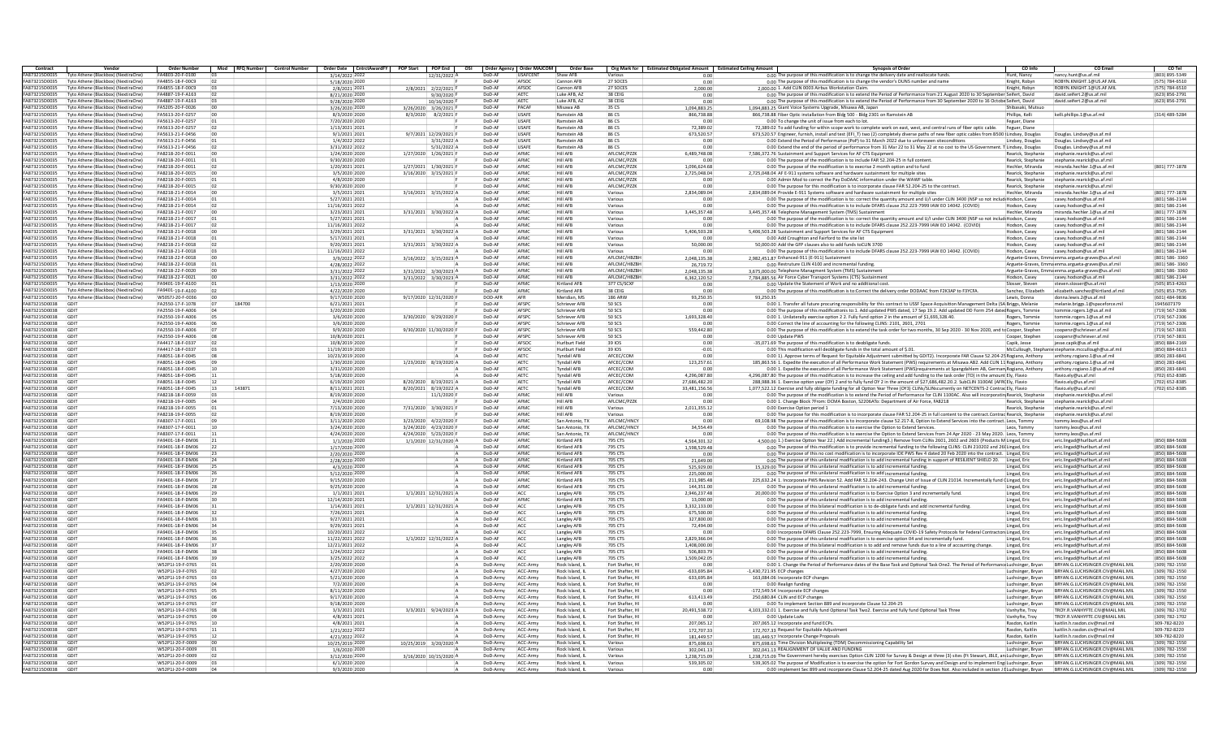| Contract                              | Vendor                                                                    | Order Number                         |                | Mod RFO Number Control Number |                                  | Order Date CntrctAwardFY POP Start POP End OSI Order Agency Order MAJCOM |                      |                      | Order Base                         |                                     | Org Mark for Estimated Obligated Amount Estimated Ceiling Amount | <b>Synopsis of Order</b>                                                                                                                                                              | CO Info                                  | <b>CO Email</b>                                                              | CO Tel                           |
|---------------------------------------|---------------------------------------------------------------------------|--------------------------------------|----------------|-------------------------------|----------------------------------|--------------------------------------------------------------------------|----------------------|----------------------|------------------------------------|-------------------------------------|------------------------------------------------------------------|---------------------------------------------------------------------------------------------------------------------------------------------------------------------------------------|------------------------------------------|------------------------------------------------------------------------------|----------------------------------|
| FA873215D0035                         | Tyto Athene (Blackbox) (NextiraOne                                        | FA4803-20-F-0100                     |                |                               | 3/14/2022 2022                   | 12/31/2022 /                                                             | DoD-AF               | USAFCENT             | Shaw AFB                           |                                     | n nn                                                             | 0.00 The purpose of this modification is to change the delivery date and reallocate funds                                                                                             | Hunt, Nancy                              | nancy.hunt@us.af.mil                                                         | (803) 895-5349                   |
| FA873215D0035                         | Tyto Athene (Blackbox) (NextiraOne)                                       | FA4855-18-F-00C9                     |                |                               | 5/18/2020 2020                   |                                                                          | DoD-AF               | AFSOC                | Cannon AFR                         | 27 SOCES                            | 0.00                                                             | 0.00 The purpose of this modification is to change the vendor's DUNS number and name                                                                                                  | Knight, Robyr                            | ROBYN KNIGHT 1@US AF MIL                                                     | (575) 784-6510                   |
| FA873215D0035<br>FA873215D0035        | Tyto Athene (Blackbox) (NextiraOne<br>Tyto Athene (Blackbox) (NextiraOne) | FA4855-18-F-00C9<br>FA4887-19-F-A163 |                |                               | 2/8/2021 202:<br>8/21/2020 2020  | 2/8/2021 2/22/2021<br>9/30/2020                                          | DoD-A<br>DoD-AF      | AFSOC<br><b>AETC</b> | Cannon AFB<br>Luke AFB, AZ         | 27 SOCES<br>38 CEIG                 | 2,000.00<br>0.00                                                 | 2,000.00 1. Add CLIN 0003 Airbus Workstation Clain<br>0.00 The purpose of this modification is to extend the Period of Performance from 21 August 2020 to 30 September Seifert, David | Knight, Robyr                            | ROBYN.KNIGHT.1@US.AF.M<br>david.seifert.2@us.af.mil                          | (575) 784-6510<br>(623) 856-2791 |
| FA873215D0035                         | Tyto Athene (Blackbox) (NextiraOne)                                       | FA4887-19-F-A163                     |                |                               | 9/28/2020 2020                   | 10/16/2020 F                                                             | DoD-AF               | AETC                 | Luke AFB, AZ                       | 38 CEIG                             | 0.00                                                             | 0.00 The purpose of this modification is to extend the Period of Performance from 30 September 2020 to 16 Octobe Seifert, David                                                       |                                          | david.seifert.2@us.af.mi                                                     | (623) 856-2791                   |
| <b>FA873215D0035</b>                  | Tyto Athene (Blackhox) (NextiraOne                                        | FA5205-20-F-0026                     |                |                               | 3/26/2020 2020                   | 3/26/2020 3/26/2021 B                                                    | DoD-AF               | PACAF                | Misawa AB                          | 35.05                               | 1.094.883.25                                                     | 1.094.883.25 Giant Voice Systems Upgrade, Misawa AB, Japan                                                                                                                            | Shihasaki, Mutsuc                        |                                                                              |                                  |
| FA873215D0035                         | Tyto Athene (Blackbox) (NextiraOne                                        | FA5613-20-F-0257                     | no             |                               | 8/3/2020 2020                    | 8/3/2020 8/2/2021                                                        | DoD-AF               | LISAFF               | Ramstein AB                        | 86.05                               | 866,738.88                                                       | 866.738.88 Fiber Optic installation from Bldg 500 - Bldg 2301 on Ramstein AB                                                                                                          | Phillins, Kelli                          | kelli.phillips.1@us.af.mil                                                   | (314) 489-5284                   |
| FA873215D003                          | Tyto Athene (Blackbox) (NextiraOne                                        | FA5613-20-F-0257                     |                |                               | 7/20/2020 2020                   |                                                                          | DoD-AF               | USAFE                | Ramstein AB                        | 86 CS                               |                                                                  | 0.00 To change the unit of issue from each to lot                                                                                                                                     | Feguer, Diane                            |                                                                              |                                  |
| FA873215D0035                         | Tyto Athene (Blackbox) (NextiraOne)                                       | FA5613-20-F-0257                     |                |                               | 1/13/2021 2021                   |                                                                          | DoD-AF               | USAFE                | Ramstein AB                        | 86 CS                               | 72,389.02                                                        | 72,389.02 To add funding for within scope work to complete work on east, west, and central runs of fiber optic cable.                                                                 | Feguer, Diane                            |                                                                              |                                  |
| FA873215D0035                         | Tyto Athene (Blackbox) (NextiraOne                                        | FA5613-21-F-0456                     |                |                               | 9/1/2021 2021                    | 9/7/2021 12/29/2021 F                                                    | DoD-AF               | USAFE                | Ramstein AB                        | 86 CS                               | 673.520.57                                                       | 673.520.57 Engineer, furnish, install and test (EFI T) two (2) completely diverse paths of new fiber optic cables from B500 (Lindsey, Douglas                                         |                                          | Douglas, Lindsey@us.af.mi                                                    |                                  |
| FA873215D0035                         | Tyto Athene (Blackhox) (NextiraOne                                        | FA5613-21-F-0456                     |                |                               | 1/4/2022 2022                    | 3/31/2022                                                                | DoD-AF               | LISAFF               | Ramstein AB                        | 86.05                               | 0.00                                                             | 0.00 Extend the Period of Performance (PoP) to 31 March 2022 due to unforeseen siteconditions                                                                                         | Lindsey, Douglas                         | Douglas, Lindsey@us.af.mi                                                    |                                  |
| FA873215D0035                         | Tyto Athene (Blackbox) (NextiraOne                                        | FA5613-21-F-0456                     | 02             |                               | 3/31/2022 2022                   | 5/31/2022                                                                | DoD-AF               | LISAFF               | Ramstein AB                        | 86.05                               | 0.00                                                             | 0.00 Extend the end of the period of performance from 31 Mar 22 to 31 May 22 at no cost to the US Government. T Lindsey, Douglas                                                      |                                          | Douglas. Lindsey@us.af.mi                                                    |                                  |
| FA873215D0035                         | Tyto Athene (Blackbox) (NextiraOne                                        | FA8218-20-F-0011                     |                |                               | 1/24/2020 2020                   | 1/27/2020 1/26/2021 F                                                    | DoD-AF               | AFMC                 | Hill AFE                           | AFLCMC/PZZ                          | 6,489,748.08                                                     | 7,586,372.76 Sustainment and Support Services for AF CTS Equipn                                                                                                                       | Rearick, Stephanie                       | stephanie.rearick@us.af.mi                                                   |                                  |
| FA873215D0035                         | Tyto Athene (Blackbox) (NextiraOne)                                       | FA8218-20-F-0011                     |                |                               | 9/30/2020 2020                   |                                                                          | DoD-AF               | AFMC                 | <b>Hill AFB</b>                    | AFLCMC/PZZK                         | 0.00                                                             | 0.00 The purpose of the modification is to include FAR 52.204-25 in full content                                                                                                      | Rearick, Stephanie                       | stephanie.rearick@us.af.mil                                                  |                                  |
| FA873215D0035<br>FA873215D0035        | Tyto Athene (Blackbox) (NextiraOne<br>Tyto Athene (Blackhox) (NextiraOne  | FA8218-20-F-0011<br>FA8218-20-F-0015 |                |                               | 1/20/2021 2021<br>3/5/2020 2020  | 1/27/2021 1/30/2021 F<br>3/16/2020 3/15/2021 F                           | DoD-AF<br>DoD-AF     | AFMC<br>AFMC         | Hill AFB<br><b>Hill AFR</b>        | AFLCMC/PZZK<br>AFI CMC/P77K         | 1.096.624.68<br>2.725.048.04                                     | 0.00 The purpose of the modification is to execrise 2 month option and to fund<br>2.725.048.04 AF E-911 systems software and bardware sustainment for multiple sites                  | Hechler, Miranda<br>Rearick, Stephanie   | miranda.hechler.1@us.af.mi<br>stephanie rearick@us.af.mil                    | 801) 777-1878                    |
| FA873215D0035                         | Tyto Athene (Blackbox) (NextiraOne                                        | FA8218-20-F-0015                     |                |                               | 4/8/2020 2020                    |                                                                          | DoD-AF               | AFMC                 | Hill AFR                           | AFI CMC/P77K                        | 0.00                                                             | 0.00 Admin Mod to correct the Pay DoDAAC information under the WAWF table                                                                                                             | Rearick, Stephanie                       | stephanie.rearick@us.af.mil                                                  |                                  |
| FA873215D0035                         | Tyto Athene (Blackbox) (NextiraOne                                        | FA8218-20-F-0015                     |                |                               | 9/30/2020 2020                   |                                                                          | DoD-AF               | AFMC                 | <b>Hill AFE</b>                    | AFLCMC/PZZK                         | 0.00                                                             | 0.00 The purpose for this modification is to incorporate clause FAR 52.204-25 to the contract                                                                                         | Rearick, Stephanie                       | stephanie.rearick@us.af.mil                                                  |                                  |
| FA873215D0035                         | Tyto Athene (Blackbox) (NextiraOne)                                       | FA8218-21-F-0014                     |                |                               | 3/5/2021 2021                    | 3/16/2021 3/15/2022 A                                                    | DoD-AF               | AFMC                 | Hill AFB                           | Various                             | 2.834.089.04                                                     | 2,834,089.04 Provide E-911 Systems software and hardware sustainment for multiple sites                                                                                               | Hechler, Miranda                         | miranda.hechler.1@us.af.mi                                                   | (801) 777-1878                   |
| <b>FA873215D0035</b>                  | Tyto Athene (Blackhox) (NextiraOne)                                       | FA8218-21-F-0014                     |                |                               | 5/27/2021 2021                   |                                                                          | DoD-AF               | AFMC                 | Hill AFR                           | Various                             | 0.00                                                             | 0.00 The purpose of the modification is to: correct the quantity amount and U/Lunder CLIN 3400 (NSP so not include Hodson, Casey                                                      |                                          | casey hodson@us.af.mil                                                       | (801) 586-2144                   |
| FA873215D0035                         | Tyto Athene (Blackhox) (NextiraOne                                        | FA8218-21-F-0014                     |                |                               | 11/16/2021 2022                  |                                                                          | DoD-AF               | AFMC                 | Hill AFR                           | Various                             | 0.00                                                             | 0.00 The purpose of this modification is to include DFARS clause 252.223-7999 IAW EO 14042. (COVID)                                                                                   | Hodson, Casey                            | casey hodson@us.af.mil.                                                      | (801) 586-2144                   |
| FA873215D0035                         | Tyto Athene (Blackbox) (NextiraOne                                        | FA8218-21-F-0017                     | 100            |                               | 3/23/2021 2021                   | 3/31/2021 3/30/2022 /                                                    | DoD-AF               | AFMO                 | Hill AFR                           | Various                             | 3,445,357.48                                                     | 3,445,357.48 Telephone Management System (TMS) Sustainment                                                                                                                            | Hechler, Miranda                         | miranda.hechler.1@us.af.mi                                                   | (801) 777-1878                   |
| FA873215D0035                         | Tyto Athene (Blackbox) (NextiraOne                                        | FA8218-21-F-0017                     |                |                               | 5/27/2021 2021                   |                                                                          | DoD-A                | AFMO                 | <b>Hill AFE</b>                    | Various                             | 0.00                                                             | 0.00 The purpose of the modification is to: correct the quantity amount and U/I under CLIN 3400 (NSP so not includi Hodson, Casey                                                     |                                          | casey.hodson@us.af.mil                                                       | (801) 586-2144                   |
| FA873215D0035                         | Tyto Athene (Blackbox) (NextiraOne)                                       | FA8218-21-F-0017                     | 02             |                               | 11/16/2021 2022                  |                                                                          | DoD-AF               | AFMC                 | Hill AFB                           | Various                             | 0.00                                                             | 0.00 The purpose of this modification is to include DFARS clause 252.223-7999 IAW EO 14042. (COVID)                                                                                   | Hodson, Casey                            | casey.hodson@us.af.mil                                                       | (801) 586-2144                   |
| FA873215D0035                         | Tyto Athene (Blackhox) (NextiraOne)                                       | FA8218-21-F-0018                     | n              |                               | 3/29/2021 2021                   | 3/31/2021 3/30/2022 A                                                    | DoD-AF               | AFMC                 | <b>Hill AFR</b>                    | Various                             | 5.406.503.28                                                     | 5.406.503.28 Sustainment and Support Services for AF CTS Equipment                                                                                                                    | Hodson, Casey                            | casey hodson@us.af.mil.                                                      | (801) 586-2144                   |
| FA873215D0035                         | Tyto Athene (Blackhox) (NextiraOne                                        | FA8218-21-F-0018                     |                |                               | 5/17/2021 2021                   |                                                                          | DoD-AF               | AFMC                 | Hill AFR                           | Various                             | 0.00                                                             | 0.00 Add Croughton and Fairford to the site list                                                                                                                                      | Hodson, Casey                            | casey hodson@us.af.mil.                                                      | (801) 586-2144                   |
| <b>FA873215D0035</b>                  | Tyto Athene (Blackbox) (NextiraOne                                        | FAR218-21-F-0018                     | n <sub>2</sub> |                               | 9/20/2021 2021                   | 3/31/2021 3/30/2022 /                                                    | DoD-AF               | AFMO                 | Hill AFR                           | Various                             | 50,000.00                                                        | 50,000,00 Add the GFP clauses also to add funds toCLIN 3700                                                                                                                           | Hodson, Casey                            | casey.hodson@us.af.mil                                                       | (801) 586-2144                   |
| FA873215D0035                         | Tyto Athene (Blackbox) (NextiraOne                                        | FA8218-21-F-0018                     |                |                               | 11/16/2021 2022                  |                                                                          | DoD-A                | AFMO                 | <b>Hill AFE</b>                    | Various                             | 0.00                                                             | 0.00 The purpose of this modification is to include DFARS clause 252.223-7999 IAW EO 14042. (COVID)                                                                                   | Hodson, Casev                            | casey.hodson@us.af.mil                                                       | (801) 586-2144                   |
| FA873215D0035                         | Tyto Athene (Blackbox) (NextiraOne)                                       | FA8218-22-F-0018                     |                |                               | 3/9/2022 2022                    | 3/16/2022 3/15/2023 A                                                    | DoD-AF               | AFMC                 | Hill AFB                           | AFLCMC/HBZBI                        | 2,048,135.38                                                     | 2,982,451.87 Enhanced-911 (E-911) Sustainment                                                                                                                                         |                                          | Arguete-Graves, Emma enma.argueta-graves@us.af.mil                           | (801) 586-3360                   |
| FA873215D0035                         | Tyto Athene (Blackhox) (NextiraOne)                                       | FA8218-22-F-0018                     |                |                               | 4/28/2022 2022                   |                                                                          | DoD-AF               | AFMC                 | <b>Hill AFR</b>                    | AFI CMC/HR7RH                       | 26.719.72                                                        | 0.00 Restruture CLIN 4100 and incremental funding                                                                                                                                     |                                          | Arguete-Graves, Emma enma, argueta-graves@us, af.mil                         | (801) 586-3360                   |
| FA873215D0035<br>FA873215D0035        | Tyto Athene (Blackhox) (NextiraOne<br>Tyto Athene (Blackbox) (NextiraOne  | FA8218-22-F-0020<br>FA8218-22-F-0021 | no             |                               | 3/31/2022 2022                   | 3/31/2022 3/30/2023 A                                                    | DoD-AF<br>DoD-AF     | AFMC<br>AFMO         | Hill AFR<br>Hill AFR               | AFI CMC/HR7RH<br>AFI CMC/HR7RH      | 2,048,135.38                                                     | 3.675.000.00 Telephone Managment System (TMS) Sustainmen                                                                                                                              |                                          | Arguete-Graves, Emma enma.argueta-graves@us.af.mil<br>casey.hodson@us.af.mil | (801) 586-3360<br>(801) 586-2144 |
| FA873215D0035                         | Tyto Athene (Blackbox) (NextiraOne                                        | FA9401-19-F-A100                     |                |                               | 3/31/2022 2022<br>1/13/2020 2020 | 3/31/2022 3/30/2023 A                                                    | DoD-AF               | AFMO                 | Kirtland AFB                       | 377 CS/SCXF                         | 6.362.120.52<br>0.00                                             | 7.784.885.56 Air Force Cyber Transport Systems (CTS) Sustainmen<br>0.00 Update the Statement of Work and no additional cost                                                           | Hodson, Casey<br>Slosser, Steven         | steven.slosser@us.af.mil                                                     | (505) 853-4263                   |
| FA873215D0035                         | Tyto Athene (Blackbox) (NextiraOne)                                       | FA9401-19-F-A100                     |                |                               | 4/22/2020 2020                   |                                                                          | DoD-AF               | AFMC                 | Kirtland AFB                       | 38 CEIG                             | 0.00                                                             | 0.00 The purpose of this modification is to:Correct the delivery order DODAAC from F2K3AP to F3YCFA.                                                                                  | Sanchez, Elizabeth                       | elizabeth.sanchez@kirtland.af.mi                                             | (505) 853-7505                   |
| FA873215D0035                         | Tyto Athene (Blackbox) (NextiraOne)                                       | W50571-20-E-0036                     | inn            |                               | 9/17/2020 2020                   | 9/17/2020 12/31/2020 F                                                   | DOD-AFR              | AFR                  | Meridian, MS                       | <b>186 ARW</b>                      | 93.250.35                                                        | 93.250.35                                                                                                                                                                             | Lewis, Donna                             | donna lewis 2@us af.mil                                                      | (601) 484-9836                   |
| FA873215D0038                         | GDIT                                                                      | FA2550-17-F-1078                     |                | 184700                        | 6/21/2021 2021                   |                                                                          | DoD-AF               | AFSPC                | Schriever AFP                      | 50 SCS                              | 0.00                                                             | 0.00 1. Transfer all future procuring responsibility for this contract to USSF Space Acquisition Management Delta (SA Briggs, Melanie                                                 |                                          | melanie.briggs.1@spaceforce.mi                                               | 1945607379                       |
| FA873215D0038                         | GDIT                                                                      | FA2550-19-F-A006                     | 04             |                               | 3/20/2020 2020                   |                                                                          | DoD-AF               | AFSPO                | Schriever AFE                      | 50 SCS                              | 0.00                                                             | 0.00 The purpose of this modificationis to:1. Add updated PWS dated, 17 Sep 19.2. Add updated DD Form 254 dated Rogers, Tommie                                                        |                                          | tommie.rogers.1@us.af.mil                                                    | (719) 567-2306                   |
| FA873215D0038                         | GDIT                                                                      | FA2550-19-F-A006                     |                |                               | 3/6/2020 2020                    | 3/30/2020 9/29/2020 F                                                    | DoD-AF               | AFSPC                | Schriever AFE                      | 50 SCS                              | 1,693,328.40                                                     | 0.00 1. Unilaterally exercise option 2 2. Fully fund option 2 in the amount of \$1,693,328.40.                                                                                        | Rogers, Tommie                           | tommie.rogers.1@us.af.mi                                                     | (719) 567-2306                   |
| FA873215D0038                         | GDIT                                                                      | FA2550-19-F-A006                     |                |                               | 3/6/2020 2020                    |                                                                          | DoD-AF               | AFSPC                | Schriever AFB                      | 50 SCS                              | 0.00                                                             | 0.00 Correct the line of accounting for the following CLINS: 2101, 2601, 2701                                                                                                         | Rogers, Tommie                           | tommie.rogers.1@us.af.mi                                                     | (719) 567-2306                   |
| FA873215D0038                         | GDIT                                                                      | FA2550-19-F-A006                     |                |                               | 9/9/2020 2020                    | 9/30/2020 11/30/2020 F                                                   | DoD-AF               | AFSPC                | Schriever AFF                      | 50.505                              | 559.442.80                                                       | 0.00 The purpose of this modification is to extend the task order for two months, 30 Sep 2020 - 30 Nov 2020, and to Cooper, Stephen                                                   |                                          | coopersr@schriever.af.mil                                                    | (719) 567-3831                   |
| <b>FA873215D0038</b>                  | GDIT                                                                      | FA2550-19-F-A006                     |                |                               | 10/8/2020 202:                   |                                                                          | DoD-AF               | AFSPC                | Schriever AFF                      | 50.505                              | 0.00                                                             | 0.00 Undate PWS                                                                                                                                                                       | Cooper, Stephen                          | coopersr@schriever.af.mil                                                    | (719) 567-3831                   |
| FA873215D0038                         | GDIT                                                                      | FA4417-18-F-0337                     |                |                               | 10/8/2019 2020                   |                                                                          | DoD-AF               | AFSOC                | Hurlburt Field                     | 39 IOS                              | 0.00                                                             | -35,071.69 The purpose of this modification is to deobligate funds.                                                                                                                   | Capik, Jesse                             | jesse.capik@us.af.mil                                                        | (850) 884-2169                   |
| FA873215D0038                         | GDIT                                                                      | FA4417-18-F-0337                     |                |                               | 11/19/2019 2020                  |                                                                          | DoD-AF               | AFSOC                | Hurlburt Field                     | 39 IOS                              | $-0.01$                                                          | 0.00 This modification will deobligate funds in the total amount of \$.01.                                                                                                            |                                          | McCullough, Stephanie stephanie.mccullough@us.af.mi                          | (850) 884-6613                   |
| FA873215D0038                         | GDIT                                                                      | FA8051-18-F-0045                     |                |                               | 10/23/2019 2020                  |                                                                          | DoD-AF               | AETC                 | <b>Tyndall AFB</b>                 | AFCEC/COM                           | 0.00                                                             | 0.00 1). Approve terms of Request for Equitable Adjustment submitted by GDIT2). Incorporate FAR Clause 52.204-25 Rogiano. Anthony                                                     |                                          | anthony.rogiano.1@us.af.mil                                                  | (850) 283-6841                   |
| FA873215D0038                         | GDIT                                                                      | FA8051-18-F-0045                     |                |                               | 1/30/2020 2020                   | 1/23/2020 8/19/2020 A                                                    | DoD-AF               | AETC                 | <b>Tyndall AFB</b>                 | AFCEC/COM                           | 123.257.61                                                       | 185,863.56 1. Expedite the execution of all Performance Work Statement (PWS) requirements at Misawa AB2. Add CLIN 11 Rogiano, Anthony                                                 |                                          | anthony.rogiano.1@us.af.mi                                                   | (850) 283-6841                   |
| FA873215D0038                         | GDIT                                                                      | FA8051-18-F-0045                     |                |                               | 3/31/2020 2020                   |                                                                          | DoD-AF               | AETC                 | <b>Tyndall AFB</b>                 | AFCEC/COM                           | 0.00                                                             | 0.00 1. Expedite the execution of all Performance Work Statement (PWS)requirements at Spangdahlem AB, German Rogiano, Anthony                                                         |                                          | anthony.rogiano.1@us.af.mi                                                   | (850) 283-6841                   |
| FA873215D0038                         | GDIT                                                                      | FA8051-18-F-0045                     |                |                               | 5/18/2020 2020                   |                                                                          | DoD-AF               | AETC                 | <b>Tyndall AFB</b>                 | AFCEC/COM                           | 4.296.087.80                                                     | 4.296.087.80 The purpose of this modification is to increase the ceiling and add funding to the task order (TO) in the amount Ely, Flavic                                             |                                          | flavio.ely@us.af.mil                                                         | (702) 652-8385                   |
| FA873215D0038                         | GDIT                                                                      | FA8051-18-F-0045                     | 12             |                               | 6/19/2020 2020                   | 8/20/2020 8/19/2021 A                                                    | DoD-AF               | AETC                 | <b>Tyndall AFR</b>                 | AFCEC/COM                           | 27,686,482.20                                                    | 288,988.36 1. Exercise option year (OY) 2 and to fully fund OY 2 in the amount of \$27,686,482.20.2. SubCLIN 3100AE (AFR(Ely, Flavio                                                  |                                          | flavio elv@us af mil                                                         | (702) 652-8385                   |
| FA873215D0038                         | GDIT                                                                      | FA8051-18-F-0045                     | 13             | 143871                        | 8/11/2021 2021                   | 8/20/2021 8/19/2022 A                                                    | DoD-AF               | AETC                 | <b>Tyndall AFB</b>                 | AFCEC/COM                           | 33.481.156.56                                                    | 1.077.522.12 Exercise and fully obligate funding for all Option Year Three (OY3) CLINs/SLINscurrently on NETCENTS-2 Contrac Ely. Flavio                                               |                                          | flavio.elv@us.af.mil                                                         | (702) 652-8385                   |
| <b>FA873215D0038</b>                  | GDIT<br>GDIT                                                              | FA8218-18-F-0059                     |                |                               | 8/19/2020 2020                   | 11/1/2020 F                                                              | DoD-AF<br>DoD-AF     | AFMC<br>AFMO         | Hill AFR<br>Hill AFR               | Various<br>AFLCMC/PZZK              | 0.00<br>0.00                                                     | 0.00 The purpose of the modification is to extend the Period of Performance for CLIN 1100AC. Also will incorporatin Rearick, Stephanie                                                |                                          | stephanie.rearick@us.af.mil                                                  |                                  |
| FA873215D0038<br>FA873215D0038        | GDIT                                                                      | FA8218-19-F-0005<br>FA8218-19-F-0055 |                |                               | 2/4/2020 2020                    |                                                                          | DoD-AF               | AFMO                 | Hill AFR                           | Various                             |                                                                  | 0.00 1. Change Block 7From: DCMA Boston, S2206ATo: Department of Air Force, FA8218<br>0.00 Exercise Option period 1                                                                   | Rearick, Stephanie<br>Rearick, Stephanie | stephanie.rearick@us.af.mil<br>stephanie.rearick@us.af.mil                   |                                  |
| FA873215D0038                         | GDIT                                                                      | FA8218-19-F-0055                     |                |                               | 7/13/2020 2020<br>8/19/2020 2020 | 7/31/2020 3/30/2021                                                      | DoD-AF               | AFMC                 | Hill AFB                           | Various                             | 2,011,355.12<br>n.nn                                             | 0.00 The purpose for this modification is to incorporate clause FAR 52.204-25 in full content to the contract.Contrac Rearick, Stephanie                                              |                                          | stephanie.rearick@us.af.mil                                                  |                                  |
| FA873215D0038                         | GDIT                                                                      | FA8307-17-F-0011                     |                |                               | 3/11/2020 2020                   | 3/23/2020 4/22/2020 F                                                    | DoD-AF               | AFMC                 | San Antonio. TX                    | AFLCMC/HNCY                         | 0.00                                                             | 69.108.98 The purpose of this modification is to incorporate clause 52.217-8. Option to Extend Services into the contract. Leos. Tommy                                                |                                          | tommy.leos@us.af.mil                                                         |                                  |
| <b>FA873215D0038</b>                  | GDIT                                                                      | FA8307-17-F-0011                     |                |                               | 3/24/2020 2020                   | $3/24/2020$ $4/23/2020$ F                                                | DoD-AF               | AFMC                 | San Antonio, TX                    | AFLOMO/HNOV                         | 34,554.49                                                        | 0.00 The purpose of this modification is to exercise the Option to Extend Services                                                                                                    | Leos, Tommy                              | tommy.leos@us.af.mil                                                         |                                  |
| FA873215D0038                         | GDIT                                                                      | FA8307-17-F-0011                     |                |                               | 4/24/2020 2020                   | 4/24/2020 5/23/2020 F                                                    | DoD-AF               | AFMO                 | San Antonio, TX                    | AFLCMC/HNCY                         | 0.00                                                             | 0.00 The purpose of this modification is to exercise the Option to Extend Services from 24 Apr 2020 - 23 May 2020. Leos, Tommy                                                        |                                          | tommy.leos@us.af.mi                                                          |                                  |
| FA873215D0038                         | GDIT                                                                      | FA9401-18-F-DM06                     |                |                               | 1/1/2020 2020                    | 1/1/2020 12/31/2020 /                                                    | DoD-AF               | AFMO                 | Kirtland AFB                       | 795 CTS                             | 4,564,301.32                                                     | 4,500.00 1.) Exercise Option Year 22.) Add incremental funding3.) Remove from CLINs 2601, 2602 and 2603 (Products M Lingad, Eric                                                      |                                          | eric.lingad@hurlburt.af.mi                                                   | (850) 884-5608                   |
| FA873215D0038                         | GDIT                                                                      | FA9401-18-F-DM06                     | $_{22}$        |                               | 1/17/2020 2020                   |                                                                          | DoD-AF               | AFMC                 | Kirtland AFB                       | 795 CTS                             | 1.598.529.48                                                     | 0.00 The purpose of this modification is to provide incremental funding to the following CLINS: CLIN 210202 and 26(Lingad, Eric                                                       |                                          | eric.lingad@hurlburt.af.mi                                                   | (850) 884-5608                   |
| FA873215D0038                         | GDIT                                                                      | FA9401-18-F-DM06                     | 23             |                               | 2/20/2020 2020                   |                                                                          | DoD-AF               | AFMC                 | Kirtland AFB                       | 795 CTS                             | 0.00                                                             | 0.00 The purpose of this no cost modification is to incorporate IDE PWS Rev 4 dated 20 Feb 2020 into the contract. Lingad, Eric                                                       |                                          | eric.lingad@hurlburt.af.mi                                                   | (850) 884-5608                   |
| <b>FA873215D0038</b>                  | GDIT                                                                      | FA9401-18-F-DM06                     | 24             |                               | 2/28/2020 2020                   |                                                                          | DoD-AF               | AFMC                 | Kirtland AFR                       | 705 CTS                             | 21.649.00                                                        | 0.00 The purpose of this unilateral modification is to add incremental funding in support of RESILIENT SHIELD 20. Lingad, Eric                                                        |                                          | eric.lingad@hurlburt.af.mil                                                  | (850) 884-5608                   |
| FA873215D0038                         | GDIT                                                                      | FA9401-18-F-DM06                     |                |                               | 4/3/2020 2020                    |                                                                          | DoD-AF               | AFMO                 | Kirtland AFB                       | 705 CTS                             | 525,929.00                                                       | 15,329.00 The purpose of this unilateral modification is to add incremental funding.                                                                                                  | Lingad, Eri                              | eric.lingad@hurlburt.af.mi                                                   | (850) 884-5608                   |
| FA873215D0038                         | GDIT                                                                      | FA9401-18-F-DM06                     |                |                               | 5/12/2020 2020                   |                                                                          | DoD-A                | AFMO                 | Kirtland AFB                       | 705 CTS                             | 225,000.00                                                       | 0.00 The purpose of this unilateral modification is to add incremental funding.                                                                                                       | Lingad, Eric                             | eric.lingad@hurlburt.af.mi                                                   | (850) 884-5608                   |
| FA873215D0038                         | GDIT                                                                      | FA9401-18-F-DM06                     |                |                               | 9/15/2020 2020                   |                                                                          | DoD-AF               | AFMC                 | Kirtland AFB                       | 705 CTS                             | 211.985.48                                                       | 225,632.24 1. Incorporate PWS Revision 52. Add FAR 52.204-243. Change Unit of Issue of CLIN 21014. Incrementally fund (Lingad, Eric                                                   |                                          | eric.lingad@hurlburt.af.mi                                                   | (850) 884-5608                   |
| FA873215D0038                         | GDIT                                                                      | FA9401-18-F-DM06                     | 28             |                               | 9/25/2020 2020                   |                                                                          | DoD-AF               | AFMC                 | Kirtland AFB                       | 705 CTS                             | 144,351.00                                                       | 0.00 The purpose of this unilateral modification is to add incremental funding.                                                                                                       | Lingad, Eric                             | eric.lingad@hurlburt.af.mi                                                   | (850) 884-5608                   |
| FA873215D0038                         | GDIT                                                                      | FA9401-18-F-DM06                     |                |                               | 1/1/2021 2021                    | 1/1/2021 12/31/2021 A                                                    | DoD-AF<br>DoD-AF     | ACC<br>AFMO          | Langley AFB                        | 705 CTS                             | 2.946.237.48                                                     | 20,000.00 The purpose of this unilateral modification is to Exercise Option 3 and incrementally fund                                                                                  | Lingad, Eric                             | eric.lingad@hurlburt.af.mil                                                  | (850) 884-5608                   |
| FA873215D0038<br>FA873215D0038        | GDIT<br>GDIT                                                              | FA9401-18-F-DM06<br>FA9401-18-F-DM06 |                |                               | 12/14/2020 202:                  | 1/1/2021 12/31/2021 /                                                    | DoD-A                | ACC                  | Kirtland AFB                       | 705 CTS<br>705 CTS                  | 13,000.00<br>3.332.133.00                                        | 0.00 The purpose of this unilateral modification is to add incremental funding<br>0.00 The purpose of this bilateral modification is to de-obligate funds and add incremental funding | Lingad, Eric                             | eric.lingad@hurlburt.af.mi                                                   | (850) 884-5608<br>(850) 884-5608 |
| FA873215D0038                         | GDIT                                                                      | FA9401-18-F-DM06                     | 32             |                               | 1/14/2021 2021<br>7/26/2021 2021 |                                                                          | DoD-AF               | ACC                  | Langley AFB                        | 705 CTS                             | 675,500.00                                                       | 0.00 The purpose of this unilateral modification is to add incremental funding.                                                                                                       | Lingad, Eric<br>Lingad, Eric             | eric.lingad@hurlburt.af.mi<br>eric.lingad@hurlburt.af.mi                     | (850) 884-5608                   |
| <b>FA873215D0038</b>                  | GDIT                                                                      | FA9401-18-F-DM06                     | 133            |                               | 9/27/2021 2021                   |                                                                          | DoD-AF               | ACC                  | Langley AFB<br>Langley AFB         | 705 CTS                             | 327,800,00                                                       | 0.00 The purpose of this unilateral modification is to add incremental funding                                                                                                        | Lingad, Eric                             | eric.lingad@hurlburt.af.mi                                                   | (850) 884-5608                   |
| FA873215D0038                         | GDIT                                                                      | FA9401-18-F-DM06                     |                |                               | 9/29/2021 2021                   |                                                                          | DoD-AF               | ACC                  | Langley AFB                        | 705 CTS                             | 72,494.00                                                        | 0.00 The purpose of this unilateral modification is to add incremental funding.                                                                                                       | Lingad, Eric                             | eric.lingad@hurlburt.af.mil                                                  | (850) 884-5608                   |
| FA873215D0038                         | GDIT                                                                      | FA9401-18-F-DM06                     |                |                               | 10/20/2021 2022                  |                                                                          | DoD-AF               | ACC                  | Langley AFB                        | 705 CTS                             | 0.00                                                             | 0.00 Incorporate DFARS Clause 252.223-7999, Ensuring Adequate COVID-19 Safety Protocols for Federal Contra                                                                            | s Lingad, Eric                           | eric.lingad@hurlburt.af.mi                                                   | (850) 884-5608                   |
| FA873215D0038                         | GDIT                                                                      | FA9401-18-F-DM06                     |                |                               | 11/22/2021 2022                  | 1/1/2022 12/31/2022 /                                                    | DoD-A                | ACC                  | Langley AFB                        | 705 CTS                             | 2.829.366.04                                                     | 0.00 The purpose of this unilateral modification is to exercise option 04 and incrementally fund                                                                                      | Lingad, Eric                             | eric.lingad@hurlburt.af.mi                                                   | (850) 884-5608                   |
| FA873215D0038                         | GDIT                                                                      | FA9401-18-F-DM06                     |                |                               | 12/21/2021 2022                  |                                                                          | DoD-AF               | ACC                  | Langley AFB                        | 705 CTS                             | 1.408.000.00                                                     | 0.00 The purpose of this bilateral modification is to add and remove funds due to a line of accounting change                                                                         | Lingad, Eric                             | eric.lingad@hurlburt.af.mi                                                   | (850) 884-5608                   |
| FA873215D0038                         | GDIT                                                                      | FA9401-18-F-DM06                     |                |                               | 1/24/2022 2022                   |                                                                          | DoD-AF               | ACC                  | Langley AFB                        | 705 CTS                             | 506.803.79                                                       | 0.00 The purpose of this unilateral modification is to add incremental funding                                                                                                        | Lingad, Eric                             | eric.lingad@hurlburt.af.mi                                                   | (850) 884-5608                   |
| FA873215D0038                         | GDIT                                                                      | FA9401-18-F-DM06                     |                |                               | 3/25/2022 2022                   |                                                                          | DoD-AF               | ACC                  | Langley AFB                        | 705 CTS                             | 1,509,042.05                                                     | 0.00 The purpose of this unilateral modification is to add incremental funding.                                                                                                       | Lingad, Eric                             | eric.lingad@hurlburt.af.mil                                                  | (850) 884-5608                   |
| FA873215D0038                         | GDIT                                                                      | W52P1J-19-F-0765                     |                |                               | 2/20/2020 2020                   |                                                                          | DoD-Army             | ACC-Army             | Rock Island, I                     | Fort Shafter, H                     | 0.00                                                             | 0.00 1. Change the Period of Performance dates of the Base Task and Optional Task One2. The Period of Performan                                                                       | nce Luchsinger, Bryar                    | BRYAN.G.LUCHSINGER.CIV@MAIL.MI                                               | (309) 782-1550                   |
| FA873215D0038                         | GDIT                                                                      | W52P1J-19-F-0765                     |                |                               | 4/27/2020 2020                   |                                                                          | DoD-Army             | ACC-Army             | Rock Island, I                     | Fort Shafter, H                     | $-633.695.84$                                                    | -1,430,721.95 ECP changes                                                                                                                                                             | Luchsinger, Bryan                        | BRYAN.G.LUCHSINGER.CIV@MAIL.MII                                              | (309) 782-1550                   |
| FA873215D0038                         | GDIT                                                                      | W52P1J-19-F-0765                     |                |                               | 5/21/2020 2020                   |                                                                          | DoD-Army             | ACC-Army             | Rock Island, IL                    | Fort Shafter, HI                    | 633.695.84                                                       | 163.084.06 Incorporate ECP changes                                                                                                                                                    | Luchsinger, Bryan                        | BRYAN.G.LUCHSINGER.CIV@MAIL.MIL                                              | (309) 782-1550                   |
| FA873215D0038                         | GDIT                                                                      | W52P1I-19-F-0765                     |                |                               | 7/2/2020 2020                    |                                                                          | DoD-Army             | ACC-Army             | Rock Island, II                    | Fort Shafter, HI                    | 0.00                                                             | 0.00 Realign funding                                                                                                                                                                  | Luchsinger, Bryan                        | BRYAN G.I UCHSINGER CIV@MAIL MIL                                             | (309) 782-1550                   |
| FA873215D0038                         | GDIT                                                                      | W52P1J-19-F-0765                     |                |                               | 8/11/2020 2020                   |                                                                          | DoD-Army             | ACC-Army             | Rock Island, I                     | Fort Shafter, H                     | 0.00                                                             | 172,549.54 Incorporate ECP changes                                                                                                                                                    | Luchsinger, Bryan                        | BRYAN.G.LUCHSINGER.CIV@MAIL.MII                                              | (309) 782-1550                   |
| FA873215D0038                         | GDIT                                                                      | W52P1J-19-F-0765                     |                |                               | 9/17/2020 2020                   |                                                                          | DoD-Army             | ACC-Army             | Rock Island, I                     | Fort Shafter, H                     | 613.413.49                                                       | 250.680.84 CLIN and ECP changes                                                                                                                                                       | Luchsinger, Bryar                        | BRYAN.G.LUCHSINGER.CIV@MAIL.MII                                              | (309) 782-1550                   |
| FA873215D0038                         | GDIT                                                                      | W52P1J-19-F-0765                     |                |                               | 9/18/2020 2020                   |                                                                          | DoD-Army             | ACC-Army             | Rock Island, IL                    | Fort Shafter, H                     | 0.00                                                             | 0.00 To implement Section 889 and incorporate Clause 52.204-25                                                                                                                        | Luchsinger, Bryan                        | BRYAN.G.LUCHSINGER.CIV@MAIL.MIL                                              | (309) 782-1550                   |
| <b>FA873215D0038</b><br>FA873215D0038 | GDIT<br>GDIT                                                              | W52P1I-19-F-0765<br>W52P1I-19-F-0765 | n8             |                               | 3/3/2021 2021<br>4/8/2021 2021   | 3/3/2021 9/24/2023 A                                                     | DoD-Army             | ACC-Army<br>ACC-Army | Rock Island, II<br>Rock Island, II | Fort Shafter, HI<br>Fort Shafter, H | 20 491 538 72                                                    | 4.103.332.01.1. Exercise and fully fund Optional Task Two2. Exercise and fully fund Optional Task Three                                                                               | Vanhyfte, Troy                           | TROY R VANHYFTF CIV@MAIL MIL<br>TROY R VANHYFTF CIV@MAIL MIL                 | (309) 782-1702<br>(309) 782-1702 |
|                                       | GDIT                                                                      |                                      |                |                               |                                  |                                                                          | DoD-Army             |                      |                                    |                                     | 0.00                                                             | 0.00 Update LoAs                                                                                                                                                                      | Vanhyfte, Troy                           |                                                                              |                                  |
| FA873215D0038<br>FA873215D0038        | GDIT                                                                      | W52P1J-19-F-0765<br>W52P1J-19-F-0765 |                |                               | 4/8/2021 202:<br>1/21/2022 2022  |                                                                          | DoD-Army<br>DoD-Army | ACC-Army<br>ACC-Army | Rock Island, I<br>Rock Island, IL  | Fort Shafter, H<br>Fort Shafter, H  | 207,065.12<br>172,707.33                                         | 207,065.12 Incorporate and fund ECPs<br>172,707.33 Request for Equitable Adjustment                                                                                                   | Rasdon, Kaitlir<br>Rasdon, Kaitlin       | kaitlin.h.rasdon.civ@mail.mil<br>kaitlin.h.rasdon.civ@mail.mi                | 309-782-8220<br>309-782-8220     |
| FA873215D0038                         | GDIT                                                                      | W52P1J-19-F-0765                     | 12             |                               | 4/21/2022 2022                   |                                                                          | DoD-Army             | ACC-Army             | Rock Island, IL                    | Fort Shafter, H                     | 181.449.57                                                       | 181.449.57 Incorporate Change Proposals                                                                                                                                               | Rasdon, Kaitlin                          | kaitlin.h.rasdon.civ@mail.mil                                                | 309-782-8220                     |
| FA873215D0038                         | GDIT                                                                      | W52P1I-20-E-0009                     | nn             |                               | 10/25/2019 2020                  | 10/25/2019 3/20/2020 A                                                   | DoD-Army             | ACC-Army             | Rock Island, II                    | Various                             | 875.698.63                                                       | 875.698.63 Time Division Multiplexing (TDM) Decommissioning Capability Set                                                                                                            | Luchsinger, Brvan                        | <b>BRYAN G.I UCHSINGER CIV@MAIL MIL</b>                                      | (309) 782-1550                   |
| FA873215D0038                         | GDIT                                                                      | W52P1J-20-F-0009                     |                |                               | 1/6/2020 2020                    |                                                                          | DoD-Army             | ACC-Arm              | Rock Island, I                     | Various                             | 302.041.13                                                       | 302.041.13 REALIGNMENT OF VALUE AND FUNDING                                                                                                                                           | Luchsinger, Bryar                        | <b>BRYAN G.I UCHSINGER CIV@MAIL MIL</b>                                      | (309) 782-1550                   |
| FA873215D0038                         | GDIT                                                                      | W52P1J-20-F-0009                     |                |                               | 3/12/2020 2020                   | 3/16/2020 10/15/2020 /                                                   | DoD-Army             | ACC-Army             | Rock Island, I                     | Various                             | 1,238,715.09                                                     | 1,238,715.09 The Government hereby exercises Option CLIN 1200 for Survey & Design at three (3) sites (Ft Stewart, JBLE, an Luchsinger, Bryan                                          |                                          | BRYAN.G.LUCHSINGER.CIV@MAIL.MI                                               | (309) 782-1550                   |
| FA873215D0038                         | GDIT                                                                      | W52P1J-20-F-0009                     |                |                               | 6/1/2020 2020                    |                                                                          | DoD-Army             | ACC-Army             | Rock Island, IL                    | Various                             | 539.305.02                                                       | 539,305.02 The purpose of Modification is to exercise the option for Fort Gordon Survey and Design and to implement Engi Luchsinger, Bryan                                            |                                          | BRYAN.G.LUCHSINGER.CIV@MAIL.MII                                              | (309) 782-1550                   |
| FA873215D0038                         | GDIT                                                                      | W52P1J-20-F-0009                     |                |                               | 9/3/2020 2020                    |                                                                          | DoD-Army             | ACC-Army             | Rock Island, IL                    | Various                             | 0.00                                                             | 0.00 implement Sec 899 and incorporate Clause 52.204-25 dated Aug 2020 for Does Not. Also included in section J ELuchsinger, Bryan                                                    |                                          | BRYAN.G.LUCHSINGER.CIV@MAIL.MIL                                              | (309) 782-1550                   |
|                                       |                                                                           |                                      |                |                               |                                  |                                                                          |                      |                      |                                    |                                     |                                                                  |                                                                                                                                                                                       |                                          |                                                                              |                                  |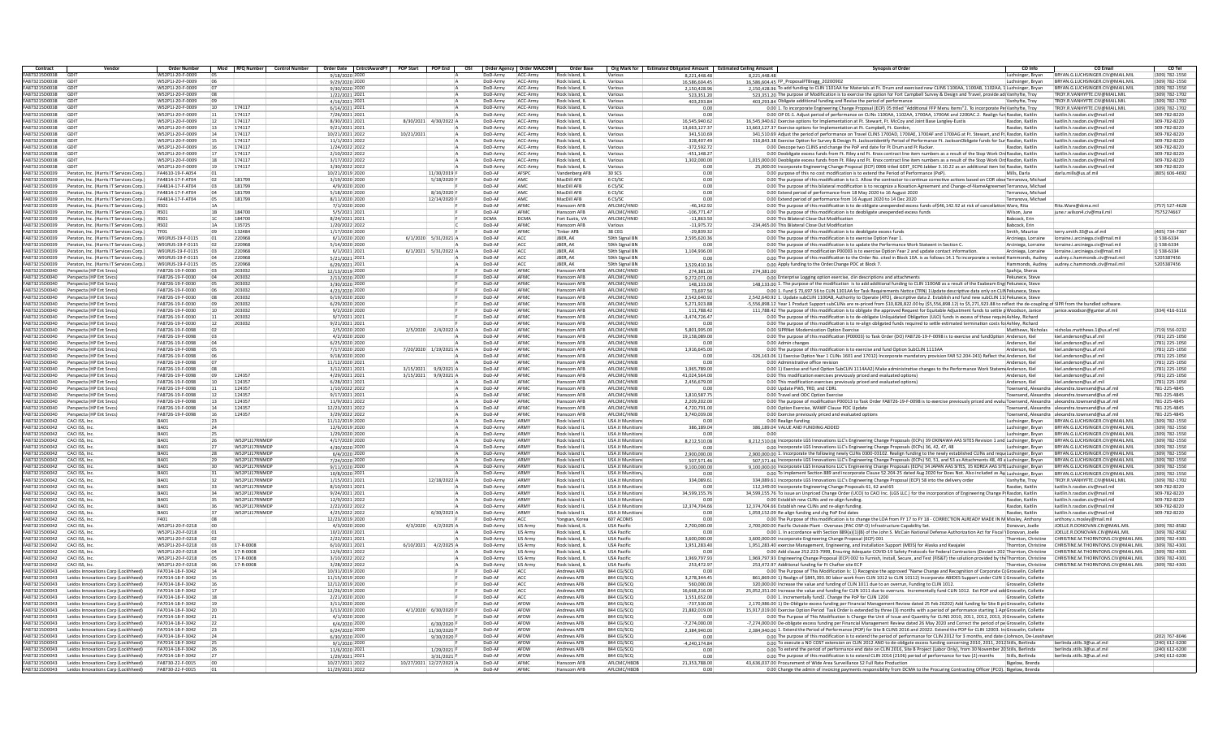| Contract                       | Vendor                                               |                                      | <b>Order Number</b>   | Mod RFQ Number Control Number | Order Date CntrctAwardFY POP Start POP End |                          | OSI                  | Order Agency Order MAJCOM | Order Base                       |                             | Org Mark for Estimated Obligated Amount Estimated Ceiling Amount | CO Info<br>CO Emai<br><b>Synopsis of Order</b>                                                                                                                                                                         | CO Tel         |
|--------------------------------|------------------------------------------------------|--------------------------------------|-----------------------|-------------------------------|--------------------------------------------|--------------------------|----------------------|---------------------------|----------------------------------|-----------------------------|------------------------------------------------------------------|------------------------------------------------------------------------------------------------------------------------------------------------------------------------------------------------------------------------|----------------|
| A873215D0038                   | GDI                                                  | W52P1J-20-F-0009                     |                       |                               | 9/18/2020 2020                             |                          | JoD-Armγ             | ACC-Army                  | Rock Island, IL                  | Various                     | 8,221,448.48                                                     | BRYAN.G.LUCHSINGER.CIV@MAIL.MI<br>8.221.448.48<br>Luchsinger, Bryan                                                                                                                                                    | (309) 782-1550 |
| A873215D0038                   | GDIT                                                 | W52P1J-20-F-0009                     |                       |                               | 9/29/2020 2020                             |                          | DoD-Army             | ACC-Army                  | Rock Island, IL                  | Various                     | 16.586.604.45                                                    | 16,586,604,45 FP ProposalFTBragg 20200902<br>BRYAN.G.LUCHSINGER.CIV@MAIL.MIL<br>Luchsinger, Bryan                                                                                                                      | (309) 782-1550 |
| FA873215D0038                  | GDIT                                                 | W52P1J-20-F-0009                     |                       |                               | 9/30/2020 2020                             |                          | DoD-Army             | ACC-Arm                   | Rock Island, IL                  | Various                     | 2.150.428.96                                                     | 2,150,428.96 To add funding to CLIN 1101AA for Materials at Ft. Drum and exercised new CLINS 1100AA, 1100AB, 1102AA, 1 Luchsinger, Bryan<br>BRYAN.G.LUCHSINGER.CIV@MAIL.MIL<br>(309) 782-1550                          |                |
| FA873215D0038                  | GDIT                                                 | W52P1J-20-F-0009                     | <b>n</b> <sub>8</sub> |                               | 1/22/2021 2021                             |                          | DoD-Army             | ACC-Army                  | Rock Island, I                   | Various                     | 523.351.20                                                       | 523,351.20 The purpose of Modification is to exercise the option for Fort Campbell Survey & Design and Travel, provide ad Vanhyfte, Troy<br>TROY.R.VANHYFTE.CIV@MAIL.MII                                               | (309) 782-1702 |
| A873215D0038                   | GDIT                                                 | W52P1J-20-F-0009                     |                       |                               | 4/16/2021 2021                             |                          | DoD-Army             | ACC-Army                  | Rock Island, IL                  | Various                     | 403,293.84                                                       | 403.293.84 Obligate additional funding and Revise the period of performance<br>TROY.R.VANHYFTE.CIV@MAIL.MIL<br>Vanhyfte, Trov                                                                                          | (309) 782-1702 |
| FA873215D0038                  | GDIT                                                 | W52P1J-20-F-0009                     | 10                    | 174117                        | 6/14/2021 2021                             |                          | DoD-Army             | ACC-Army                  | Rock Island, IL                  | Various                     | 0.00                                                             | 0.00 1. To incorporate Engineering Change Proposal (ECP) 05 titled "Additional FFP Menu Items"2. To incorporate Pe(Vanhyfte, Troy<br>TROY.R.VANHYFTE.CIV@MAIL.MIL<br>(309) 782-1702                                    |                |
| FA873215D0038                  | GDIT                                                 | W52P1J-20-F-0009                     | 11                    | 174117                        | 7/26/2021 2021                             |                          | DoD-Army             | ACC-Army                  | Rock Island, I                   | Various                     | 0.00                                                             | 0.00 OP 01:1. Adjust period of performance on CLINs 1100AA, 1102AA, 1700AA, 1700AK and 2200AC.2. Realign fun Rasdon, Kaitlin<br>309-782-8220<br>kaitlin.h.rasdon.civ@mail.mil                                          |                |
| <b>EA873215D0038</b>           | GDIT                                                 | W52P1J-20-F-0009                     | 12                    | 174117                        | 8/30/2021 2021                             | 8/30/2021 4/30/2022 A    | DoD-Army             | ACC-Arm                   | Rock Island, I                   | Various                     | 16.545.940.62                                                    | 16,545,940.62 Exercise options for Implementation at Ft. Stewart, Ft. McCoy and Joint Base Langley-Eustis<br>309-782-8220<br>Rasdon, Kaitlin<br>kaitlin.h.rasdon.civ@mail.mi                                           |                |
| FA873215D0038                  | GDIT                                                 | W52P1J-20-F-0009                     | 13                    | 174117                        | 9/21/2021 202                              |                          | DoD-Army             | ACC-Army                  | Rock Island,                     | Various                     | 13,663,127.37                                                    | 13,663,127.37 Exercise options for Implementation at Ft. Campbell, Ft. Gordon<br>Rasdon, Kaitlin<br>kaitlin.h.rasdon.civ@mail.mi<br>309-782-8220                                                                       |                |
| A873215D0038                   | GDIT                                                 | W52P1J-20-F-0009                     | 14                    | 174117                        | 10/21/2021 2022                            | 10/21/2021               | DoD-Army             | ACC-Army                  | Rock Island, IL                  | Various                     | 341.510.69                                                       | 341,510.69 Adjust the period of performance on Travel CLINS 1700AD, 1700AE, 1700AF and 1700AG at Ft. Stewart, and Ft. Rasdon, Kaitlin<br>kaitlin.h.rasdon.civ@mail.mi                                                  | 309-782-8220   |
| FA873215D0038                  | GDIT                                                 | W52P1J-20-F-0009                     |                       | 174117                        | 11/1/2021 2022                             |                          | DoD-Army             | ACC-Army                  | Rock Island, IL                  | Various                     | 328.407.49                                                       | 316.843.38 Exercise Option for Survey & Design Ft. JacksonIdentify Period of Performance Ft. JacksonObligate funds for Sur Rasdon, Kaitlin<br>309-782-8220<br>kaitlin.h.rasdon.civ@mail.mi                             |                |
| FA873215D0038                  | GDIT                                                 | W52P1J-20-F-0009                     | 16                    | 174117                        | 1/24/2022 2022                             |                          | DoD-Army             | ACC-Army                  | Rock Island, I                   | Various                     | $-372.592.72$                                                    | 309-782-8220<br>0.00 Descope two CLINS and change the PoP end date for Ft Drum and Ft Rucker.<br>Rasdon, Kaitlin<br>kaitlin.h.rasdon.civ@mail.mi                                                                       |                |
| FA873215D0038                  | GDIT                                                 | W52P1J-20-F-0009                     | 17                    | 174117                        | 2/10/2022 2022                             |                          | DoD-Army             | ACC-Arm                   | Rock Island, I                   | Various                     | $-451.148.27$                                                    | 309-782-8220<br>0.00 Deobligate excess funds from Ft. Riley and Ft. Knox contract line item numbers as a result of the Stop Work Orc Rasdon, Kaitlin<br>kaitlin.h.rasdon.civ@mail.mi                                   |                |
| FA873215D0038                  | GDIT                                                 | W52P1J-20-F-0009                     | 18                    | 174117                        | 3/17/2022 2022                             |                          | DoD-Army             | ACC-Army                  | Rock Island, I                   | Various                     | 1,302,000.00                                                     | 1,015,000.00 Deobligate excess funds from Ft. Riley and Ft. Knox contract line item numbers as a result of the Stop Work Orc Rasdon, Kaitlin<br>kaitlin.h.rasdon.civ@mail.mi<br>309-782-8220                           |                |
| FA873215D0038                  | GDIT                                                 | W52P1I-20-F-0009                     | 19                    | 174117                        | 3/30/2022 2022                             |                          | DoD-Army             | ACC-Army                  | Rock Island, IL                  | Various                     | 0.00                                                             | 25.000.00 Incorporate Engineering Change Proposal (ECP) 0006 titled GDIT ECP6 Jabber 3.10.22 as an additional item list Rasdon, Kaitlin<br>kaitlin h.rasdon civ@mail.mi                                                | 309-782-8220   |
| FA873215D0039                  | Peraton, Inc. (Harris IT Services Corp.)             | FA4610-19-F-A054                     | 01                    |                               | 10/21/2019 2020                            | 11/30/2019 F             | DoD-AF               | AFSPC                     | Vandenberg AFE                   | 30 SCS                      | 0.00                                                             | 0.00 purpose of this no cost modification is to extend the Period of Performance (PoP).<br>Mills, Darla<br>darla.mills@us.af.mil<br>(805) 606-4692                                                                     |                |
| FA873215D0039                  | Peraton, Inc. (Harris IT Services Corn.)             | FA4814-17-F-AT04                     | 02                    | 181799                        | 3/19/2020 2020                             | 5/18/2020 F              | DoD-AF               | AMC                       | MacDill AFR                      | 6.05/50                     | 0.00                                                             | 0.00 The purpose of this modification is to:1. Allow the contractor to continue corrective actions based on COR obse Terranova. Michae                                                                                 |                |
| FA873215D0039                  | Peraton, Inc. (Harris IT Services Corp.)             | FA4814-17-F-AT04                     | 03                    | 181799                        | 4/9/2020 2020                              |                          | DoD-AF               | AMC                       | MacDill AFB                      | 6 CS/S                      | 0.00                                                             | 0.00 The purpose of this bilateral modification is to recognize a Novation Agreement and Change-of-NameAgreemen Terranova, Michae                                                                                      |                |
| FA873215D0039                  | Peraton, Inc. (Harris IT Services Corp.)             | FA4814-17-F-AT04                     | 04                    | 181799                        | 5/18/2020 2020                             | 8/16/2020 F              | DoD-AF               | AMC                       | MacDill AFB                      | 6 CS/S                      | 0.00                                                             | 0.00 Extend period of performance from 18 May 2020 to 16 August 2020<br>Terranova, Michae                                                                                                                              |                |
| FA873215D0039                  | Peraton, Inc. (Harris IT Services Corp.)             | FA4814-17-F-AT04                     | 05                    | 181799                        | 8/11/2020 2020                             | 12/14/2020 F             | DoD-AF               | AMC                       | MacDill AFB                      | 6 CS/SC                     | 0.00                                                             | 0.00 Extend period of performance from 16 August 2020 to 14 Dec 2020<br>Terranova, Michae                                                                                                                              |                |
| FA873215D0039                  | Peraton, Inc. (Harris IT Services Corp.)             | RS01                                 |                       |                               | 7/1/2020 2020                              |                          | DoD-AF               | AFMC                      | Hanscom AFE                      | AFLCMC/HNID                 | $-46.142.92$                                                     | 0.00 The purpose of this modification is to de obligate unexpended excess funds of\$46,142.92 at risk of cancellation Ware, Rita<br>Rita.Ware@dcma.mil                                                                 | (757) 527-4628 |
| FA873215D0039                  | Peraton, Inc. (Harris IT Services Corp.)             | RS01                                 | 1B                    | 184700                        | 5/5/2021 2021                              |                          | DoD-AF               | AFMO                      | Hanscom AFF                      | AFI CMC/HNID                | $-106.771.47$                                                    | 0.00 The purpose of this modification is to deobligate unexpended excess funds<br>june.r.wilson4.civ@mail.mi<br>7575274667<br>Wilson, June                                                                             |                |
| FA873215D003                   | Peraton, Inc. (Harris IT Services Corp.)             |                                      |                       | 184700                        | 8/24/2021 202                              |                          | <b>DCMA</b>          | <b>DCMA</b>               | Fort Eustis, V/                  | AFLCMC/HNID                 | $-11,863.50$                                                     | 0.00 This Bilateral Close Out Modification<br>Babcock, Eri                                                                                                                                                             |                |
| FA873215D0039                  | Peraton, Inc. (Harris IT Services Corp.)             | RS02                                 |                       | 135725                        | 1/20/2022 2022                             |                          | DoD-AF               | AFMO                      | Hanscom AFE                      | Various                     | $-11.975.72$                                                     | 234.465.00 This Bilateral Close Out Modification<br>Babcock, Erin                                                                                                                                                      |                |
| FA873215D0039                  | Peraton, Inc. (Harris IT Services Corp.)             | TF01                                 |                       | 132484                        | 1/17/2020 2020                             |                          | DoD-AF               | AFMC                      | <b>Tinker AFB</b>                | 38 CEG                      | $-29.839.32$                                                     | 0.00 The purpose of this modification is to deobligate excess funds<br>Smith, Maurice<br>terry.smith.33@us.af.mil                                                                                                      | (405) 734-7367 |
| FA873215D0039                  | Peraton, Inc. (Harris IT Services Corn.)             | W91RUS-19-F-0115                     | 01                    | 220968                        | 6/1/2020 2020                              | 6/1/2020 5/31/2021 A     | DoD-AF               | ACC.                      | IRER AK                          | 59th Signal RN              | 2.595.620.36                                                     | 0.00 The nurnose of this modification is to exercise Ontion Year 1<br>Arciniega, Lorraine<br>lorraine i arciniega civ@mail.mil<br>() 538-6334                                                                          |                |
| FA873215D0039                  | Peraton, Inc. (Harris IT Services Corp.)             | W91RUS-19-F-0115                     | loz.                  | 220968                        | 5/14/2020 2020                             |                          | DoD-AF               | ACC                       | IRFR. AK                         | 59th Signal BN              | 0.00                                                             | 0.00 The purpsoe of this modification is to update the Performance Work Stateent in Section C.<br>0538-6334<br>Arciniega, Lorraine<br>lorraine.i.arciniega.civ@mail.mil                                                |                |
| FA873215D003                   | Peraton, Inc. (Harris IT Services Corp.)             | W91RUS-19-F-0115                     |                       | 220968                        | 6/1/2021 202                               | $6/1/2021$ $5/31/2022$   | DoD-AR               | ACC                       | JBER, AK                         | 59th Signal BN              | 1,104,936.00                                                     | 0.00 The purpose of modification P00003 is to exercise Option Year 2 and update contact information<br>Arciniega, Lorraine<br>lorraine.i.arciniega.civ@mail.mil<br>$()$ 538-6334                                       |                |
| FA873215D0039                  | Peraton, Inc. (Harris IT Services Corp.)             | W91RUS-19-F-0115                     |                       | 220968                        | 5/21/2021 2021                             |                          | DoD-AR               | ACC                       | JBER, AK                         | 59th Signal BN              | 0.0                                                              | 0.00 The purpose of this modification to the Order No. cited in Block 10A, is as follows:14.1 To incorporate a revised Hammonds, Audrey<br>audrey.c.hammonds.civ@mail.mil<br>5205387456                                |                |
| FA873215D0039                  | Peraton, Inc. (Harris IT Services Corp.)             | W91RUS-19-F-0115                     | 05                    | 220968                        | 6/29/2021 2021                             |                          | DoD-AF               | ACC                       | JBER, AK                         | 59th Signal BN              | 1.529.410.16                                                     | 5205387456<br>0.00 Apply funding to the Order.Change POC at Block 7<br>Hammonds, Audrey audrey.c.hammonds.civ@mail.mil                                                                                                 |                |
| FA873215D0040                  | Perspecta (HP Ent Srvcs)                             | FA8726-19-F-0030                     | n3                    | 203032                        | 12/13/2019 2020                            |                          | DoD-AF               | AFMC                      | Hanscom AFF                      | AFI CMC/HNID                | 274,381.00                                                       | 274,381.00<br>Snahija, Sheras                                                                                                                                                                                          |                |
| FA873215D0040                  | Perspecta (HP Ent Srycs)                             | FA8726-19-F-0030                     | 04                    | 203032                        | 2/13/2020 2020                             |                          | DoD-AF               | AFMO                      | Hanscom AFE                      | AFI CMC/HNID                | 9,272,071.00                                                     | 0.00 Enterprise Logging option exercise, clin descriptions and attachments<br>Pekunece, Stev                                                                                                                           |                |
| A873215D004                    | Perspecta (HP Ent Srvcs)                             | FA8726-19-F-0030                     |                       | 203032                        | 3/30/2020 202                              |                          | DoD-AR               | AFMO                      | Hanscom AFI                      | AFLCMC/HNID                 | 148,133.0                                                        | 148,133.00 1. The purpose of the modification is to add additional funding to CLIN 1100AB as a result of the Exabeam Engi Pekunece, Stev                                                                               |                |
| FA873215D0040                  | Perspecta (HP Ent Srycs)                             | FA8726-19-F-0030                     |                       | 203032                        | 4/23/2020 2020                             |                          | DoD-AR               | AFMO                      | Hanscom AFE                      | AFLCMC/HNID                 | 73.697.56                                                        | 0.00 1. Fund \$ 73.697.56 to CLIN 1301AA for Task Requirements Notice (TRN) 1Update descriptive data only on CLIN Pekunece, Steve                                                                                      |                |
|                                |                                                      |                                      |                       |                               |                                            |                          |                      | AFMC                      |                                  |                             |                                                                  |                                                                                                                                                                                                                        |                |
| FA873215D0040<br>FA873215D0040 | Perspecta (HP Ent Srvcs)<br>Perspecta (HP Ent Srvcs) | FA8726-19-F-0030<br>FA8726-19-F-0030 | 08<br>n <sub>c</sub>  | 203032<br>203032              | 6/19/2020 2020<br>6/29/2020 2020           |                          | DoD-AF<br>DoD-AF     | AFMC                      | Hanscom AFE<br>Hanscom AFR       | AFLCMC/HNID<br>AFI CMC/HNID | 2.542.640.92<br>5.271.923.88                                     | 2.542.640.92 1. Update subCLIN 1100AB. Authority to Operate (ATO), descriptive data 2. Establish and fund new subCLIN 11 (Pekunece, Steve                                                                              |                |
| FA873215D0040                  |                                                      |                                      |                       | 203032                        |                                            |                          | DoD-AF               | AFMO                      |                                  |                             |                                                                  | -5.556.898.12 Year 1 Product Support subCLINs are re-priced from \$10.828.822.00 by (\$5.556.898.12) to \$5.271.923.88 to reflect the de-coupline of SIPR from the bundled software                                    |                |
|                                | Perspecta (HP Ent Srvcs)                             | FA8726-19-F-0030                     | 10                    |                               | 9/2/2020 2020                              |                          |                      |                           | Hanscom AFE                      | AFLCMC/HNID                 | 111,788.42                                                       | 111,788.42 The purpose of this modification is to obligate the approved Request for Equitable Adjustment funds to settle p Woodson, Janice<br>janice.woodson@gunter.af.mi                                              | (334) 416-6116 |
| A873215D004                    | Perspecta (HP Ent Srycs)                             | FA8726-19-F-0030                     | 11                    | 203032                        | 9/7/2021 202                               |                          | DoD-A                | AFMO                      | Hanscom AFI                      | AFLCMC/HNID                 | $-3,474,726.47$                                                  | 0.00 The purpose of this modification is to de-obligate Unliquidated Obligation (ULO) funds in excess of those require Ashley, Richard                                                                                 |                |
| FA873215D0040                  | Perspecta (HP Ent Srvcs)                             | FA8726-19-F-0030                     | 12                    | 203032                        | 9/21/2021 2021                             |                          | DoD-AR               | AFMO                      | Hanscom AFB                      | AFLCMC/HNID                 | 0.00                                                             | 0.00 The purpose of this modification is to re-align obligated funds required to settle estimated termination costs foi Ashley, Richard                                                                                |                |
| FA873215D0040                  | Perspecta (HP Ent Srvcs)                             | FA8726-19-F-0098                     | <b>07</b>             |                               | 2/5/2020 2020                              | 2/5/2020 2/4/2022 /      | DoD-AF               | AFMC                      | Hanscom AFF                      | AFI CMC/HNIB                | 5.801.995.00                                                     | 0.00 SIPRNet Modernization Ontion Exercise<br>Matthews, Nicholas<br>nicholas matthews 1@us af mil                                                                                                                      | (719) 556-0232 |
| FA873215D0040                  | Perspecta (HP Ent Srvcs)                             | FA8726-19-F-0098                     | in a                  |                               | 4/2/2020 2020                              |                          | DoD-AF               | AFMC                      | Hanscom AFF                      | AFI CMC/HNIB                | 19.158.089.00                                                    | 0.00 The purpose of this modification (P00003) to Task Order (DO) FA8726-19-F-0098 is to exercise and fundOption Anderson, Kiel<br>kiel anderson@us af mil<br>(781) 225-1050                                           |                |
| FA873215D0040                  | Perspecta (HP Ent Srvcs)                             | FA8726-19-F-0098                     | 04                    |                               | 6/25/2020 2020                             |                          | DoD-AF               | AFMO                      | Hanscom AFE                      | AFI CMC/HNIB                | 0.00                                                             | 0.00 Admin change:<br>Anderson, Kiel<br>kiel.anderson@us.af.mil                                                                                                                                                        | (781) 225-1050 |
| A873215D004                    | Perspecta (HP Ent Srycs)                             | FA8726-19-F-0098                     |                       |                               | 7/17/2020 2020                             | 7/20/2020 1/19/2021 A    | DoD-A                | AFMO                      | Hanscom AFI                      | AFLCMC/HNIB                 | 1,916,645.00                                                     | 0.00 The purpose of this modification is to exercise and fund Option SubCLIN 1113AA<br>(781) 225-1050<br>Anderson, Kie<br>kiel.anderson@us.af.mil                                                                      |                |
| FA873215D0040                  | Perspecta (HP Ent Srvcs)                             | FA8726-19-F-0098                     |                       |                               | 9/18/2020 2020                             |                          | DoD-AF               | AFMC                      | Hanscom AFE                      | AFLCMC/HNIB                 | 0.00                                                             | 326,163.06 1) Exercise Option Year 1 CLINs 1601 and 17012) Incorporate mandatory provision FAR 52.204-243) Reflect the Anderson, Kiel<br>(781) 225-1050<br>kiel.anderson@us.af.mil                                     |                |
| FA873215D0040                  | Perspecta (HP Ent Srvcs)                             | FA8726-19-F-0098                     |                       |                               | 11/12/2020 202                             |                          | DoD-AF               | AFMC                      | Hanscom AFF                      | AFI CMC/HNIB                | 0.00                                                             | 0.00 Administrative office revision<br>kiel anderson@us af mil<br>(781) 225-1050<br>Anderson, Kiel                                                                                                                     |                |
| FA873215D0040                  | Perspecta (HP Ent Srvcs)                             | FA8726-19-F-0098                     |                       |                               | 3/12/2021 2021                             | 3/15/2021<br>9/9/2021    | DoD-AF               | AFMC                      | Hanscom AFF                      | AFLCMC/HNIB                 | 1.965.789.00                                                     | 0.00 1) Exercise and fund Option SubCLIN 1114AA2) Make administrative changes to the Performance Work Stater<br>(781) 225-1050<br>mr Anderson, Kiel<br>kiel.anderson@us.af.mil                                         |                |
| FA873215D0040                  | Perspecta (HP Ent Srvcs)                             | FA8726-19-F-0098                     | 09                    | 124357                        | 4/29/2021 2021                             | 3/15/2021<br>9/9/2021    | DoD-AF               | AFMO                      | Hanscom AFE                      | AFI CMC/HNIB                | 41.024.564.00                                                    | 0.00 This modification exercises previously priced and evaluated options)<br>Anderson, Kiel<br>kiel.anderson@us.af.mil                                                                                                 | (781) 225-1050 |
| A873215D004                    | Perspecta (HP Ent Srvcs)                             | FA8726-19-F-0098                     | 10                    | 124357                        | 6/28/2021 2021                             |                          | DoD-AR               | AFMO                      | Hanscom AFE                      | AFLCMC/HNIB                 | 2,456,679.00                                                     | 0.00 This modification exercises previously priced and evaluated options)<br>Anderson, Kiel<br>kiel.anderson@us.af.mil                                                                                                 | (781) 225-1050 |
| FA873215D0040                  | Perspecta (HP Ent Srvcs)                             | FA8726-19-F-0098                     | 11                    | 124357                        | 1/10/2022 2022                             |                          | DoD-AF               | AFMC                      | Hanscom AFE                      | AFLCMC/HNIB                 | 0.00                                                             | 0.00 Update PWS, TRD, and CDRL<br>alexandra.townsend@us.af.m<br>781-225-4845<br>Townsend. Alexandra                                                                                                                    |                |
| FA873215D0040                  | Perspecta (HP Ent Srycs)                             | FA8726-19-F-0098                     | 12                    | 124357                        | 9/17/2021 2021                             |                          | DoD-AF               | AFMO                      | Hanscom AFB                      | AFI CMC/HNIB                | 1.810.587.79                                                     | 0.00 Travel and ODC Option Exercise<br>Townsend. Alexandra alexandra.townsend@us.af.mi<br>781-225-4845                                                                                                                 |                |
| FA873215D0040                  | Perspecta (HP Ent Srvcs)                             | FA8726-19-F-0098                     | 13                    | 124357                        | 11/9/2021 2022                             |                          | DoD-AF               | <b>AFMO</b>               | Hanscom AFF                      | AFLCMC/HNIB                 | 2.209.202.00                                                     | 0.00 The purpose of modification P00013 to Task Order FA8726-19-F-0098 is to exercise previously priced and evalu Townsend, Alexandra alexandra.townsend@us.af.mil<br>781-225-4845                                     |                |
| FA873215D0040                  | Perspecta (HP Ent Srvcs)                             | FA8726-19-F-0098                     | 14                    | 124357                        | 12/23/2021 2022                            |                          | DoD-AF               | AFMO                      | Hanscom AFE                      | AFLCMC/HNIB                 | 4.720.791.00                                                     | 0.00 Option Exercise, WAWF Clause POC Update<br>Townsend, Alexandra alexandra.townsend@us.af.mi                                                                                                                        | 781-225-4845   |
| A873215D0040                   | Perspecta (HP Ent Srycs)                             | FA8726-19-F-0098                     | 16                    | 124357                        | 3/29/2022 2022                             |                          | DoD-AR               | AFMO                      | Hanscom AFE                      | AFLCMC/HNIB                 | 3,740,039.00                                                     | 0.00 Exercise previously priced and evaluated option<br>Townsend, Alexandra<br>alexandra.townsend@us.af.mi                                                                                                             | 781-225-4845   |
| FA873215D0042                  | CACI ISS, Inc.                                       | RA01                                 | 23                    |                               | 11/12/2019 2020                            |                          | DoD-Army             | ARM <sup>1</sup>          | Rock Island II                   | USA Jt Munition             | 0.00                                                             | BRYAN.G.LUCHSINGER.CIV@MAIL.MI<br>0.00 Realign funding<br>(309) 782-1550<br>Luchsinger, Brvan                                                                                                                          |                |
| FA873215D0042                  | CACLISS, Inc.                                        | BA01                                 | 24                    |                               | 12/6/2019 2020                             |                          |                      | ARMY                      | Rock Island II                   | <b>USA It Munition</b>      | 386.189.04                                                       | 386,189.04 VALUE AND FUNDING ADDED<br>BRYAN G LUCHSINGER CIV@MAIL MIL<br>(309) 782-1550                                                                                                                                |                |
| FA873215D0042                  | CACI ISS, Inc.                                       | RA01                                 |                       |                               | 1/29/2020 2020                             |                          | DoD-Army<br>DoD-Army | <b>ARMY</b>               | Rock Island II                   | <b>USA It Munition</b>      | 0.00                                                             | Luchsinger, Bryan<br>BRYAN G LUCHSINGER CIV@MAIL MIL<br>(309) 782-1550<br>0.00<br>Luchsinger, Bryan                                                                                                                    |                |
| FA873215D0042                  | CACI ISS, Inc                                        | BA01                                 |                       | W52P1J17RNMDR                 | 4/17/2020 2020                             |                          | DoD-Army             | ARM)                      | Rock Island II                   | <b>USA Jt Munition</b>      | 8,212,510.08                                                     | 8,212,510.08 Incorporate LGS Innovations LLC's Engineering Change Proposals (ECPs) 39 OKINAWA AAS SITES Revision 1 and Luchsinger, Bryan<br>BRYAN.G.LUCHSINGER.CIV@MAIL.MIL                                            | (309) 782-1550 |
| A873215D0042                   |                                                      | BA01                                 | 127                   | <b>W52P1I17RNMD</b>           | 4/30/2020 2020                             |                          |                      | <b>ARM</b>                |                                  | <b>USA It Munition</b>      | 0.00                                                             | 0.00 Incorporate LGS Innovations LLC's Engineering Change Proposals (ECPs) 36, 42, 47, 48<br>BRYAN G LUCHSINGER CIV@MAIL MIL                                                                                           | (309) 782-1550 |
| FA873215D0042                  | CACI ISS, Inc<br>CACI ISS, Inc.                      | BA01                                 | 28                    | W52P1J17RNMDR                 | 6/4/2020 2020                              |                          | DoD-Army<br>DoD-Army | ARM <sup>1</sup>          | Rock Island II<br>Rock Island II | USA Jt Munition             | 2.900.000.00                                                     | Luchsinger, Bryan<br>2.900.000.00 1. Incorporate the following newly CLINs 0300-03102. Realign funding to the newly established CLINs and reque Luchsinger. Bryan<br>BRYAN.G.LUCHSINGER.CIV@MAIL.MIL<br>(309) 782-1550 |                |
| FA873215D0042                  |                                                      | RA01                                 |                       | W52P1117RNMDR                 |                                            |                          |                      | ARM)                      |                                  | <b>USA It Munition</b>      |                                                                  |                                                                                                                                                                                                                        |                |
|                                | CACI ISS, Inc.                                       |                                      | 29                    |                               | 7/24/2020 2020                             |                          | DoD-Army             | <b>ARMY</b>               | Rock Island II                   |                             | 507.571.46                                                       | 507,571.46 Incorporate LGS Innovations LLC's Engineering Change Proposals (ECPs) 50, 51, and 53 as Attachments 48, 49 a Luchsinger, Bryan<br>BRYAN.G.LUCHSINGER.CIV@MAIL.MIL                                           | (309) 782-1550 |
| FA873215D0042                  | CACI ISS, Inc                                        | BA01<br>BA01                         |                       | <b>W52P1I17RNMDR</b>          | 9/11/2020 2020                             |                          | DoD-Army             | ARM)                      | Rock Island II                   | USA Jt Munition             | 9.100.000.00                                                     | 9,100,000.00 Incorporate LGS Innovations LLC's Engineering Change Proposals (ECPs) 34 JAPAN AAS SITES, 35 KOREA AAS SITE Luchsinger, Bryan<br>BRYAN.G.LUCHSINGER.CIV@MAIL.MIL                                          | (309) 782-1550 |
| FA873215D0042                  | CACI ISS, Inc                                        |                                      |                       | W52P1J17RNMDF                 | 10/8/2020 2021                             |                          | DoD-Army             |                           | Rock Island II                   | <b>USA Jt Munition</b>      | 0.00                                                             | 0.00 To implement Section 889 and incorporate Clause 52.204-25 dated Aug 2020 for Does Not. Also included as Att Luchsinger, Bryan<br>BRYAN.G.LUCHSINGER.CIV@MAIL.MIL                                                  | (309) 782-1550 |
| A873215D0042                   | CACI ISS, Inc.                                       | BA01                                 | 32                    | W52P1I17RNMD                  | 1/15/2021 2021                             | 12/18/2022 A             | DoD-Army             | <b>ARM</b>                | Rock Island II                   | USA Jt Munition             | 334.089.61                                                       | TROY R VANHYFTF CIV@MAIL MIL<br>334,089.61 Incorporate LGS Innovations LLC's Engineering Change Proposal (ECP) 58 into the delivery order<br>Vanhyfte, Troy                                                            | (309) 782-1702 |
| FA873215D0042                  | CACI ISS, Inc.                                       | BA01                                 | 33                    | W52P1J17RNMDF                 | 8/10/2021 2021                             |                          | DoD-Army             | <b>ARM</b>                | Rock Island II                   | USA Jt Munition             | 0.00                                                             | 112,349.00 Incorporate Engineering Change Proposals 61, 62 and 65<br>Rasdon, Kaitlin<br>kaitlin.h.rasdon.civ@mail.mil<br>309-782-8220                                                                                  |                |
| FA873215D0042                  | CACI ISS, Inc.                                       | RA01                                 | 34                    | <b>W52P1I17RNMDE</b>          | 9/24/2021 2021                             |                          | DoD-Army             | <b>ARMY</b>               | Rock Island II                   | <b>USA It Munition</b>      | 34,599,155.76                                                    | 34,599,155.76 To issue an Unpriced Change Order (UCO) to CACI Inc. (LGS LLC.) for the incorporation of Engineering Change P(Rasdon, Kaitlin<br>309-782-8220<br>kaitlin.h.rasdon.civ@mail.mi                            |                |
| FA873215D0042                  | CACI ISS, Inc                                        | BA01                                 |                       | W52P1J17RNMDF                 | 12/9/2021 2022                             |                          | DoD-Army             | ARMY                      | Rock Island II                   | <b>USA Jt Munition</b>      | 0.00                                                             | 309-782-8220<br>0.00 Establish new CLINs and re-align funding<br>Rasdon, Kaitlin<br>kaitlin.h.rasdon.civ@mail.mi                                                                                                       |                |
| FA873215D0042                  | CACI ISS, Inc                                        | BA01                                 |                       | W52P1J17RNMD                  | 2/22/2022 2022                             |                          | DoD-Army             | <b>ARM</b>                | Rock Island II                   | <b>USA Jt Munition</b>      | 12,374,704.66                                                    | 12.374.704.66 Establish new CLINs and re-align funding<br>Rasdon, Kaitlin<br>kaitlin.h.rasdon.civ@mail.mi<br>309-782-8220                                                                                              |                |
| A873215D0042                   | CACI ISS, Inc.                                       | BA01                                 |                       | W52P1J17RNMD                  | 4/25/2022 2022                             | 6/30/2023 A              | DoD-Army             | <b>ARM</b>                | Rock Island IL                   | USA Jt Munition             | 0.00                                                             | 309-782-8220<br>1.059.152.09 Re-align funding and chg PoP End dates<br>Rasdon, Kaitlin<br>kaitlin.h.rasdon.civ@mail.mi                                                                                                 |                |
| FA873215D0042                  | CACI ISS, Inc.                                       | F401                                 |                       |                               | 12/23/2019 2020                            |                          | DoD-Army             | ACC                       | Yongsan, Korea                   | 607 ACOMS                   | 0.00                                                             | 0.00 The Purpose of this modification is to change the LOA from FY 17 to FY 18 - CORRECTION ALREADY MADE IN M Mosley, Anthony<br>anthony.s.mosley@mail.mil                                                             |                |
| FA873215D0042                  | CACI ISS, Inc                                        | W52P1J-20-F-0218                     |                       |                               | 4/3/2020 2020                              | 4/3/2020<br>$4/2/2025$ A | DoD-Army             | US Army                   | Rock Island, IL                  | USA Pacific                 | 2,700,000.00                                                     | 2,700,000.00 Pacific Outside Plant - Overseas (PAC OSP-O) Infrastructure Capability Set<br>JOELLE, R.DONOVAN, CIV@MAIL.MIL<br>Donovan, Joelle                                                                          | (309) 782-8582 |
| FA873215D0042                  | CACI ISS, Inc                                        | W52P1J-20-F-0218                     |                       |                               | 10/2/2020 2021                             |                          | DoD-Army             | US Army                   | Rock Island,                     | <b>USA Pacific</b>          | 0.00                                                             | 0.00 1. In accordance with Section 889(a)(1)(B) of the John S. McCain National Defense Authorization Act for Fiscal \Donovan, Joell<br>JOELLE, R.DONOVAN, CIV@MAIL, MIL                                                | (309) 782-8582 |
| FA873215D0042                  | CACI ISS, Inc.                                       | W52P1J-20-F-0218                     | 02                    |                               | 2/22/2021 2021                             |                          | DoD-Army             | US Army                   | Rock Island, I                   | <b>USA Pacific</b>          | 3,600,000.00                                                     | 3,600,000.00 incorporate Engineering Change Proposal (ECP) 001<br>Thornton, Christine<br>CHRISTINE.M.THORNTONS.CIV@MAIL.MI                                                                                             | (309) 782-4301 |
| FA873215D0042                  | CACI ISS, Inc.                                       | W52P1J-20-F-0218                     | in3                   | 17-R-0008                     | 6/10/2021 2021                             | 6/10/2021<br>4/2/2025 A  | DoD-Army             | US Army                   | Rock Island, IL                  | USA Pacific                 | 1.951.283.40                                                     | 1.951.283.40 exercise Management, Engineering, and Installation Support (MEIS) for Alaska and Kwaiale<br>CHRISTINE.M.THORNTONS.CIV@MAIL.MIL<br>Thornton, Christine                                                     | (309) 782-4301 |
| FA873215D0042                  | CACLISS, Inc.                                        | W52P1I-20-F-0218                     |                       | 17-R-0008                     | 12/6/2021 2022                             |                          | DoD-Army             | US Army                   | Rock Island, II                  | <b>USA Pacific</b>          | 0.00                                                             | 0.00 Add clause 252.223-7999, Ensuring Adequate COVID-19 Safety Protocols for Federal Contractors (Deviatin 202 Thornton, Christine<br>CHRISTINE M.THORNTONS CIV@MAIL MIL                                              | (309) 782-4301 |
| FA873215D0042                  | CACI ISS, Inc                                        | W52P1J-20-F-0218                     |                       | 17-R-0008                     | 3/10/2022 2022                             |                          | DoD-Army             | US Army                   | Rock Island, I                   | USA Pacific                 | 1.969.797.93                                                     | 1,969,797.93 Engineering Change Proposal (ECP) 002 to Furnish, Install, Secure, and Test (FIS&T) the solution provided by the Thornton, Christine<br>CHRISTINE.M.THORNTONS.CIV@MAIL.MIL                                | (309) 782-4301 |
| FA873215D004                   | CACI ISS, Inc                                        | W52P1J-20-F-0218                     |                       | 17-R-0008                     | 3/28/2022 2022                             |                          | DoD-Army             | US Army                   | Rock Island,                     | <b>USA Pacific</b>          | 253,472.97                                                       | 253,472.97 Additional funding for Ft Chafter site ECP<br>Thornton, Christine<br>CHRISTINE.M.THORNTON5.CIV@MAIL.MIL                                                                                                     | (309) 782-4301 |
| FA873215D0043                  | Leidos Innovations Corp (Lockhheed                   | FA7014-18-F-3042                     | 14                    |                               | 10/31/2019 2020                            |                          | DoD-AF               | ACC                       | Andrews AFE                      | 844 CG/SCC                  | 0.00                                                             | 0.00 The Purpose of This Modification Is: 1) Recognize the approved "Name Change and Recognition of Corporate CoGrosselin, Collette                                                                                    |                |
| FA873215D0043                  | Leidos Innovations Corp (Lockhheed)                  | FA7014-18-F-3042                     | 15                    |                               | 11/15/2019 2020                            |                          | DoD-AF               | ACC                       | Andrews AFE                      | 844 CG/SCO                  | 3.278.344.45                                                     | 861.869.00 1) Realien of \$845.393.00 labor work from CLIN 1012 to CLIN 10112) Incorporate ABIDES Support under CLIN 1 Grosselin, Collette                                                                             |                |
| FA873215D0043                  | Leidos Innovations Corp (Lockhheed)                  | FA7014-18-F-3042                     |                       |                               | 12/12/2019 2020                            |                          | DoD-AF               | ACC                       | <b>Andrews AFR</b>               | 844 CG/SCO                  | 560,000.00                                                       | 320,000.00 Increase the value and funding of CLIN 1011 due to an overrun, Funding to CLIN 1012.<br>Grosselin, Collette                                                                                                 |                |
| FA873215D0043                  | Leidos Innovations Corp (Lockhheed)                  | FA7014-18-F-3042                     |                       |                               | 12/26/2019 2020                            |                          | DoD-AF               | ACC                       | Andrews AFE                      | 844 CG/SCC                  | 16,668,216.00                                                    | 25,052,351.00 Increase the value and funding for CLIN 1011 due to overruns. Incrementally fund CLIN 1012. Ext POP and add Grosselin, Colletto                                                                          |                |
| FA873215D0043                  | Leidos Innovations Corp (Lockhheed                   | FA7014-18-F-3042                     |                       |                               | 2/21/2020 2020                             |                          | DoD-AF               | ACC                       | Andrews AFE                      | 844 CG/SCO                  | 1.551.652.00                                                     | 0.00 1. Incrementally fund2. Change the PoP for CLIN 1200<br>Grosselin, Colletti                                                                                                                                       |                |
| A873215D0043                   | Leidos Innovations Corp (Lockhheed)                  | FA7014-18-F-3042                     | 19                    |                               | 3/11/2020 2020                             |                          | DoD-AR               | AFDW                      | Andrews AFE                      | 844 CG/SCO                  | $-737.530.00$                                                    | 2,170,986.00 1) De-Obligate excess funding per Financial Management Review dated 25 Feb 20202) Add funding for Site B pr Grosselin, Collette                                                                           |                |
| FA873215D0043                  | Leidos Innovations Corp (Lockhheed)                  | FA7014-18-F-3042                     | 20                    |                               | 3/13/2020 2020                             | 4/1/2020 6/30/2020 F     | DoD-AF               | AFDW                      | Andrews AFE                      | 844 CG/SCO                  | 21,882,019.00                                                    | 15,917,019.00 Exercise Option Period Task Order is extended by three (3) months with a period of performance starting 1 Apr Grosselin, Collette                                                                        |                |
| FA873215D0043                  | Leidos Innovations Corp (Lockhheed)                  | FA7014-18-F-3042                     | 21                    |                               | 4/1/2020 2020                              |                          | DoD-AF               | AFDW                      | <b>Andrews AFR</b>               | 844 CG/SCO                  | 0.00                                                             | 0.00 The Purpose of This Modification Is Change the Unit of Issue and Quantity for CLINS 2010, 2011, 2012, 2013, 2(Grosselin, Collette                                                                                 |                |
| FA873215D004                   | Leidos Innovations Corp (Lockhheed                   | FA7014-18-F-3042                     |                       |                               | 6/4/2020 2020                              | 6/30/2020 F              | DoD-AF               | AFDW                      | Andrews AFE                      | 844 CG/SCQ                  | 7,274,000.00                                                     | 7,274,000.00 De-obligate excess funding per Financial Management Review dated 26 May 2020 and Correct the period of pe Grosselin, Collett                                                                              |                |
| A873215D004                    | Leidos Innovations Corp (Lockhheed                   | FA7014-18-F-3042                     | 23                    |                               | 6/24/2020 2020                             | 11/30/2020               | DoD-AF               | AFDW                      | Andrews AFE                      | 844 CG/SCO                  | 2.384.940.00                                                     | 2.384.940.00 1. Extend the Period of Performance (POP) for Site B CLINS 2016 and 20322. Extend the POP for CLIN 12003. In Grosselin, Colletti                                                                          |                |
| FA873215D0043                  | Leidos Innovations Corp (Lockhheed)                  | FA7014-18-F-3042                     | 24                    |                               | 6/30/2020 2020                             |                          | DoD-AR               | AFDW                      | Andrews AFE                      | 844 CG/SCO                  | 0.00                                                             | 0.00 The purpose of this modification is to extend the period of performance for CLIN 2012 for 3 months, end date cJohnson, De-Leashawn                                                                                | (202) 767-8046 |
| FA873215D0043                  | Leidos Innovations Corp (Lockhheed)                  | FA7014-18-F-3042                     | 25                    |                               | $9/1/2020$ 2020                            | 9/30/2020                | DoD-AF               | AFDW                      | <b>Andrews AFR</b>               | 844 CG/SCO                  | $-4.240.174.84$                                                  | 0.00 To execute a NO COST extension on CLIN 2012 AND to de-obligate excess funding concerning 2010, 2011, 2012 Stills, Berlinda<br>berlinda stills 3@us af mil                                                         | (240) 612-6200 |
| FA873215D0043                  | Leidos Innovations Corp (Lockhheed                   | FA7014-18-F-3042                     |                       |                               | 11/6/2020 2021                             | 1/29/2021                | DoD-AF               | AFDW                      | <b>Andrews AFR</b>               | 844 CG/SCO                  | 0.00                                                             | 0.00 To extend the period of performance end date on CLIN 2016. Site B Project (Labor Only), from 30 November 20 Stills, Berlinda<br>berlinda.stills.3@us.af.mil                                                       | (240) 612-6200 |
| FA873215D004                   | Leidos Innovations Corp (Lockhheed)                  | FA7014-18-F-3042                     | 27                    |                               | 1/29/2021 202                              | 3/31/2021                | DoD-AF               | AFDW                      | Andrews AFE                      | 844 CG/SCQ                  | 0.00                                                             | Stills, Berlinda<br>berlinda.stills.3@us.af.mil                                                                                                                                                                        | (240) 612-6200 |
| FA873215D0043                  | Leidos Innovations Corp (Lockhheed)                  | FA8730-22-F-0015                     |                       |                               | 10/27/2021 2022                            | 10/27/2021 12/27/2023 A  | DoD-AF               | AFMO                      | Hanscom AFI                      | AFLCMC/HBDE                 | 21,353,788.00                                                    | 0.00 The purpose of this modification is to extend CLIN 2016 (2106) period of performance for two (2) months<br>43.636.037.00 Procurement of Wide Area Surveillance S2 Full Rate Production<br>Bigelow, Brenda         |                |
| FA873215D0043                  |                                                      | FA8730-22-F-0015                     |                       |                               |                                            |                          | DoD-AF               | AFMC                      | Hanscom AFB                      | AFLCMC/HBDB                 |                                                                  | 0.00 Change the admin of invoicing payments responsibility from DCMA to the Procuring Contracting Officer (PCO). Bigelow, Brenda                                                                                       |                |
|                                | Leidos Innovations Corp (Lockhheed)                  |                                      |                       |                               | 11/29/2021 2022                            |                          |                      |                           |                                  |                             | 0.00                                                             |                                                                                                                                                                                                                        |                |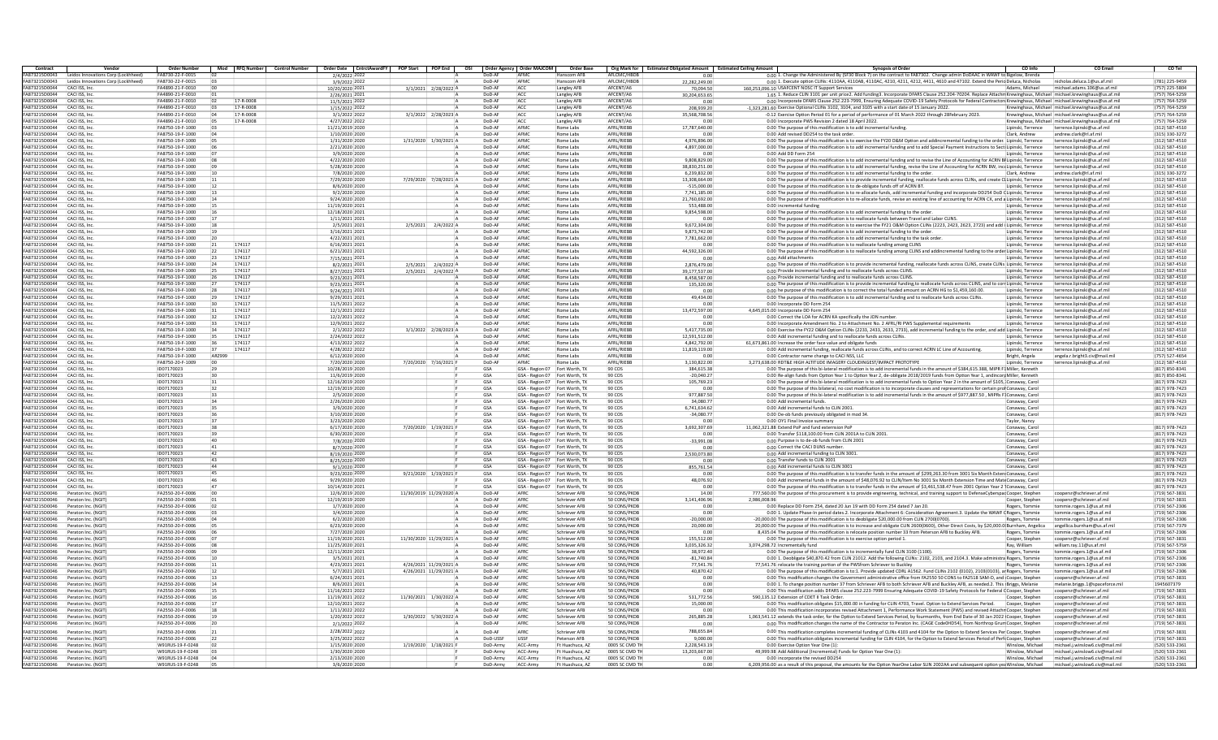| Contract                       | Vendor                                    | Order Number                         |                |                        | Mod RFQ Number Control Number   Order Date CntrctAwardFY POP Start   POP End   OSI   Order Agency   Order MAJCOM |                         |                      |                     | Order Base                                                       |                                 | Org Mark for   Estimated Obligated Amount   Estimated Ceiling Amount |              | <b>Synopsis of Order</b>                                                                                                                                                                                                                                                      | CO Info                                  | <b>CO Email</b>                                                                                         | CO Tel                           |
|--------------------------------|-------------------------------------------|--------------------------------------|----------------|------------------------|------------------------------------------------------------------------------------------------------------------|-------------------------|----------------------|---------------------|------------------------------------------------------------------|---------------------------------|----------------------------------------------------------------------|--------------|-------------------------------------------------------------------------------------------------------------------------------------------------------------------------------------------------------------------------------------------------------------------------------|------------------------------------------|---------------------------------------------------------------------------------------------------------|----------------------------------|
| FA873215D0043                  | Leidos Innovations Corp (Lockhheed        | FA8730-22-F-0015                     |                |                        | 2/4/2022 2022                                                                                                    |                         | $D \cap D - \Delta$  | <b>AFM</b>          | Hanscom AFB                                                      | AFLCMC/HRDB                     | n nn                                                                 |              | 0.00 1. Change the Administered By (SF30 Block 7) on the contract to FA87302. Change admin DoDAAC in WAWF to Bigelow. Brenda                                                                                                                                                  |                                          |                                                                                                         |                                  |
| FA873215D0043                  | Leidos Innovations Corp (Lockhheed)       | FA8730-22-F-0015                     |                |                        | 3/9/2022 2022                                                                                                    |                         | DoD-AF               | AFMO                | Hanscom AFR                                                      | AFI CMC/HRDP                    | 22,282,249.00                                                        |              | 0.00 1. Execute option CLINs: 4110AA, 4110AB, 4110AC, 4210, 4211, 4212, 4411, 4610 and 47102. Extend the Peria Deluca, Nicholas                                                                                                                                               |                                          | nicholas.deluca.1@us.af.mil                                                                             | (781) 225-9459                   |
| FA873215D0044                  | CACI ISS, Inc.                            | FA4890-21-F-0010                     |                |                        | 10/20/2020 202                                                                                                   | 3/1/2021 2/28/2022 A    | DoD-Al               | ACC                 | Langley AFB                                                      | AFCENT/A6                       | 70.094.5                                                             |              | 160.253.096.10 USAFCENT NOSC IT Support Services                                                                                                                                                                                                                              | Adams, Michae                            | michael.adams.106@us.af.m                                                                               | (757) 225-5804                   |
| FA873215D0044                  | CACI ISS, Inc.                            | FA4890-21-F-0010                     |                |                        | 2/26/2021 2021                                                                                                   |                         | DoD-AF               | ACC                 | Langley AFB                                                      | AFCENT/A6                       | 30,204,653.65                                                        |              | 1.65 1. Reduce CLIN 3101 per unit price2. Add funding3. Incorporate DFARS Clause 252.204-70204. Replace Attachm Krewinghaus, Michael michael.krewinghaus@us.af.mil                                                                                                            |                                          |                                                                                                         | (757) 764-5259                   |
| FA873215D0044                  | CACLISS, Inc.                             | FA4890-21-F-0010                     | n <sub>2</sub> | 17-R-0008              | 11/5/2021 2022                                                                                                   |                         | DoD-AF               | ACC                 | Langley AFB                                                      | AFCENT/AF                       | 0.00                                                                 |              | 0.00 Incorporate DFARS Clause 252.223-7999. Ensuring Adequate COVID-19 Safety Protocols for Federal Contractors Krewinghaus, Michael michael.krewinghaus@us.af.mil                                                                                                            |                                          |                                                                                                         | (757) 764-5259                   |
| FA873215D0044<br>FA873215D0044 | CACI ISS, Inc.<br>CACI ISS, Inc           | FA4890-21-F-0010<br>FA4890-21-F-0010 |                | 17-R-0008<br>17-R-0008 | 1/15/2022 2022<br>3/1/2022 2022                                                                                  |                         | DoD-Al<br>DoD-AP     | ACC<br>ACC          | Langley AFB                                                      | AFCENT/AF<br>AFCENT/A6          | 208.939.20                                                           |              | -1,323,281.60 Exercise Optional CLINs 3102, 3104, and 3105 with a start date of 15 January 2022.<br>-0.12 Exercise Option Period 01 for a period of performance of 01 March 2022 through 28February 2023                                                                      |                                          | Krewinghaus, Michael michael.krewinghaus@us.af.mil<br>Krewinghaus, Michael michael.krewinghaus@us.af.mi | (757) 764-5259<br>(757) 764-5259 |
| FA873215D0044                  | CACI ISS, Inc.                            | FA4890-21-F-0010                     |                | 17-R-0008              | 4/27/2022 2022                                                                                                   | 3/1/2022 2/28/2023 A    | DoD-AF               | ACC                 | Langley AFB                                                      | AFCENT/A6                       | 35,568,708.56                                                        |              | 0.00 Incorporate PWS Revision 2 dated 18 April 2022.                                                                                                                                                                                                                          |                                          | Krewinghaus, Michael michael.krewinghaus@us.af.mil                                                      | (757) 764-5259                   |
| FA873215D0044                  | CACI ISS, Inc.                            | FA8750-19-F-1000                     |                |                        | 11/21/2019 2020                                                                                                  |                         | DoD-AP               | AFMC                | Langley AFB<br>Rome Labs                                         | AFRL/RIEBB                      | 0.01<br>17.787.640.00                                                |              | 0.00 The purpose of this modification is to add incremental funding                                                                                                                                                                                                           | Lipinski, Terrence                       | terrence.lipinski@us.af.mil                                                                             | (312) 587-4510                   |
| <b>FA873215D0044</b>           | CACI ISS, Inc.                            | FA8750-19-F-1000                     |                |                        | 1/10/2020 2020                                                                                                   |                         | DoD-AF               | AFMO                | Rome Labs                                                        | <b>AFRI /RIFRR</b>              | 0.00                                                                 |              | 0.00 Add revised DD254 to the task order                                                                                                                                                                                                                                      | Clark, Andrew                            | andrew.clark@rl.af.mil                                                                                  | (315) 330-3272                   |
| FA873215D0044                  | CACI ISS, Inc                             | FA8750-19-F-1000                     |                |                        | 1/31/2020 2020                                                                                                   | 1/31/2020 1/30/2021 A   | DoD-A                | AFMO                | Rome Labs                                                        | AFRL/RIEBB                      | 4.976.896.00                                                         |              | 0.00 The purpose of this modification is to exercise the FY20 O&M Option and addincremental funding to the order. Lipinski, Terrence                                                                                                                                          |                                          | terrence.lipinski@us.af.m                                                                               | (312) 587-4510                   |
| FA873215D0044                  | CACI ISS, Inc.                            | FA8750-19-F-1000                     |                |                        | 2/21/2020 2020                                                                                                   |                         | DoD-AF               | AFMO                | Rome Labs                                                        | AFRL/RIEBB                      | 4,897,000.00                                                         |              | 0.00 The purpose of this modification is to add incremental funding and to add Special Payment Instructions to Secti Lipinski, Terrence                                                                                                                                       |                                          | terrence.lipinski@us.af.mi                                                                              | (312) 587-4510                   |
| FA873215D0044                  | CACI ISS, Inc.                            | FA8750-19-F-1000                     |                |                        | 3/9/2020 2020                                                                                                    |                         | DoD-AF               | AFMO                | Rome Labs                                                        | AFRL/RIEBB                      | 0.00                                                                 |              | 0.00 Add DD Form 254                                                                                                                                                                                                                                                          | Lipinski, Terrence                       | terrence.lipinski@us.af.mi                                                                              | (312) 587-4510                   |
| FA873215D0044                  | CACLISS, Inc.                             | FA8750-19-F-1000                     |                |                        | 4/22/2020 2020                                                                                                   |                         | DoD-AF               | AFMC                | Rome Labs                                                        | AFRI /RIFRA                     | 9.808.829.00                                                         |              | 0.00 The purpose of this modification is to add incremental funding and to revise the Line of Accounting for ACRN BELipinski. Terrence                                                                                                                                        |                                          | terrence lininski@us.af.mi                                                                              | (312) 587-4510                   |
| FA873215D0044                  | CACI ISS, Inc.                            | FA8750-19-F-1000                     |                |                        | 5/28/2020 2020                                                                                                   |                         | DoD-AP               | AFMO                | Rome Labs                                                        | AFRL/RIEBB                      | 38,830,251.00                                                        |              | 0.00 The purpose of this modification is to add incremental funding, revise the Line of Accounting for ACRN BW, ince Lipinski, Terrence                                                                                                                                       |                                          | terrence.lipinski@us.af.mi                                                                              | (312) 587-4510                   |
| FA873215D0044                  | CACI ISS, Inc.                            | FA8750-19-F-1000                     |                |                        | 7/8/2020 2020                                                                                                    |                         | DoD-Al               | AFMO                | Rome Labs                                                        | AFRL/RIEBE                      | 6.239.832.00                                                         |              | 0.00 The purpose of this modification is to add incremental funding to the order                                                                                                                                                                                              | Clark, Andrew                            | andrew.clark@rl.af.mil                                                                                  | (315) 330-3272                   |
| FA873215D0044                  | CACI ISS, Inc.                            | FA8750-19-F-1000                     |                |                        | 7/29/2020 2020                                                                                                   | 7/29/2020 7/28/2021 A   | DoD-Al               | AFMC                | Rome Labs                                                        | AFRL/RIEBB                      | 13.308.664.00                                                        |              | 0.00 The purpose of this modification is to provide incremental funding, reallocate funds across CLINs, and create CL Lipinski, Terrence                                                                                                                                      |                                          | terrence.lipinski@us.af.mi                                                                              | (312) 587-4510                   |
| FA873215D0044                  | CACLISS, Inc.                             | FA8750-19-F-1000                     |                |                        | 8/6/2020 2020                                                                                                    |                         | DoD-AF               | AFMO                | Rome Labs                                                        | AFRI /RIFRA                     | $-515.000.00$                                                        |              | 0.00 The purpose of this modification is to de-obligate funds off of ACRN BT.                                                                                                                                                                                                 | Lipinski, Terrence                       | terrence.lipinski@us.af.mi                                                                              | (312) 587-4510                   |
| <b>FA873215D0044</b>           | CACI ISS, Inc.                            | FA8750-19-F-1000                     |                |                        | 9/2/2020 2020                                                                                                    |                         | DoD-AF               | AFMO                | Rome Labs                                                        | AFRL/RIEBB                      | 7,741,185.00                                                         |              | 0.00 The purpose of this modification is to re-allocate funds, add incremental funding and incorporate DD254 DoD CLipinski, Terrence                                                                                                                                          |                                          | terrence.lipinski@us.af.mi                                                                              | (312) 587-4510                   |
| FA873215D0044                  | CACI ISS, Inc.                            | FA8750-19-F-1000                     |                |                        | 9/24/2020 2020                                                                                                   |                         | DoD-AF               | AFMO                | Rome Labs                                                        | AFRL/RIEBE                      | 21.760.692.00                                                        |              | 0.00 The purpose of this modification is to re-allocate funds, revise an existing line of accounting for ACRN CX, and a Lipinski, Terrence                                                                                                                                    |                                          | terrence.lipinski@us.af.mi                                                                              | (312) 587-4510                   |
| FA873215D0044                  | CACI ISS, Inc.                            | FA8750-19-F-1000                     |                |                        | 11/19/2020 2021                                                                                                  |                         | DoD-AF               | AFMO                | Rome Labs                                                        | AFRI /RIFRA                     | 553,488.00                                                           |              | 0.00 incremental funding                                                                                                                                                                                                                                                      | Lipinski, Terrence                       | terrence.lipinski@us.af.mil                                                                             | (312) 587-4510                   |
| FA873215D0044                  | CACI ISS, Inc.                            | FA8750-19-F-1000                     |                |                        | 12/18/2020 2021                                                                                                  |                         | DoD-A                | AFMC                | Rome Labs                                                        | AFRL/RIEBB                      | 9,854,598.00                                                         |              | 0.00 The purpose of this modification is to add incremental funding to the order                                                                                                                                                                                              | Lipinski, Terrence                       | terrence.lipinski@us.af.mi                                                                              | (312) 587-4510                   |
| FA873215D0044                  | CACI ISS, Inc.                            | FA8750-19-F-1000                     |                |                        | 1/11/2021 202                                                                                                    |                         | DoD-AF               | AFMO                | Rome Labs                                                        | AFRI /RIFRR                     | 0.00                                                                 |              | 0.00 The purpose of this modification is to reallocate funds between Travel and Labor CLINS                                                                                                                                                                                   | Lipinski, Terrence                       | terrence.lipinski@us.af.mi                                                                              | (312) 587-4510                   |
| FA873215D0044                  | CACI ISS, Inc.                            | FA8750-19-F-1000                     |                |                        | 2/5/2021 2021                                                                                                    | 2/5/2021<br>2/4/2022 A  | DoD-AP               | AFMO                | Rome Labs                                                        | AFRL/RIEBB                      | 9.672.304.00                                                         |              | 0.00 The purpose of this modification is to exercise the FY21 O&M Option CLINs (2223, 2423, 2623, 2723) and add i Lipinski, Terrence                                                                                                                                          |                                          | errence.lipinski@us.af.mi                                                                               | (312) 587-4510                   |
| FA873215D0044                  | CACI ISS, Inc.                            | FA8750-19-F-1000                     |                |                        | 3/16/2021 2021                                                                                                   |                         | DoD-AF               | AFMC                | Rome Labs                                                        | AFRL/RIEBB                      | 9,873,742.00                                                         |              | 0.00 The purpose of this modification is to add incremental funding to the order.                                                                                                                                                                                             | Lipinski, Terrence                       | terrence.lipinski@us.af.mi                                                                              | (312) 587-4510                   |
| FA873215D0044                  | CACI ISS, Inc.                            | FA8750-19-F-1000                     |                |                        | 4/22/2021 2021                                                                                                   |                         | DoD-AF               | AFMC                | Rome Labs                                                        | AFRL/RIEBB                      | 7.781.662.00                                                         |              | 0.00 The purpose of this modification is to add incremental funding to the task order                                                                                                                                                                                         | Lipinski, Terrence                       | terrence.lipinski@us.af.mi                                                                              | (312) 587-4510                   |
| FA873215D0044                  | CACLISS, Inc.                             | FA8750-19-F-1000                     | 121            | 174117                 | 6/16/2021 2021                                                                                                   |                         | DoD-AF               | AFMC                | Rome Labs                                                        | AFRI /RIFRA                     | 0.00                                                                 |              | 0.00 The purpose of this modification is to reallocate funding among CLINS                                                                                                                                                                                                    | Lipinski, Terrence                       | terrence lininski@us.af.mi                                                                              | (312) 587-4510                   |
| FA873215D0044                  | CACI ISS, Inc.                            | FA8750-19-F-1000                     |                | 174117                 | 6/21/2021 202                                                                                                    |                         | DoD-AF               | AFMO                | Rome Labs                                                        | AFRL/RIEBE                      | 44,592,326.00                                                        |              | 0.00 The purpose of this modification is to reallocate funding among CLINS and addincremental funding to the order Lipinski, Terrence                                                                                                                                         |                                          | terrence.lipinski@us.af.mi                                                                              | (312) 587-4510                   |
| FA873215D0044                  | CACI ISS, Inc.                            | FA8750-19-F-1000                     |                | 174117                 | 7/15/2021 2021                                                                                                   |                         | DoD-Al               | AFMO                | Rome Labs                                                        | AFRL/RIEBE                      |                                                                      |              | 0.00 Add attachment                                                                                                                                                                                                                                                           | Lipinski, Terrence                       | terrence.lipinski@us.af.mi                                                                              | (312) 587-4510                   |
| FA873215D0044                  | CACI ISS, Inc.                            | FA8750-19-F-1000                     |                | 174117                 | 8/2/2021 2021                                                                                                    | 2/5/2021 2/4/2022 A     | DoD-AF               | AFMC                | Rome Labs                                                        | AFRL/RIEBB                      | 2.876.479.00                                                         |              | 0.00 The purpose of this modification is to provide incremental funding, reallocate funds across CLINS, create CLINs Lipinski, Terrence                                                                                                                                       |                                          | terrence.lipinski@us.af.mi                                                                              | (312) 587-4510                   |
| FA873215D0044<br>FA873215D0044 | CACLISS, Inc.                             | FA8750-19-F-1000                     |                | 174117<br>174117       | 8/27/2021 2021                                                                                                   | 2/5/2021 2/4/2022 A     | DoD-AF<br>DoD-AF     | AFMC<br>AFMO        | Rome Labs<br>Rome Labs                                           | AFRI /RIFRA<br>AFRI /RIFRA      | 39.177.537.00                                                        |              | 0.00 Provide incremental funding and to reallocate funds across CLINS.                                                                                                                                                                                                        | Lipinski, Terrence                       | terrence.lipinski@us.af.mi                                                                              | (312) 587-4510                   |
|                                | CACI ISS, Inc                             | FA8750-19-F-1000                     |                |                        | 9/23/2021 2021                                                                                                   |                         |                      |                     |                                                                  |                                 | 8,458,587.00                                                         |              | 0.00 Provide incremental funding and to reallocate funds across CLINS                                                                                                                                                                                                         | Lipinski, Terrence                       | terrence.lipinski@us.af.mi                                                                              | (312) 587-4510                   |
| FA873215D0044<br>FA873215D0044 | CACI ISS, Inc.                            | FA8750-19-F-1000<br>FA8750-19-F-1000 |                | 174117<br>174117       | 9/23/2021 2021<br>9/24/2021 2021                                                                                 |                         | DoD-Al<br>DoD-Al     | AFMO<br>AFMC        | Rome Labs                                                        | AFRL/RIEBE<br>AFRI /RIFRR       | 135,320.00<br>0.00                                                   |              | 0.00 The purpose of this modification is to provide incremental funding to reallocate funds across CLINS, and to corr Lipinski, Terrence<br>0.00 he purpose of this modification is to correct the total funded amount on ACRN HG to \$1,459,160,00.                          |                                          | terrence.lipinski@us.af.mi                                                                              | (312) 587-4510<br>(312) 587-4510 |
| FA873215D0044                  | CACI ISS, Inc.<br>CACLISS, Inc.           | FA8750-19-F-1000                     |                | 174117                 | 9/29/2021 2021                                                                                                   |                         | DoD-AF               | AFMC                | Rome Labs<br>Rome Labs                                           | AFRI /RIFRA                     |                                                                      |              |                                                                                                                                                                                                                                                                               | Lipinski, Terrence                       | terrence.lipinski@us.af.mil<br>terrence lininski@us.af.mi                                               |                                  |
| FA873215D0044                  | CACI ISS, Inc.                            | FA8750-19-F-1000                     | 79             | 174117                 |                                                                                                                  |                         | DoD-AF               | AFMO                | Rome Labs                                                        | AFRI /RIFRR                     | 49.434.00<br>0.00                                                    |              | 0.00 The purpose of this modification is to add incremental funding and to reallocate funds across CLINs.                                                                                                                                                                     | Lipinski, Terrence                       |                                                                                                         | (312) 587-4510<br>(312) 587-4510 |
| FA873215D0044                  | CACI ISS, Inc.                            | FA8750-19-F-1000                     |                | 174117                 | 11/5/2021 2022<br>12/1/2021 2022                                                                                 |                         | DoD-A                | AFMO                | Rome Labs                                                        | AFRL/RIEBB                      | 13,472,597.00                                                        |              | 0.00 Incorporate DD Form 254<br>4.645.015.00 Incorporate DD Form 254                                                                                                                                                                                                          | Lipinski, Terrence<br>Lipinski, Terrence | terrence.lipinski@us.af.mi<br>errence.lipinski@us.af.mi                                                 | (312) 587-4510                   |
| FA873215D0044                  | CACI ISS, Inc.                            | FA8750-19-F-1000                     | 32             | 174117                 | 12/2/2021 2022                                                                                                   |                         | DoD-AP               | AFMO                | Rome Labs                                                        | AFRL/RIEBB                      | 0.00                                                                 |              | 0.00 Correct the LOA for ACRN KA specifically the JON number                                                                                                                                                                                                                  | Lipinski, Terrence                       | terrence.lipinski@us.af.mi                                                                              | (312) 587-4510                   |
| FA873215D0044                  | CACI ISS, Inc.                            | FA8750-19-F-1000                     | 33             | 174117                 | 12/9/2021 2022                                                                                                   |                         | DoD-AF               | AFMC                | Rome Labs                                                        | AFRL/RIEBB                      | 0.00                                                                 |              | 0.00 Incorporate Amendment No. 2 to Attachment No. 2 AFRL/RI PWS Supplemental requirements                                                                                                                                                                                    | Lipinski, Terrence                       | terrence.lipinski@us.af.mil                                                                             | (312) 587-4510                   |
| FA873215D0044                  | CACI ISS, Inc.                            | FA8750-19-F-1000                     |                | 174117                 | 2/1/2022 2022                                                                                                    | 3/1/2022 2/28/2023 A    | DoD-AF               | AFMC                | Rome Labs                                                        | AFRI /RIFRR                     | 5.417.735.00                                                         |              | 0.00 Exercise the FY22 O&M Option CLINs (2233, 2433, 2633, 2733), add incremental funding to the order, and add Lipinski, Terrence                                                                                                                                            |                                          | terrence.lipinski@us.af.mi                                                                              | (312) 587-4510                   |
| FA873215D0044                  | CACI ISS, Inc.                            | FA8750-19-F-1000                     |                | 174117                 | 2/24/2022 202                                                                                                    |                         | DoD-AF               | AFMO                | Rome Labs                                                        | AFRL/RIEBB                      | 12,591,512.00                                                        |              | 0.00 Add incremental funding and to reallocate funds across CLINs.                                                                                                                                                                                                            | Lipinski, Terrence                       | terrence.lipinski@us.af.mi                                                                              | (312) 587-4510                   |
| FA873215D0044                  | CACI ISS, Inc.                            | FA8750-19-F-1000                     |                | 174117                 | 4/13/2022 2022                                                                                                   |                         | DoD-Al               | AFMO                | Rome Labs                                                        | AFRL/RIEBB                      | 4.842.792.00                                                         |              | 61,673,861.00 Increase the order face value and obligate funds                                                                                                                                                                                                                | Lipinski, Terrence                       | terrence.lipinski@us.af.mi                                                                              | (312) 587-4510                   |
| FA873215D0044                  | CACI ISS, Inc.                            | FA8750-19-F-1000                     | 37             | 174117                 | 4/28/2022 2022                                                                                                   |                         | DoD-AF               | AFMC                | Rome Labs                                                        | AFRL/RIEBB                      | 11.819.119.00                                                        |              | 0.00 Add incremental funding, reallocate funds across CLINs, and to correct ACRN LC Line of Accounting.                                                                                                                                                                       | Lipinski, Terrence                       | terrence.lipinski@us.af.mil                                                                             | (312) 587-4510                   |
| FA873215D0044                  | CACLISS, Inc.                             | FA8750-19-F-1000                     | AR7999         |                        | 6/12/2020 2020                                                                                                   |                         | DoD-AF               | AFMC                | Rome Labs                                                        | AFRI /RIFRA                     | 0.00                                                                 |              | 0.00 Contractor name change to CACI NSS, LLC                                                                                                                                                                                                                                  | Bright, Angela                           | angela.r.bright3.civ@mail.mil                                                                           | (757) 527-4654                   |
| FA873215D0044                  | CACI ISS, Inc.                            | FA8750-20-F-1009                     |                |                        | 7/20/2020 2020                                                                                                   | 7/20/2020 7/16/2021 F   | DoD-AF               | AFMC                | Rome Labs                                                        | AFRL/RIEBB                      | 3,130,822.00                                                         |              | 3,273,638.00 RDT&E HIGH ALTITUDE IMAGERY CLOUDINGEST/IMPACT PROTOTYPI                                                                                                                                                                                                         | Lipinski, Terrence                       | errence.lipinski@us.af.mil                                                                              | (312) 587-4510                   |
| FA873215D0044                  | CACI ISS, Inc.                            | ID07170023                           |                |                        | 10/28/2019 2020                                                                                                  |                         | GSA                  | GSA - Region 07     | Fort Worth, TX                                                   | 90 COS                          | 384,615.38                                                           |              | 0.00 The purpose of this bi-lateral modification is to add incremental funds in the amount of \$384,615.388, MIPR F1 Miller, Kenneth                                                                                                                                          |                                          |                                                                                                         | (817) 850-8341                   |
| FA873215D0044                  | CACI ISS, Inc.                            | ID07170023                           | 30             |                        | 11/6/2019 2020                                                                                                   |                         | GSA                  |                     | GSA - Region 07 Fort Worth, TX                                   | 90,005                          | $-20.040.27$                                                         |              | 0.00 Re-align funds from Option Year 1 to Option Year 2, de-obligate 2018/2019 funds from Option Year 1, andincord Miller, Kenneth                                                                                                                                            |                                          |                                                                                                         | (817) 850-8341                   |
| FA873215D0044                  | CACLISS, Inc.                             | ID07170023                           | 31             |                        | 12/16/2019 2020                                                                                                  |                         | GSA                  |                     | GSA - Region 07 Fort Worth, TX                                   | 90,005                          | 105.769.23                                                           |              | 0.00 The purpose of this bi-lateral modification is to add incremental funds to Option Year 2 in the amount of \$105. Conaway, Caro                                                                                                                                           |                                          |                                                                                                         | (817) 978-7423                   |
| FA873215D0044                  | CACI ISS, Inc.                            | ID07170023                           | 32             |                        | 12/19/2019 2020                                                                                                  |                         | GSA                  |                     | GSA - Region 07 Fort Worth, TX                                   | 90 COS                          | 0.00                                                                 |              | 0.00 The purpose of this bilateral, no cost modification is to incorporate clauses and representations for certain prof Conaway, Caro                                                                                                                                         |                                          |                                                                                                         | (817) 978-7423                   |
| FA873215D0044                  | CACI ISS, Inc.                            | ID07170023                           | 33             |                        | 2/5/2020 2020                                                                                                    |                         | GSA                  |                     | GSA - Region 07 Fort Worth, TX                                   | 90 COS                          | 977.887.50                                                           |              | 0.00 The purpose of this bi-lateral modification is to add incremental funds in the amount of \$977,887.50 , MIPRs F. Conaway, Carol                                                                                                                                          |                                          |                                                                                                         | (817) 978-7423                   |
| FA873215D0044                  | CACI ISS, Inc.                            | ID07170023                           |                |                        | 2/26/2020 2020                                                                                                   |                         | GSA                  |                     | GSA - Region 07 Fort Worth, TX                                   | 90 COS                          | 34.080.77                                                            |              | 0.00 Add incremental funds.                                                                                                                                                                                                                                                   | Conaway, Carol                           |                                                                                                         | (817) 978-7423                   |
| FA873215D0044                  | CACI ISS, Inc.                            | ID07170023                           | 35             |                        | 3/9/2020 2020                                                                                                    |                         | GSA                  |                     | GSA - Region 07 Fort Worth. TX                                   | 90 COS                          | 6,741,634.62                                                         |              | 0.00 Add incremental funds to CLIN 2001                                                                                                                                                                                                                                       | Conaway, Carol                           |                                                                                                         | (817) 978-7423                   |
| FA873215D0044                  | CACI ISS, Inc                             | ID07170023                           | 36             |                        | 3/10/2020 2020                                                                                                   |                         | GSA                  |                     | GSA - Region 07 Fort Worth, TX                                   | 90 COS                          | $-34,080.77$                                                         |              | 0.00 De-ob funds previously obligated in mod 34.                                                                                                                                                                                                                              | Conaway, Carol                           |                                                                                                         | (817) 978-7423                   |
| FA873215D0044                  | CACI ISS, Inc.                            | ID07170023                           |                |                        | 3/23/2020 2020                                                                                                   |                         | GSA                  |                     | GSA - Region 07 Fort Worth, TX                                   | 90 COS                          | 0.00                                                                 |              | 0.00 OY1 Final Invoice summary                                                                                                                                                                                                                                                | Taylor, Nancy                            |                                                                                                         |                                  |
| FA873215D0044                  | CACI ISS, Inc.                            | ID07170023                           | 38             |                        | 6/17/2020 2020                                                                                                   | 7/20/2020 1/19/2021 F   | GSA                  |                     | GSA - Region 07 Fort Worth, TX                                   | 90 COS                          | 3.692.307.69                                                         |              | 11.062.321.88 Extend PoP and fund externsion PoP                                                                                                                                                                                                                              | Conaway, Carol                           |                                                                                                         | (817) 978-7423                   |
| FA873215D0044<br>FA873215D0044 | CACLISS, Inc.<br>CACLISS, Inc.            | ID07170023<br>ID07170023             | 139<br>40      |                        | 6/30/2020 2020                                                                                                   |                         | GSA<br>GSA           |                     | GSA - Region 07 Fort Worth, TX                                   | 90,005<br>90,005                | 0.00                                                                 |              | 0.00 Transfer \$118,100.00 from CLIN 2001A to CLIN 2001                                                                                                                                                                                                                       | Conaway, Carol                           |                                                                                                         | (817) 978-7423                   |
| FA873215D0044                  | CACI ISS, Inc.                            | ID07170023                           | 41             |                        | 7/8/2020 2020<br>8/7/2020 2020                                                                                   |                         | GSA                  |                     | GSA - Region 07 Fort Worth, TX<br>GSA - Region 07 Fort Worth, TX | 90 COS                          | $-33,991.08$<br>0.01                                                 |              | 0.00 Purpose is to de-ob funds from CLIN 2001<br>0.00 Correct the CACI DUNS numb                                                                                                                                                                                              | Conaway, Carol<br>Conaway, Caro          |                                                                                                         | (817) 978-7423<br>(817) 978-7423 |
| FA873215D0044                  | CACI ISS, Inc.                            | ID07170023                           | 42             |                        | 8/19/2020 2020                                                                                                   |                         | GSA                  |                     | GSA - Region 07 Fort Worth, TX                                   | 90 COS                          | 2,530,073.80                                                         |              | 0.00 Add incremental funding to CLIN 3001                                                                                                                                                                                                                                     |                                          |                                                                                                         | (817) 978-7423                   |
| FA873215D0044                  | CACLISS, Inc.                             | ID07170023                           | 43             |                        | 8/25/2020 2020                                                                                                   |                         | GSA                  |                     | GSA - Region 07 Fort Worth, TX                                   | 90,005                          | 0.00                                                                 |              | 0.00 Transfer funds to CLIN 2001                                                                                                                                                                                                                                              | Conaway, Carol<br>Conaway, Carol         |                                                                                                         | (817) 978-7423                   |
| FA873215D0044                  | CACI ISS, Inc.                            | ID07170023                           | 44             |                        | 9/1/2020 2020                                                                                                    |                         | GSA                  |                     | GSA - Region 07 Fort Worth, TX                                   | 90 COS                          | 855,761.54                                                           |              | 0.00 Add incremental funds to CLIN 3001                                                                                                                                                                                                                                       | Conaway, Carol                           |                                                                                                         | (817) 978-7423                   |
| FA873215D0044                  | CACI ISS, Inc.                            | ID07170023                           | 45             |                        | 9/23/2020 2020                                                                                                   | 9/21/2020 1/19/2021 F   | GSA                  |                     | GSA - Region 07 Fort Worth, TX                                   | 90 COS                          | 0.00                                                                 |              | 0.00 The purpose of this modification is to transfer funds in the amount of \$299,263.30 from 3001 Six Month Exten: Conaway, Carol                                                                                                                                            |                                          |                                                                                                         | (817) 978-7423                   |
| FA873215D0044                  | CACI ISS, Inc.                            | ID07170023                           |                |                        | 9/29/2020 2020                                                                                                   |                         | GSA                  |                     | GSA - Region 07 Fort Worth, TX                                   | 90 COS                          | 48,076.92                                                            |              | 0.00 Add incremental funds in the amount of \$48,076.92 to CLIN/Item No 3001 Six Month Extension Time and MateConaway, Carol                                                                                                                                                  |                                          |                                                                                                         | (817) 978-7423                   |
| FA873215D0044                  | CACI ISS, Inc.                            | ID07170023                           |                |                        | 10/14/2020 2021                                                                                                  |                         | GSA                  | GSA - Region 07     | Fort Worth, TX                                                   | 90 COS                          | 0.00                                                                 |              | 0.00 The purpose of this modification is to transfer funds in the amount of \$3.461.538.47 from 2001 Option Year 2 Conaway, Carol                                                                                                                                             |                                          |                                                                                                         | (817) 978-7423                   |
| <b>FA873215D0046</b>           | Peraton Inc. (NGIT                        | FA2550-20-F-0006                     | inn            |                        | 12/6/2019 2020                                                                                                   | 11/30/2019 11/29/2020 A | DoD-AF               | AFRO                | Schriever AFB                                                    | 50 CONS/PKDE                    | 14.00                                                                |              | 777,560.00 The purpose of this procurement is to provide engineering, technical, and training support to DefenseCyberspacCooper, Stephen                                                                                                                                      |                                          | coopersr@schriever.af.mil                                                                               | (719) 567-3831                   |
| FA873215D0046                  | Peraton Inc. (NGIT                        | FA2550-20-F-0006                     |                |                        | 12/19/2019 2020                                                                                                  |                         | DoD-AP               | AFRO                | Schriever AFE                                                    | 50 CONS/PKDE                    | 3,141,406.96                                                         | 2.986.008.96 |                                                                                                                                                                                                                                                                               | Cooper, Stephen                          | oopersr@schriever.af.mil                                                                                | (719) 567-3831                   |
| FA873215D0046                  | Peraton Inc. (NGIT                        | FA2550-20-F-0006                     |                |                        | 1/7/2020 2020                                                                                                    |                         | DoD-Al               | AFRO                | Schriever AFI                                                    | 50 CONS/PKDE                    | 0.00                                                                 |              | 0.00 Replace DD Form 254, dated 20 Jun 19 with DD Form 254 dated 7 Jan 20.                                                                                                                                                                                                    | Rogers, Tommie                           | ommie.rogers.1@us.af.mil                                                                                | (719) 567-2306                   |
| FA873215D0046                  | Peraton Inc. (NGIT                        | FA2550-20-F-0006                     |                |                        | 3/4/2020 2020                                                                                                    |                         | DoD-AF               | AFRO                | Schriever AFE                                                    | 50 CONS/PKDE                    | 0.00                                                                 |              | 0.00 1. Update Phase-In period dates.2. Incorporate Attachment 6: Consideration Agreement.3. Update the WAWF CRogers. Tommie                                                                                                                                                  |                                          | tommie.rogers.1@us.af.mil                                                                               | (719) 567-2306                   |
| FA873215D0046                  | Peraton Inc. (NGIT                        | FA2550-20-F-0006                     |                |                        | 6/2/2020 2020                                                                                                    |                         | DoD-AF               | AFRO                | Schriever AFF                                                    | 50 CONS/PKDE                    | $-20.000.00$                                                         |              | -20.000.00 The purpose of this modification is to deobligate \$20.000.00 from CLIN 2700(0700)                                                                                                                                                                                 | Rogers, Tommie                           | tommie.rogers.1@us.af.mil                                                                               | (719) 567-2306                   |
| FA873215D0046                  | Peraton Inc. (NGIT                        | FA2550-20-F-0006                     |                |                        | 6/23/2020 2020                                                                                                   |                         | DoD-AP               | AFRO                | Schriever AFE                                                    | 50 CONS/PKDE                    | 20,000.00                                                            |              | 20,000.00 The purpose of this modification is to increase and obligate CLIN 2600(0600), Other Direct Costs, by \$20,000.0 Burnham, Angelica                                                                                                                                   |                                          | angellica.burnham@us.af.mi                                                                              | (719) 567-7379                   |
| FA873215D004                   | Peraton Inc. (NGIT                        | FA2550-20-F-0006                     |                |                        | 7/27/2020 2020                                                                                                   |                         | DoD-AF               | AFRC                | Schriever AFI                                                    | 50 CONS/PKDE                    | 0.00                                                                 |              | 8.435.04 The purpose of this modification is relocate position number 33 from Peterson AFB to Buckley AFB.                                                                                                                                                                    | Rogers, Tommie                           | ommie.rogers.1@us.af.mil                                                                                | (719) 567-2306                   |
| FA873215D0046                  | Peraton Inc. (NGIT                        | FA2550-20-F-0006                     |                |                        | 11/19/2020 2021                                                                                                  | 11/30/2020 11/29/2021 A | DoD-AF               | AFRO                | Schriever AFE                                                    | 50 CONS/PKDE                    | 155.512.00                                                           |              | 0.00 The purpose of this modification is to exercise option period 1.                                                                                                                                                                                                         | Cooper, Stephen                          | coopersr@schriever.af.mil                                                                               | (719) 567-3831                   |
| FA873215D0046                  | Peraton Inc. (NGIT)                       | FA2550-20-F-0006                     |                |                        | 11/25/2020 2021                                                                                                  |                         | DoD-AF               | AFRO                | Schriever AFF                                                    | 50 CONS/PKDP                    | 3.035.326.32                                                         |              | 3.074.298.72 Incrementally fund                                                                                                                                                                                                                                               | Rav. William                             | william.rav.11@us.af.mil                                                                                | (719) 567-5759                   |
| FA873215D0046                  | Peraton Inc. (NGIT)                       | FA2550-20-F-0006                     |                |                        | 12/11/2020 2021                                                                                                  |                         | DoD-AF               | AFRO                | Schriever AFF                                                    | 50 CONS/PKDE                    | 38.972.40                                                            |              | 0.00 The purpose of this modification is to incrementally fund CLIN 3100 (1100)                                                                                                                                                                                               | Rogers, Tommie                           | tommie.rogers.1@us.af.mil                                                                               | (719) 567-2306                   |
| FA873215D0046                  | Peraton Inc. (NGIT                        | FA2550-20-F-0006                     |                |                        | 3/5/2021 2021                                                                                                    |                         | DoD-Al               | AFRO                | Schriever AFE                                                    | 50 CONS/PKDE                    | $-81.740.84$                                                         |              | 0.00 1. Deobligate \$40,870.42 from CLIN 21012. Add the following CLINs: 2102, 2103, and 2104.3. Make administra Rogers, Tommie                                                                                                                                               |                                          | :ommie.rogers.1@us.af.mil                                                                               | (719) 567-2306                   |
| A873215D0046                   | Peraton Inc. (NGIT)                       | FA2550-20-F-0006                     |                |                        | 4/23/2021 2021                                                                                                   | 4/26/2021 11/29/2021 A  | DoD-Al               | AFRO                | <b>Schriever AFE</b>                                             | 50 CONS/PKDE                    | 77,541.76                                                            |              | 77,541.76 relocate the training portion of the PWSfrom Schriever to Buckley                                                                                                                                                                                                   | Rogers, Tommie                           | tommie.rogers.1@us.af.mil                                                                               | (719) 567-2306                   |
| FA873215D0046                  | Peraton Inc. (NGIT                        | FA2550-20-F-0006                     |                |                        | 5/7/2021 2021                                                                                                    | 4/26/2021 11/29/2021 A  | DoD-AF               | AFRO                | Schriever AFE                                                    | 50 CONS/PKDE                    | 40.870.42                                                            |              | 0.00 The purpose of this modification is to:1. Provide updated CDRL A1562. Fund CLINs 2102 (0102), 2103(0103), ar Rogers, Tommie                                                                                                                                              |                                          | tommie.rogers.1@us.af.mil                                                                               | (719) 567-2306                   |
| <b>FA873215D0046</b>           | Peraton Inc. (NGIT)                       | FA2550-20-F-0006                     | 13             |                        | 6/24/2021 2021                                                                                                   |                         | DoD-AF               | AFRO                | Schriever AFE                                                    | 50 CONS/PKDP                    | 0.00                                                                 |              | 0.00 This modification changes the Government administrative office from FA2550 50 CONS to FA2518 SAM-D, and (Cooper, Stephen                                                                                                                                                 |                                          | :oopersr@schriever.af.mi                                                                                | (719) 567-3831                   |
| FA873215D0046                  | Peraton Inc. (NGIT                        | FA2550-20-F-0006                     |                |                        | 8/6/2021 202                                                                                                     |                         | DoD-AF               | AFRO                | Schriever AFE                                                    | 50 CONS/PKDE                    | 0.00                                                                 |              | 0.00 1. To change position number 37 from Schriever AFB to both Schriever AFB and Buckley AFB, as needed.2. This (Briggs, Melanie                                                                                                                                             |                                          | nelanie.briggs.1@spaceforce.mi                                                                          | 1945607379                       |
| FA873215D0046                  | Peraton Inc. (NGIT)                       | FA2550-20-F-0006                     |                |                        | 11/16/2021 2022                                                                                                  |                         | DoD-AF               | AFRO                | Schriever AFE                                                    | 50 CONS/PKDE                    | 0.00                                                                 |              | 0.00 This modification adds DFARS clause 252.223-7999 Ensuring Adequate COVID-19 Safety Protocols for Federal CCooper, Stephen                                                                                                                                                |                                          | coopersr@schriever.af.mi                                                                                | (719) 567-383:                   |
| FA873215D0046                  | Peraton Inc. (NGIT)                       | FA2550-20-F-0006                     |                |                        | 11/19/2021 2022                                                                                                  | 11/30/2021 1/30/2022 A  | DoD-AF               | AFRO                | Schriever AFE                                                    | 50 CONS/PKDE                    | 531.772.56                                                           |              | 590.135.12 Extension of CDET II Task Order                                                                                                                                                                                                                                    | Cooper, Stephen                          | coopersr@schriever.af.mi                                                                                | (719) 567-3831                   |
| FA873215D0046                  | Peraton Inc. (NGIT                        | FA2550-20-F-0006                     | 117            |                        | 12/10/2021 2022                                                                                                  |                         | DoD-AF               | AFRO                | Schriever AFF                                                    | 50 CONS/PKDP                    | 15,000.00                                                            |              | 0.00 This modification obligates \$15,000.00 in funding for CLIN 4703, Travel. Option to Extend Services Period                                                                                                                                                               | Cooper, Stephen                          | connersr@schriever.af.mi                                                                                | (719) 567-3831                   |
| FA873215D0046<br>FA873215D004  | Peraton Inc. (NGIT<br>Peraton Inc. (NGIT  | FA2550-20-F-0006<br>FA2550-20-F-0006 | 18             |                        | 1/11/2022 2022<br>1/20/2022 2022                                                                                 | 1/30/2022 5/30/2022 A   | DoD-AP<br>DoD-AF     | AFRO<br>AFRO        | Schriever AFE<br><b>Schriever AFE</b>                            | 50 CONS/PKDE<br>50 CONS/PKDE    | 0.00<br>265.885.28                                                   |              | 0.00 This modification incorporates revised Attachment 1, Performance Work Statement (PWS) and revised Attachn Cooper, Stephen<br>1.063.541.12 extends the task order, for the Option to Extend Services Period, by fourmonths, from End Date of 30 Jan 2022 (Cooper, Stephen |                                          | coopersr@schriever.af.mi<br>coopersr@schriever.af.mi                                                    | (719) 567-3831<br>(719) 567-3831 |
|                                |                                           |                                      |                |                        |                                                                                                                  |                         |                      | AFRC                |                                                                  |                                 |                                                                      |              |                                                                                                                                                                                                                                                                               |                                          |                                                                                                         |                                  |
| FA873215D0046                  | Peraton Inc. (NGIT)                       | FA2550-20-F-0006                     | 20             |                        | 2/1/2022 2022                                                                                                    |                         | DoD-AF               |                     | Schriever AFB                                                    | 50 CONS/PKDE                    | 0.00<br>788.655.84                                                   |              | 0.00 This modification changes the name of the Contractor to Peraton Inc. (CAGE Code0HD54), from Northrop Grum Cooper, Stephen                                                                                                                                                |                                          | coopersr@schriever.af.mi                                                                                | (719) 567-3831                   |
| FA873215D0046                  | Peraton Inc. (NGIT)                       | FA2550-20-F-0006                     |                |                        | 2/28/2022 2022                                                                                                   |                         | DoD-AF               | AFRC                | Schriever AFB                                                    | 50 CONS/PKDB                    |                                                                      |              | 0.00 This modification completes incremental funding of CLINs 4103 and 4104 for the Option to Extend Services Per Cooper, Stephen                                                                                                                                             |                                          | coopersr@schriever.af.mil                                                                               | (719) 567-3831                   |
| FA873215D0046                  | Peraton Inc. (NGIT)                       | FA2550-20-F-0006                     |                |                        | 3/25/2022 2022                                                                                                   |                         | DoD-USSE             | LISSE               | Peterson AFR                                                     | 50 CONS/PKDB                    | 9.000.00                                                             |              | 0.00 This modification obligates incremental funding for CLIN 4104, for the Option to Extend Services Period of Perf Cooper, Stephen                                                                                                                                          |                                          | coopersr@schriever.af.mi                                                                                | (719) 567-3831                   |
| FA873215D004<br>FA873215D0046  | Peraton Inc. (NGIT<br>Peraton Inc. (NGIT) | W91RUS-19-F-0248<br>W91RUS-19-F-0248 | 03             |                        | 1/15/2020 2020<br>1/30/2020 2020                                                                                 | 1/19/2020 1/18/2021     | DoD-Army<br>DoD-Army | ACC-Arm<br>ACC-Army | Ft Huachuca, Az<br>Ft Huachuca, AZ                               | 0005 SC CMD T<br>0005 SC CMD TH | 2,228,543.19<br>13.203.667.00                                        |              | 0.00 Exercise Option Year One (1)<br>49,999.98 Add Additional (Incremental) Funds for Option Year One (1):                                                                                                                                                                    | Winslow, Michae<br>Winslow, Michael      | nichael.j.winslow6.civ@mail.r<br>michael.j.winslow6.civ@mail.mi                                         | (520) 533-2361<br>(520) 533-2361 |
| FA873215D0046                  | Peraton Inc. (NGIT)                       | W91RUS-19-F-0248                     | n4             |                        | 2/13/2020 2020                                                                                                   |                         | DoD-Army             | ACC-Army            | Ft Huachuca, AZ                                                  | 0005 SC CMD TH                  | 0.00                                                                 |              | 0.00 incorporate the revised DD254                                                                                                                                                                                                                                            | Winslow, Michael                         | michael.i.winslow6.civ@mail.mi                                                                          | (520) 533-2361                   |
| FA873215D0046                  | Peraton Inc. (NGIT)                       | W91RUS-19-F-0248                     |                |                        | 3/6/2020 2020                                                                                                    |                         | DoD-Army             | ACC-Army            | Ft Huachuca, AZ                                                  | 0005 SC CMD TH                  | 0.00                                                                 |              | 6,209,956.00 as a result of this proposal, the amounts for the Option YearOne Labor SLIN 2002AA and subsequent option yea Winslow, Michael                                                                                                                                    |                                          | michael.i.winslow6.civ@mail.mi                                                                          | (520) 533-2361                   |
|                                |                                           |                                      |                |                        |                                                                                                                  |                         |                      |                     |                                                                  |                                 |                                                                      |              |                                                                                                                                                                                                                                                                               |                                          |                                                                                                         |                                  |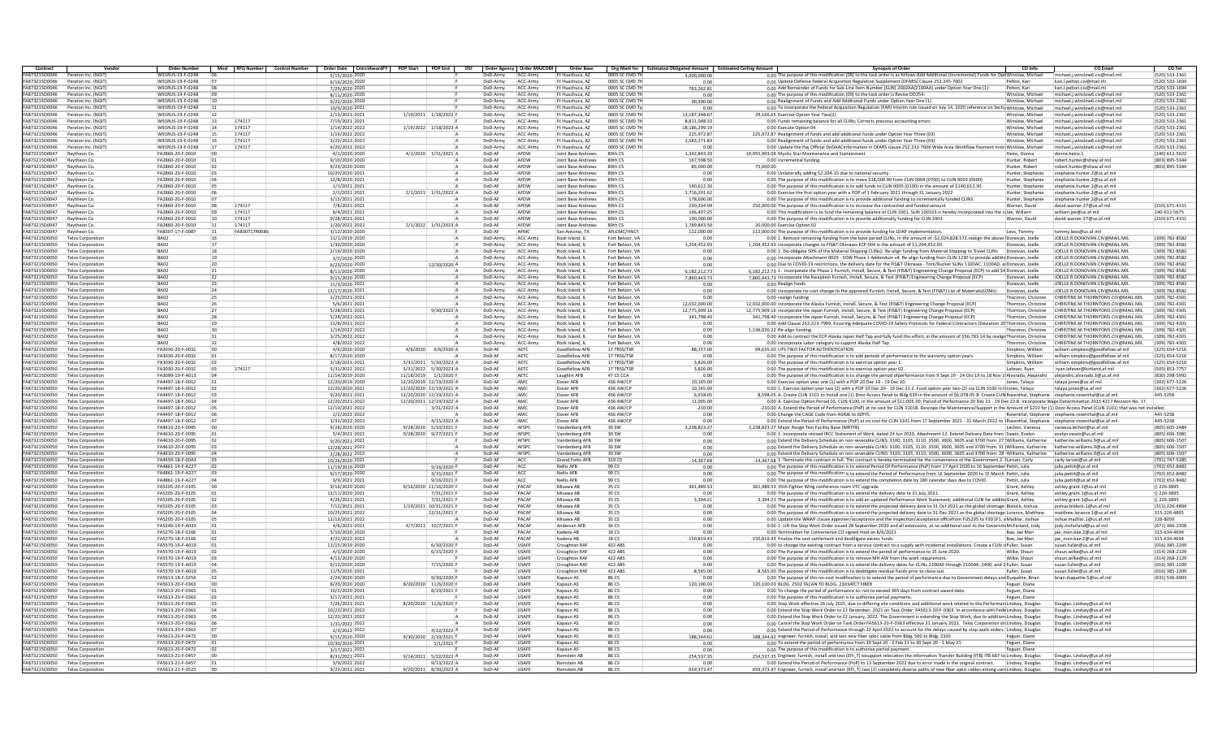| Contract                       | Vendor                                               | <b>Order Number</b>                  |                 | Mod RFO Number Control Number |                                  | Order Date CntrctAwardFY POP Start POP End OSI Order Agency   Order MAJCOM |          |              | Order Base                |                  | Org Mark for Estimated Obligated Amount Estimated Ceiling Amount | <b>Synopsis of Order</b><br>CO Info<br><b>CO Email</b><br>CO Tel                                                                                                                                                                                              |
|--------------------------------|------------------------------------------------------|--------------------------------------|-----------------|-------------------------------|----------------------------------|----------------------------------------------------------------------------|----------|--------------|---------------------------|------------------|------------------------------------------------------------------|---------------------------------------------------------------------------------------------------------------------------------------------------------------------------------------------------------------------------------------------------------------|
| A873215D0046                   | Peraton Inc. (NGIT                                   | W91RUS-19-F-0248                     |                 |                               | 5/15/2020 2020                   |                                                                            | DoD-Army | ACC-Army     | Ft Huachuca, AZ           | 0005 SC CMD T    | 4.000.000.00                                                     | 0.00 The purpose of this modification (06) to the task order is as follows:Add Additional (Incremental) Funds for Opt Winslow, Michael<br>michael.i.winslow6.civ@mail.mi<br>(520) 533-2361                                                                    |
| FA873215D0046                  | Peraton Inc. (NGIT)                                  | W91RUS-19-F-0248                     |                 |                               | 6/16/2020 2020                   |                                                                            | DoD-Army | ACC-Army     | Ft Huachuca, AZ           | 0005 SC CMD TH   | 0.00                                                             | 0.00 Update Defense Federal Acquisition Regulation Supplement (DFARS) Clause 252.245-7002<br>Pelton, Kari<br>kari Lnelton.civ@mail.mi<br>(520) 533-1694                                                                                                       |
| FA873215D004                   | Peraton Inc. (NGI                                    | W91RUS-19-F-0248                     |                 |                               | 7/29/2020 202                    |                                                                            | DoD-Army | ACC-Army     | Ft Huachuca, AZ           | 0005 SC CMD T    | 763,262.8                                                        | 0.00 Add Remainder of Funds for Sub-Line Item Number (SLIN) 2002AA(2100AA) under Option Year One (1):<br>Pelton, Kar<br>kari.l.pelton.civ@mail.m<br>(520) 533-1694                                                                                            |
| FA873215D0046                  | Peraton Inc. (NGIT                                   | W91RUS-19-F-0248                     |                 |                               | 8/11/2020 2020                   |                                                                            | DoD-Army | ACC-Army     | Ft Huachuca, AZ           | 0005 SC CMD T    | 0.00                                                             | 0.00 The purpose of this modification (09) to the task order is Revise DD254<br>Vinslow, Michae<br>michael.i.winslow6.civ@mail.m<br>(520) 533-2361                                                                                                            |
| FA873215D0046                  | Peraton Inc. (NGIT                                   | W91RUS-19-F-0248                     |                 |                               | 9/22/2020 2020                   |                                                                            | DoD-Army | ACC-Army     | Ft Huachuca, AZ           | 0005 SC CMD TH   | 90.300.00                                                        | 0.00 Realignment of Funds and Add Additional Funds under Option Year One (1)<br>(520) 533-2361<br>Winslow, Michael<br>michael.i.winslow6.civ@mail.mil                                                                                                         |
| FA873215D0046                  | Peraton Inc. (NGIT)                                  | W91RUS-19-F-0248                     |                 |                               | 10/9/2020 2021                   |                                                                            | DoD-Army | ACC-Arm      | Ft Huachuca, A7           | 0005 SC CMD TH   | 0.00                                                             | 0.00 To incorporate the Federal Acquisition Regulation (FAR) interim rule issued on July 14, 2020 reference on Sectic Winslow, Michael<br>michael.i.winslow6.civ@mail.mil<br>(520) 533-2361                                                                   |
| FA873215D0046                  | Peraton Inc. (NGIT)                                  | W91RUS-19-F-0248                     | 12              |                               | 1/13/2021 2021                   | 1/19/2021 1/18/2022                                                        | DoD-Army | ACC-Army     | Ft Huachuca, AZ           | 0005 SC CMD TH   | 12.187.348.67                                                    | 29.166.65 Exercise Option Year Two(2):<br>Winslow, Michael<br>michael.i.winslow6.civ@mail.mil<br>(520) 533-2361                                                                                                                                               |
| A873215D004                    | Peraton Inc. (NGI                                    | W91RUS-19-F-0248                     | 13              | 174117                        | 7/19/2021 202:                   |                                                                            | DoD-Army | ACC-Army     | Ft Huachuca, AZ           | 0005 SC CMD T    | 8,811,048.3                                                      | 0.00 Funds remaining balance for all CLINs; Corrects previous accounting errors<br>michael.j.winslow6.civ@mail.m<br>(520) 533-2361                                                                                                                            |
| A873215D0046                   | Peraton Inc. (NGIT                                   | W91RUS-19-F-0248                     | 14              | 174117                        | 1/14/2022 2022                   | 1/19/2022 1/18/2023 /                                                      | DoD-Army | ACC-Army     | Ft Huachuca, AZ           | 0005 SC CMD T    | 18.186.299.19                                                    | (520) 533-2361<br>0.00 Execute Option 04<br>Winslow, Michael<br>michael.i.winslow6.civ@mail.mi                                                                                                                                                                |
| FA873215D0046                  | Peraton Inc. (NGIT                                   | W91RUS-19-F-0248                     |                 | 174117                        | 1/19/2022 2022                   |                                                                            | DoD-Army | ACC-Army     | IFt Huachuca, AZ          | 0005 SC CMD TH   | 225.972.87                                                       | 225.972.87 Realignment of funds and add additional funds under Option Year Three (03)<br>Winslow, Michael<br>michael.i.winslow6.civ@mail.mil<br>(520) 533-2361                                                                                                |
| FA873215D0046                  | Peraton Inc. (NGIT                                   | W91RUS-19-F-0248                     |                 | 174117                        | 3/22/2022 2022                   |                                                                            | DoD-Army | ACC-Arm      | Ft Huachuca, AZ           | 0005 SC CMD TH   | 2.583.271.83                                                     | 0.00 Realignment of funds and add additional funds under Option Year Three (03)<br>Winslow, Michael<br>michael.i.winslow6.civ@mail.mi<br>(520) 533-2361                                                                                                       |
| <b>EA873215D0046</b>           | Peraton Inc. (NGIT                                   | W91RUS-19-F-0248                     | 17              | 174117                        | 4/20/2022 2022                   |                                                                            | DoD-Army | ACC-Army     | Ft Huachuca, AZ           | 0005 SC CMD TH   | 0.0                                                              | 0.00 Update the Pay Official DoDAACinformation in DFARS clause 252.232-7006 Wide Area Workflow Payment Instri Winslow, Michael<br>(520) 533-2361<br>michael.j.winslow6.civ@mail.mi                                                                            |
| A873215D004                    | Raytheon Co                                          | FA2860-20-F-0010                     |                 |                               | 4/1/2020 2020                    | 4/1/2020 1/31/2021 A                                                       | DoD-AF   | AFDW         | Joint Base Andrews        | 89th CS          | 1.342.843.20                                                     | 10.955.903.09 Mystic Star Maintenance and Sustainmen<br>(240) 612-5622<br>donna.heinz.:<br>Heinz, Donna                                                                                                                                                       |
| FA873215D0047                  | Raytheon Co                                          | FA2860-20-F-0010                     |                 |                               | 9/10/2020 2020                   |                                                                            | DoD-AF   | AFDW         | Joint Base Andrews        | 89th CS          | 167,598.50                                                       | (803) 895-5344<br>0.00 Incremental funding.<br>Hunter, Rober<br>robert.hunter@shaw.af.mi                                                                                                                                                                      |
| FA873215D0047                  | Raytheon Co                                          | FA2860-20-F-0010                     | <b>07</b>       |                               | 9/23/2020 2020                   |                                                                            | DoD-AF   | AFDW         | <b>Joint Base Andrews</b> | 89th CS          | 85,000,00                                                        | 75,000.00<br>Hunter, Robert<br>robert.bunter@shaw.af.mil<br>(803) 895-5344                                                                                                                                                                                    |
| FA873215D0047                  | Raytheon Co                                          | FA2860-20-F-0010                     |                 |                               | 10/20/2020 2021                  |                                                                            | DoD-AF   | AFDW         | loint Base Andrews        | 89th CS          | 0.00                                                             | 0.00 Unilaterally adding 52.204-25 due to national security<br>Hunter, Stephanie<br>stephanie.hunter.2@us.af.m                                                                                                                                                |
| FA873215D0047                  | Raytheon Co                                          | EA2860-20-E-0010                     | <b>na</b>       |                               | 12/8/2020 202:                   |                                                                            | DoD-AF   | AFDW         | Joint Base Andrews        | 89th CS          | 0.00                                                             | 0.00 The purpose of this modification is to move \$18,000.00 from CLIN 0004 (0700) to CLIN 0003 (0600)<br>Hunter, Stephanie<br>stephanie.hunter.2@us.af.mi                                                                                                    |
| A873215D004                    | Raytheon Co                                          | FA2860-20-F-0010                     |                 |                               | 1/1/2021 2021                    |                                                                            | DoD-Al   | AFDW         | Joint Base Andrews        | 89th CS          | 140.612.30                                                       | 0.00 The purpose of this modification is to add funds to CLIN 0005 (0100) in the amount of \$140.612.30.<br>stephanie.hunter.2@us.af.m<br>Hunter, Stephanie                                                                                                   |
| FA873215D0047                  | Raytheon Co                                          | FA2860-20-F-0010                     |                 |                               | 2/1/2021 2021                    | 2/1/2021 1/31/2022 A                                                       | DoD-AF   | AFDW         | Joint Base Andrews        | 89th CS          | 1,716,201.62                                                     | 0.00 Exercise the first option year with a POP of 1 February 2021 through 31 January 2022<br>stephanie.hunter.2@us.af.m<br>Hunter, Stephanie                                                                                                                  |
| FA873215D0047                  | Raytheon Co                                          | FA2860-20-F-0010                     |                 |                               | 3/15/2021 2021                   |                                                                            | DoD-AF   | AFDW         | <b>Joint Base Andrews</b> | 89th CS          | 178,600.00                                                       | 0.00 The purpose of this modification is to provide additional funding to incrementally funded CLINS<br>Hunter, Stephanie<br>stephanie hunter 2@us af mi                                                                                                      |
| <b>FA873215D0047</b>           | Raytheon Co                                          | FA2860-20-F-0010                     |                 | 174117                        | 7/8/2021 202:                    |                                                                            | DoD-AF   | <b>AFDW</b>  | Joint Base Andrews        | gath CS          | 230,234.99                                                       | 250.000.00 The purpose of this modification is to increase the contracted and funded amount<br>david.warner.27@us.af.mil<br>(210) 671-4151<br>Warner, David                                                                                                   |
| FA873215D0047                  | Raytheon Co                                          | FA2860-20-F-0010                     | 09              | 174117                        | 8/4/2021 202:                    |                                                                            | DoD-AF   | AFDW         | Joint Base Andrews        | 89th CS          | 146.407.25                                                       | 0.00 This modification is to fund the remaining balance of CLIN 1001. SLIN 100103 is hereby incorporated into the colee, William<br>william.jee@us.af.mil<br>240-612-5675                                                                                     |
| A873215D0043                   | Raytheon Co                                          | FA2860-20-F-0010                     | 10              | 174117                        | 9/28/2021 2021                   |                                                                            | DoD-AF   | AFDW         | Joint Base Andrews        | 89th CS          | 190,000.00                                                       | (210) 671-4151<br>0.00 The purpose of this modification is to provide additionally funding for CLIN 1003<br>david.warner.27@us.af.mi<br>Warner, David                                                                                                         |
| FA873215D0047                  | Raytheon Co                                          | FA2860-20-F-0010                     | 11              | 174117                        | 1/20/2022 2022                   | 2/1/2022 1/31/2023 A                                                       | DoD-AF   | AFDW         | Joint Base Andrews        | 89th CS          | 1.789.843.50                                                     | 20.000.00 Exercise Option 02                                                                                                                                                                                                                                  |
| FA873215D0047                  | Raytheon Co                                          | FA8307-17-F-0087                     | $\boxed{11}$    | FA830717R008                  | 3/12/2020 2020                   |                                                                            | DoD-AF   | AFMC         | San Antonio, TX           | AFI CMC/HNCY     | 112,000.00                                                       | 112,000.00 The purpose of this modification is to provide funding for LDAP implementation<br>Leos. Tommy<br>tommy.leos@us.af.mil                                                                                                                              |
| <b>FA873215D0050</b>           | <b>Telos Corporatio</b>                              | RA02                                 |                 |                               | 11/1/2019 2020                   |                                                                            | DoD-Army | ACC-Arm      | Rock Island, II           | Fort Belvoir, VA | 0.00                                                             | 0.00 1. Remove remaining funding from the base period CLINs, in the amount of -\$2,024,828,572, realign the above Donovan, Joell<br>IOFLIF R DONOVAN CIV@MAIL MIL<br>(309) 782-8582                                                                           |
| FA873215D0050                  | <b>Telos Corporatio</b>                              | BA07                                 | 17              |                               | 1/30/2020 2020                   |                                                                            | DoD-Army | ACC-Army     | Rock Island, I            | Fort Belvoir, VA | 1.204.452.93                                                     | 1.204.452.93 incorporate changes to FIS&T Okinawa ECP 004 in the amount of \$1,204,452.93<br>Donovan, Joelle<br>JOELLE, R.DONOVAN, CIV@MAIL, MIL<br>(309) 782-8582                                                                                            |
| A873215D0050                   | <b>Telos Corporation</b>                             | BA02                                 | 18              |                               | 2/19/2020 2020                   |                                                                            | DoD-Army | ACC-Army     | Rock Island, II           | Fort Relvoir, VA | 0.00                                                             | (309) 782-8582<br>0.00 1. De-obligate 50% of the Material Shipping CLINs2. Re-align funding from Material Shipping to Travel CLINs<br>Donovan, Joelle<br>IOFLIF R DONOVAN CIV@MAIL MIL                                                                        |
| FA873215D0050                  | <b>Telos Corporation</b>                             | BA02                                 | 19              |                               | 3/2/2020 2020                    |                                                                            | DoD-Army | ACC-Army     | Rock Island, IL           | Fort Belvoir, VA | 0.00                                                             | 0.00 incorporate Attachment 0029 - SOW Phase 1 Addendum v4. Re-align funding from CLIN 1230 to provide additio Donovan, Joelle<br>JOELLE, R.DONOVAN, CIV@MAIL, MIL<br>(309) 782-8582                                                                          |
| <b>FA873215D0050</b>           | <b>Telos Corporation</b>                             | RA07                                 | 20              |                               | 6/23/2020 2020                   | 12/30/2020 A                                                               | DoD-Army | ACC-Army     | Rock Island, II           | Fort Belvoir, VA | 00                                                               | 0.00 Due to COVID-19 restrictions, the delivery date for the FIS&T Okinawa - Torii/Bucker SLINs 1100AC, 1100AD, at Donovan, Joelle<br>IOFITE R DONOVAN CIV@MAIL MIL<br>(309) 782-8582                                                                         |
| FA873215D0050                  | <b>Telos Corporatio</b>                              | BA02                                 | 21              |                               | 8/11/2020 2020                   |                                                                            | DoD-Army | ACC-Arm      | Rock Island, I            | Fort Belvoir, VA | 6.182.212.73                                                     | 6,182,212.73 1. incorporate the Phase 1 Furnish, Install, Secure, & Test (FIS&T) Engineering Change Proposal (ECP) to add \$4 Donovan, Joelle<br>(309) 782-8582<br>IOFI I F.R.DONOVAN.CIV@MAIL.MII                                                            |
| FA873215D0050                  | <b>Telos Corporatio</b>                              | BA02                                 | 22              |                               | 9/15/2020 2020                   |                                                                            | DoD-Army | ACC-Army     | Rock Island, I            | Fort Belvoir, VA | 7.860.443.73                                                     | 7,860,443.73 incorporate the Kwajalein Furnish, Install, Secure, & Test (FIS&T) Engineering Change Proposal (ECP)<br>Donovan, Joelle<br>JOELLE.R.DONOVAN.CIV@MAIL.MIL<br>(309) 782-8582                                                                       |
| FA873215D0050                  | <b>Telos Corporation</b>                             | BA02                                 | 23              |                               | 11/3/2020 2021                   |                                                                            | DoD-Army | ACC-Army     | Rock Island, IL           | Fort Belvoir, VA | 0.00                                                             | IOFITE R DONOVAN CIV@MAIL MIL<br>(309) 782-8582<br>0.00 Realign funds<br>Donovan, Joelle                                                                                                                                                                      |
| FA873215D0050                  | <b>Telos Corporation</b>                             | BA02                                 | 24              |                               | 12/17/2020 2021                  |                                                                            | DoD-Army | ACC-Army     | Rock Island, II           | Fort Belvoir, VA | 0.00                                                             | 0.00 incorporate no-cost change to the approved Furnish, Install, Secure, & Test (FIS&T) List of Materials(LOMs):<br>JOELLE, R.DONOVAN, CIV@MAIL.MIL<br>Donovan, Joelle<br>(309) 782-8582                                                                     |
| FA873215D0050                  | <b>Telos Corporation</b>                             | RADZ                                 | 25              |                               | 1/25/2021 2021                   |                                                                            | DoD-Army | ACC-Army     | Rock Island, II           | Fort Belvoir, VA | 0.00                                                             | CHRISTINE, M.THORNTONS.CIV@MAIL.MII<br>(309) 782-4301<br>0.00 realign funding<br>Thornton, Christine                                                                                                                                                          |
| FA873215D0050                  | <b>Telos Corporatio</b>                              | BA02                                 |                 |                               | 5/6/2021 202:                    |                                                                            | DoD-Army | ACC-Arm      | Rock Island, I            | Fort Belvoir, VA | 12.032.000.00                                                    | 12,032,000.00 incorporate the Alaska Furnish, Install, Secure, & Test (FIS&T) Engineering Change Proposal (ECP)<br>Thornton, Christine<br>CHRISTINE.M.THORNTON5.CIV@MAIL.MII<br>(309) 782-4301                                                                |
| FA873215D0050                  | <b>Telos Corporatio</b>                              | BA02                                 | 27              |                               | 5/28/2021 2021                   | 9/30/2022                                                                  | DoD-Army | ACC-Army     | Rock Island, I            | Fort Belvoir, VA | 12,775,909.16                                                    | 12,775,909.16 incorporate the Japan Furnish, Install, Secure, & Test (FIS&T) Engineering Change Proposal (ECP)<br>Thornton, Christine<br>CHRISTINE.M.THORNTON5.CIV@MAIL.MII<br>(309) 782-4301                                                                 |
| FA873215D0050                  | <b>Telos Corporation</b>                             | BA02                                 | 28              |                               | 5/28/2021 2021                   |                                                                            | DoD-Army | ACC-Army     | Rock Island, IL           | Fort Belvoir, VA | 341.798.40                                                       | 341.798.40 incorporate the Japan Furnish, Install, Secure, & Test (FIS&T) Engineering Change Proposal (ECP<br>CHRISTINE.M.THORNTONS.CIV@MAIL.MIL<br>(309) 782-4301<br>Thornton, Christine                                                                     |
| FA873215D0050                  | <b>Telos Corporation</b>                             | BA07                                 | 29              |                               | 11/8/2021 2022                   |                                                                            |          | ACC-Army     | Rock Island, II           | Fort Relvoir, VA | 0.00                                                             | CHRISTINE M.THORNTONS CIV@MAIL MIL<br>(309) 782-4301                                                                                                                                                                                                          |
| FA873215D0050                  |                                                      | RADZ                                 |                 |                               | 1/14/2022 2022                   |                                                                            | DoD-Army |              |                           | Fort Belvoir, VA |                                                                  | 0.00 Add Clause 252.223-7999, Ensuring Adequate COVID-19 Safety Protocols for Federal Contractors (Deviation 20 Thornton, Christine<br>CHRISTINE.M.THORNTON5.CIV@MAIL.MII<br>(309) 782-4301                                                                   |
|                                | <b>Telos Corporation</b>                             |                                      |                 |                               |                                  |                                                                            | DoD-Army | ACC-Army     | Rock Island, II           |                  | 0.00                                                             | 1,136,026.22 Re-align funding<br>Thornton, Christine                                                                                                                                                                                                          |
| FA873215D0050                  | <b>Telos Corporatio</b>                              | BA02                                 |                 |                               | 3/25/2022 202:                   |                                                                            | DoD-Army | ACC-Arm      | Rock Island, II           | Fort Belvoir, VA | 0.00                                                             | 0.00 Add to contract the ECP Alaska Japan Half Tap and fully fund this effort, in the amount of \$56,783.14 by realigr Thornton, Christine<br>CHRISTINE.M.THORNTON5.CIV@MAIL.MII<br>(309) 782-4301                                                            |
| FA873215D0050                  | <b>Telos Corporation</b>                             | BA02                                 |                 |                               | 4/8/2022 2022                    |                                                                            | DoD-Army | ACC-Army     | Rock Island, II           | Fort Belvoir, VA | 0.00                                                             | 0.00 Incorporate Labor category to support Alaska Half Tap<br>Thornton, Christine<br>CHRISTINE.M.THORNTON5.CIV@MAIL.MI<br>(309) 782-4301                                                                                                                      |
| FA873215D0050                  | <b>Telos Corporation</b>                             | FA3030-20-F-0032                     | 00              |                               | 4/6/2020 2020                    | 4/6/2020 6/6/2020 A                                                        | DoD-AF   | AETC         | Goodfellow AFB            | 17 TRSS/TSR      | 88.157.00                                                        | 99.635.00 UTS TWO FACTOR AUTHENTICATION<br>(325) 654-5216<br>Simpkins, William<br>william.simpkins@goodfellow.af.mil                                                                                                                                          |
| FA873215D0050                  | <b>Telos Corporation</b>                             | FA3030-20-F-0032                     |                 |                               | 8/17/2020 2020                   |                                                                            | DoD-AF   | AETC         | Goodfellow AFR            | 17 TRSS/TSR      | 0.00                                                             | william.simpkins@goodfellow.af.mil<br>0.00 The purpose of this modification is to add periods of performance to the warranty option years<br>Simnkins, William<br>(325) 654-5216                                                                              |
| FA873215D0050                  | <b>Telos Corporatio</b>                              | FA3030-20-F-0032                     |                 |                               | 3/18/2021 202:                   | 5/31/2021 5/30/2022 /                                                      | DoD-AF   | AETC         | Goodfellow AFE            | 17 TRSS/TSR      | 3.826.00                                                         | william.simpkins@goodfellow.af.mil<br>0.00 The purpose of this modification is to exercise option year :<br>Simpkins, William<br>(325) 654-5216                                                                                                               |
| FA873215D0050                  | <b>Telos Corporation</b>                             | FA3030-20-F-0032                     |                 | 174117                        | 5/31/2022 2022                   | 5/31/2022 5/30/2023 /                                                      | DoD-AF   | AETC         | Goodfellow AF             | 17 TRSS/TSF      | 3.826.00                                                         | 0.00 The purpose of this modification is to exercise option year 02<br>Lafever, Rvar<br>:rvan.lefever@kirtland.af.mi<br>(505) 853-7757                                                                                                                        |
| FA873215D0050                  | <b>Telos Corporation</b>                             | FA3099-19-F-A013                     |                 |                               | 11/14/2019 2020                  | 11/18/2019 1/1/2020 F                                                      | DoD-Al   | AETC         | Laughlin AFB              | 47 CS CCA        | 0.00                                                             | 0.00 The purpose of this modification is to change the period ofperformance from 9 Sept 19 - 24 Oct 19 to 18 Nov 1! Alvarado, Alejandro<br>aleiandro.alvarado.3@us.af.mi<br>(830) 298-5992                                                                    |
| FA873215D0050                  | <b>Telos Corporation</b>                             | FA4497-18-F-0012                     | n1              |                               | 12/20/2019 2020                  | 12/20/2019 12/19/2020 /                                                    | DoD-AF   | AMC          | Dover AFB                 | 436 AW/CF        | 10.165.00                                                        | (302) 677-5226<br>0.00 Exercise option year one (1) with a POP 20 Dec 19 - 19 Dec 20.<br>Jones, Talava<br>talava.iones@us.af.mil                                                                                                                              |
| FA873215D0050                  | <b>Telos Corporation</b>                             | FA4497-18-F-0012                     |                 |                               | 12/20/2020 2021                  | 12/20/2020 12/19/2021 A                                                    | DoD-AF   | AMC          | Dover AFR                 | 436 AW/CF        | 10.165.00                                                        | 0.00 1. Exercise option year two (2) with a POP 20 Dec 20 - 19 Dec 21.2. Fund option year two (2) via CLIN 3100 in tHones. Talaya<br>(302) 677-5226<br>talava.iones@us.af.mil                                                                                 |
| FA873215D0050                  | <b>Telos Corporatio</b>                              | FA4497-18-F-0012                     |                 |                               | 9/20/2021 202:                   | 12/20/2020 12/19/2021 /                                                    | DoD-AF   | AMC          | Dover AFB                 | 436 AW/CF        | 6,918.05                                                         | 8,598.05 A. Create CLIN 3101 to Install one (1) Door Access Panel to Bldg 639 in the amount of \$6,078.05.B. Create CLIN Rosenthal, Stephanie<br>stephanie.rosenthal@us.af.mi<br>445-5258                                                                     |
| A873215D0050                   | <b>Telos Corporation</b>                             | FA4497-18-F-0012                     |                 |                               | 12/20/2021 2022                  | 12/20/2021 12/19/2022 /                                                    | DoD-AF   | AMC          | Dover AFB                 | 436 AW/CF        | 11,005.00                                                        | 0.00 A. Exercise Option Period 03, CLIN 4100, in the amount of \$11,005,00; Period of Performance 20 Dec 21 - 19 Dec 22.B. Incorporate Wage Determination 2015 4217 Revision No. 17                                                                           |
| FA873215D0050                  | <b>Telos Corporation</b>                             | FA4497-18-F-0012                     |                 |                               | 12/10/2021 2022                  | 3/31/2022                                                                  | DoD-Al   | AMC          | Dover AFB                 | 436 AW/CF        | $-210.00$                                                        | 210.00 A. Extend the Period of Performance (PoP) at no cost for CLIN 3101B. Descope the Maintenance/Support in the Amount of \$210 for (1) Door Access Panel (CLIN 3101) that was not installed.                                                              |
| FA873215D0050                  | <b>Telos Corporation</b>                             | FA4497-18-F-0012                     | i ne            |                               | 2/2/2022 2022                    |                                                                            | DoD-AF   | AMC          | Dover AFR                 | 436 AW/CF        | 0.00                                                             | 0.00 Change the CAGE Code from 4GRI6 to 07PY5<br>Rosenthal, Stephanie stephanie rosenthal@us.af.mi<br>445-5258                                                                                                                                                |
| FA873215D0050                  | <b>Telos Corporation</b>                             | FA4497-18-F-0012                     |                 |                               | 3/31/2022 2022                   | 4/15/2022                                                                  | DoD-AF   | AMC          | Dover AFR                 | 436 AW/CF        | 0.00                                                             | 0.00 Extend the Period of Performance (PoP) at no cost for CLIN 3101 from 17 September 2021 - 31 March 2022 to 1Rosenthal, Stephanie stephanie rosenthal@us.af.mi<br>445-5258                                                                                 |
| FA873215D0050                  | <b>Telos Corporation</b>                             | FA4610-20-F-0095                     |                 |                               | 9/28/2020 2020                   | 9/28/2020 5/10/2021 F                                                      | DoD-AF   | <b>AFSP</b>  | Vandenberg AFB            | 30 SW            | 2,238,823.27                                                     | 2,238,823.27 Major Range Test Facility Base (MRTFB)<br>Lechon, Vanessa<br>vanessa.lechon@us.af.mil<br>(805) 605-2484                                                                                                                                          |
| A873215D0050                   | <b>Telos Corporation</b>                             | FA4610-20-F-0095                     |                 |                               | 5/4/2021 2021                    | 9/28/2020 9/27/2021 F                                                      | DoD-AF   | AFSPC        | Vandenberg AFB            | 30 SW            | 0.00                                                             | 0.00 1. Incorporate revised IRCC Statement of Work, dated 24 Jun 2020, Attachment 12. Extend Delivery Date from Swain, Evelyn<br>(805) 606-3981<br>evelyn.swain@us.af.mil                                                                                     |
| FA873215D0050                  | <b>Telos Corporation</b>                             | FA4610-20-F-0095                     | 02              |                               | 9/20/2021 2021                   |                                                                            | DoD-AF   | <b>AFSPC</b> | Vandenberg AFB            | 30 SW            | 0.00                                                             | 0.00 Extend the Delivery Schedule on non-severable CLINS: 3100, 3105, 3110, 3500, 3600, 3605 and 3700 from: 27 (Williams, Katherine<br>(805) 606-1507<br>katherine williams 9@us af mi                                                                        |
| FA873215D0050                  | <b>Telos Corporation</b>                             | FA4610-20-F-0095                     | n3              |                               | 12/28/2021 2022                  |                                                                            | DoD-AF   | AFSPC        | Vandenberg AFB            | 30 SW            | 0.00                                                             | 0.00 Extend the Delivery Schedule on non-severable CLINS: 3100, 3105, 3110, 3500, 3600, 3605 and 3700 from: 31 (Williams, Katherine katherine, williams 9@us.af.mil<br>(805) 606-1507                                                                         |
| FA873215D0050                  | <b>Telos Corporatio</b>                              | FA4610-20-F-0095                     |                 |                               | 2/28/2022 2022                   |                                                                            | DoD-AF   | AFSPC        | Vandenberg AFB            | 30 SW            | 0.00                                                             | 0.00 Extend the Delivery Schedule on non-severable CLINS: 3100, 3105, 3110, 3500, 3600, 3605 and 3700 from: 28 Williams, Katherine<br>(805) 606-1507<br>katherine.williams.9@us.af.mi                                                                         |
| FA873215D0050                  | <b>Telos Corporation</b>                             | FA4659-18-F-00A3                     |                 |                               | 10/26/2020 202:                  |                                                                            | DoD-AF   | ACC          | <b>Grand Forks AFB</b>    | 319 CS           | $-14.367.68$                                                     | -14.367.68 1. Terminate this contract in full. This contract is hereby terminated for the convenience of the Government.2. I Larson. Carly<br>carly.larson@us.af.mi<br>(701) 747-5285                                                                         |
| A873215D0050                   | <b>Telos Corporation</b>                             | FA4861-19-F-A227                     |                 |                               | 11/19/2019 2020                  | 9/16/2020                                                                  | DoD-AF   | ACC          | <b>Nellis AFB</b>         | 99 CS            | 0.00                                                             | (702) 652-8482<br>0.00 The purpose of this modification is to extend Period Of Performance (PoP) from 17 April 2020 to 16 September Pettit, Julia<br>julia.pettit@us.af.mi                                                                                    |
| FA873215D0050                  | <b>Telos Corporation</b>                             | FA4861-19-F-A227                     | in a            |                               | 9/17/2020 2020                   | 3/15/2021                                                                  | DoD-AP   | ACC          | <b>Nellis AFR</b>         | 99.05            | 0.00                                                             | 0.00 The purpose of this modification is to extend the Period of Performance from 16 September 2020 to 15 March Pettit, Julia<br>iulia.pettit@us.af.mil<br>(702) 652-8482                                                                                     |
| FA873215D0050                  | <b>Telos Corporation</b>                             | FA4861-19-F-A227                     | 04              |                               | 3/9/2021 2021                    | $9/16/2021$ F                                                              | DoD-AF   | ACC          | Nellis AFR                | 99 CS            | 0.00                                                             | 0.00 The purpose of this modification is to extend the completion date by 180 calendar days due to COVID.<br>julia.pettit@us.af.mil<br>(702) 652-8482<br>Pettit, Julia                                                                                        |
| FA873215D0050                  | <b>Telos Corporatio</b>                              | FA5205-20-F-0105                     |                 |                               | 9/16/2020 2020                   | 9/16/2020 11/16/2020 F                                                     | DoD-AF   | PACAF        | Misawa AB                 | 35 CS            | 361.489.53                                                       | 361,489.53 35th Fighter Wing conference room VTC upgrade<br>Grant, Ashley<br>ashley.grant.1@us.af.m<br>$()$ 226-3895                                                                                                                                          |
| A873215D0050                   | <b>Telos Corporation</b>                             | FA5205-20-F-0105                     |                 |                               | 12/11/2020 2021                  | 7/31/2021                                                                  | DoD-AF   | PACAR        | Misawa AB                 | 35 CS            | 0.00                                                             | 0.00 The purpose of this modification is to extend the delivery date to 31 July 2021.<br>Grant, Ashley<br>ashley.grant.1@us.af.mil<br>() 226-3895                                                                                                             |
| FA873215D0050                  | <b>Telos Corporation</b>                             | FA5205-20-F-0105                     |                 |                               | 4/26/2021 202:                   | 7/31/2021 F                                                                | DoD-AF   | PACAE        | Misawa AB                 | 35 CS            | 3,394.21                                                         | 3,394.21 The purpose of this modification is to add an updated Performance Work Statement, additional CLIN for additic Grant, Ashley<br>ashley.grant.1@us.af.mi<br>$()$ 226-3895                                                                              |
| FA873215D0050                  | <b>Telos Corporation</b>                             | FA5205-20-F-0105                     |                 |                               | 7/12/2021 2021                   | 1/19/2021 10/31/2021                                                       | DoD-AF   | PACAE        | Misawa AB                 | 35 CS            | 0.00                                                             | 0.00 The purpose of this modification is to extend the projected delivery date to 31 Oct 2021 as the global shortage Blalock, Joshua<br>(315) 226-4894<br>ioshua.blalock.1@us.af.mi                                                                           |
| <b>FA873215D0050</b>           | <b>Telos Corporation</b>                             | FA5205-20-F-0105                     | in a            |                               | 10/25/2021 2022                  | 12/31/2021                                                                 | DoD-AF   | PACAE        | Misawa AB                 | 35 CS            | 0.00                                                             | 0.00 The purpose of this modification is to extend the projected delivery date to 31 Dec 2021 as the global shortage Lorance, Matthew<br>315-226-4895<br>matthew.lorance.1@us.af.m                                                                            |
| FA873215D0050                  | <b>Telos Corporatio</b>                              | FA5205-20-F-0105                     |                 |                               | 12/13/2021 2022                  |                                                                            | DoD-AF   | PACAF        | Misawa AB                 | 35 CS            | 0.00                                                             | 226-8059<br>0.00 Update the WAWF clause approver/acceptance and the inspection/acceptance officefrom FU5205 to F3D1F1, a Madilar, Joshue<br>oshue.madilar.1@us.af.mi                                                                                          |
| FA873215D0050                  | <b>Telos Corporation</b>                             | FA5240-19-F-A033                     |                 |                               | 4/6/2021 2021                    | 4/7/2021 10/7/2021 F                                                       | DoD-AF   | PACAF        | Andersen AFB              | 36 CS            | 0.00                                                             | 0.00 1. Lift the Stop Work Order issued 28 September 2020 and all extensions, at no additional cost to the Governm McFarland, Jody<br>jody.mcfarland@us.af.mil<br>(671) 366-2358                                                                              |
| FA873215D0050                  | <b>Telos Corporation</b>                             | FA5270-18-F-0166                     |                 |                               | 5/10/2020 2020                   |                                                                            | DoD-AF   | PACAF        | Kadena AB                 | 18 CS            | 0.00                                                             | 315-634-4694<br>0.00 Termination for Convenience.CO signed mod on 8/6/2021<br>Bae, Jae Man<br>iae man.bae.2@us.af.mi                                                                                                                                          |
| FA873215D0050                  | <b>Telos Corporation</b>                             | FA5270-18-F-0166                     | in <sub>2</sub> |                               | 4/22/2022 2022                   |                                                                            | DoD-AF   | PACAF        | Kadena AB                 | 18 CS            | 150.819.43                                                       | 315-634-4694<br>150.819.43 finalize the cost settlement and deobligate excess funds<br>Bae. Jae Man<br>iae man.bae.2@us.af.mi                                                                                                                                 |
| FA873215D0050                  | <b>Telos Corporatio</b>                              | FA5570-19-F-A019                     |                 |                               | 11/15/2019 2020                  | 6/30/2020 F                                                                | DoD-AF   | LISAFE       | Croughton RAI             | 422 ABS          | 0.00                                                             | 0.00 to change the existing contract from a service contract to a supply with incidental installations. Create a CLIN s Fuller, Susan<br>susan.fuller@us.af.mil<br>(016) 385-2209                                                                             |
| FA873215D0050                  | <b>Telos Corporatio</b>                              | FA5570-19-F-A019                     |                 |                               | 4/3/2020 2020                    | 6/15/2020 F                                                                | DoD-AF   | USAFE        | Croughton RAF             | 422 ABS          | 0.00                                                             | 0.00 The Purpose of this modification is to extend the period of performance to 15 June 2020<br>Wilke, Shau<br>shaun.wilke@us.af.mil<br>(314) 268-2129                                                                                                        |
| FA873215D0050                  | <b>Telos Corporation</b>                             | FA5570-19-F-A019                     |                 |                               | 4/13/2020 2020                   |                                                                            | DoD-AF   | USAFE        | Croughton RA              | 422 ABS          | 0.00                                                             | 0.00 The purpose of this modification is to remove MH AW from the work requirement<br>shaun.wilke@us.af.mil<br>(314) 268-2129<br>Wilke, Shaun                                                                                                                 |
| FA873215D0050                  | <b>Telos Corporation</b>                             | FA5570-19-F-A019                     |                 |                               | 6/12/2020 2020                   | 7/15/2020 F                                                                | DoD-AF   | USAFE        | Croughton RA              | 422 ABS          | 0.00                                                             | 0.00 The purpose of this modification is to extend the delivery dates for CLINs 2100AE through 2100AK, 2400, and 2 Fuller, Susan<br>susan.fuller@us.af.mi<br>(016) 385-2209                                                                                   |
| <b>FA873215D0050</b>           | <b>Telos Corporation</b>                             | FA5570-19-F-A019                     |                 |                               | 11/5/2020 2021                   |                                                                            | DoD-AF   | LISAFF       | Croughton RAF             | 422 ABS          | $-8.565.00$                                                      | .٩ 565 no The nurnose of this modification is to deobligate residual funds prior to close out<br><b>Fuller, Susan</b><br>susan fuller@us.af.mil<br>$(016)$ 385-2209                                                                                           |
| FA873215D0050                  | <b>Telos Corporatio</b>                              | FA5613-18-F-0254                     | lo <sub>2</sub> |                               | 2/24/2020 2020                   | 9/30/2020 F                                                                | DoD-AF   | USAFE        | Kapaun AS                 | 86 CS            | 0.00                                                             | 0.00 The purpose of this no-cost modification is to extend the period of performance due to Government delays and Duquette, Briar<br>brian.duquette.5@us.af.mi<br>(631) 536-6003                                                                              |
| FA873215D0050                  | <b>Telos Corporatio</b>                              | FA5613-20-F-0363                     |                 |                               | 8/20/2020 2020                   | 8/20/2020<br>11/6/2020 F                                                   | DoD-AF   | USAFE        | Kapaun AS                 | 86 CS            | 120,100.03                                                       | 120.100.03 BLDG, 2502 TACAN TO BLDG, 2303ATCT FIBER<br>Feguer, Diane                                                                                                                                                                                          |
| FA873215D0050                  | <b>Telos Corporation</b>                             | FA5613-20-F-0363                     |                 |                               | 10/2/2020 2021                   | 8/19/2021 F                                                                | DoD-AF   | USAFE        | Kapaun AS                 | 86 CS            | 0.00                                                             | 0.00 To change the period of performance to: not to exceed 365 days from contract award date<br>Feguer, Diane                                                                                                                                                 |
|                                |                                                      |                                      |                 |                               |                                  |                                                                            | DoD-AF   | USAFE        |                           |                  | 0.00                                                             |                                                                                                                                                                                                                                                               |
| FA873215D0050<br>FA873215D0050 | <b>Telos Corporation</b><br><b>Telos Corporation</b> | FA5613-20-F-0363<br>FA5613-20-F-0363 | in a            |                               | 3/17/2021 2021<br>7/26/2021 2021 |                                                                            | DoD-AF   | LISAFF       | Kapaun AS<br>Kanaun AS    | 86 CS<br>86.05   |                                                                  | 0.00 The purpose of this modification is to authorize partial payments<br>Feguer, Diane<br>n nn Stop Work effective 26 July 2021, due to differing site conditions and additional work related to the Performan Lindsey, Douglas<br>Douglas, Lindsey@us.af.mi |
|                                |                                                      |                                      |                 |                               |                                  | 8/20/2020 11/6/2020                                                        |          |              |                           |                  | 0.00                                                             |                                                                                                                                                                                                                                                               |
| FA873215D0050                  | <b>Telos Corporatio</b>                              | FA5613-20-F-0363                     |                 |                               | 10/23/2021 2022                  |                                                                            | DoD-AF   | USAFE        | Kapaun AS                 | 86 CS            | 0.00                                                             | 0.00 Extend the Stop Work Order to 22 December, 2021 on Task Order: FA5613-20-F-0363. In accordance with Fede Lindsey, Douglas<br>Douglas. Lindsey@us.af.m                                                                                                    |
| FA873215D0050                  | <b>Telos Corporation</b>                             | FA5613-20-F-0363                     |                 |                               | 12/22/2021 2022                  |                                                                            | DoD-AF   | <b>USAFE</b> | Kapaun AS                 | 86 CS            | 0.00                                                             | 0.00 Extend the Stop Work Order to 22 January, 2022. The Government is extending the Stop Work, due to addition Lindsey, Douglas<br>Douglas, Lindsey@us.af.m                                                                                                  |
| FA873215D0050                  | <b>Telos Corporation</b>                             | FA5613-20-F-0363                     |                 |                               | 1/31/2022 2022                   |                                                                            | DoD-AF   | USAFE        | Kapaun AS                 | 86 CS            | 0.00                                                             | 0.00 Cancel the Stop Work Order on Task Order FA5613-20-F-0363 effective 31 January 2022. Telos Corporation shi Lindsey, Douglas<br>Douglas, Lindsey@us.af.mi                                                                                                 |
| <b>FA873215D0050</b>           | <b>Telos Corporation</b>                             | FA5613-20-F-0363                     |                 |                               | 2/3/2022 2022                    | 4/22/2022 4                                                                | DoD-AF   | LISAFF       | Kanaun AS                 | 86.05            | 0.00                                                             | 0.00 Extend the Period of Performance through 22 April 2022 to account for the delays caused by stop work orders. Lindsey, Douglas<br>Douglas. Lindsey@us.af.mil                                                                                              |
| FA873215D0050                  | <b>Telos Corporation</b>                             | FA5613-20-F-0472                     | <b>no</b>       |                               | 9/15/2020 2020                   | 9/30/2020 2/10/2021                                                        | DoD-AF   | LISAFF       | Kanaun AS                 | 86.05            | 188.344.62                                                       | 188.344.62 engineer, furnish, install, and test new fiber optic cable from Bldg, 500 to Bldg, 2330<br>Feguer, Diane                                                                                                                                           |
| FA873215D0050                  | <b>Telos Corporatio</b>                              | FA5613-20-F-0472                     |                 |                               | 10/30/2020 202:                  | 5/1/2021                                                                   | DoD-AF   | USAFE        | Kapaun AS                 | 86 CS            | 0.00                                                             | 0.00 To extend the period of performance from 30 Sept 20 - 2 Feb 21 to 30 Sept 20 - 1 May 21<br>Feguer, Diane                                                                                                                                                 |
| A873215D0050                   | <b>Telos Corporation</b>                             | FA5613-20-F-0472                     |                 |                               | 3/17/2021 202:                   |                                                                            | DoD-Al   | USAFE        | Kapaun AS                 | 86 CS            | 0.00                                                             | 0.00 The purpose of this modification is to authorize partial payment<br>Feguer, Diane                                                                                                                                                                        |
| FA873215D0050                  | Telos Corporation                                    | FA5613-21-F-0457                     | <b>no</b>       |                               | 8/31/2021 2021                   | 9/14/2021 5/22/2022 /                                                      | DoD-AF   | USAFE        | Ramstein AB               | 86 CS            | 254.537.35                                                       | 254.537.35 Engineer, furnish, install and test (EFIT) tosupport relocation the information Transfer Building (ITB) ITB 667 to Lindsey, Douglas<br>Douglas, Lindsey@us.af.mi                                                                                   |
| FA873215D0050                  | <b>Telos Corporation</b>                             | FA5613-21-F-0457                     |                 |                               | 3/9/2022 2022                    | $9/13/2022$ A                                                              | DoD-AF   | LISAFF       | Ramstein AB               | 86 CS            | 0.00                                                             | 0.00 Extend the Period of Performance (PoP) to 13 September 2022 due to error made in the original contract.<br>Lindsey, Douglas<br>Douglas, Lindsey@us.af.mi                                                                                                 |
| FA873215D0050                  | <b>Telos Corporation</b>                             | FA5613-21-F-0523                     |                 |                               | 9/23/2021 2021                   | 9/20/2021 8/30/2022 A                                                      | DoD-AF   | LISAFF       | Ramstein AB               | 86.05            | 659,373.47                                                       | 559,373.47 Engineer, furnish, install and test (EFI_T) two (2) completely diverse paths of new fiber optic cables among vari Lindsey, Douglas<br>Douglas. Lindsey@us.af.mi                                                                                    |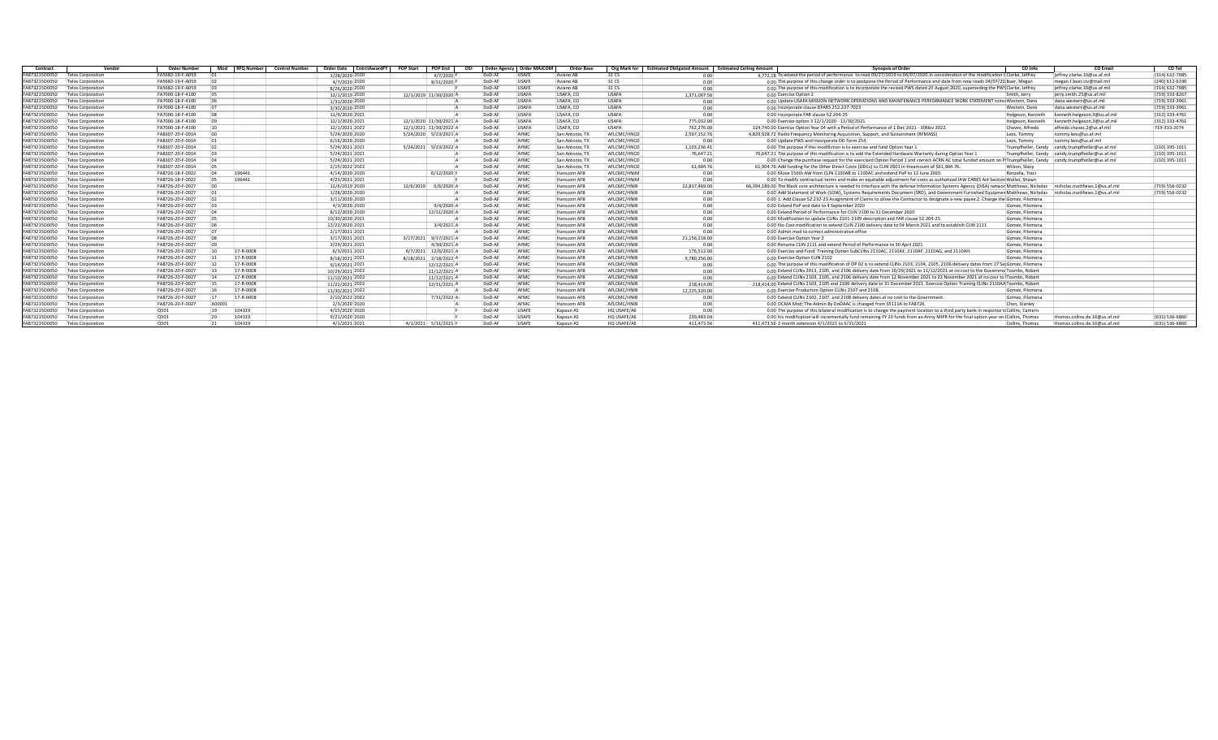| Contract      | Vendor                   | <b>Order Number</b> | Mod RFO Number | <b>Control Number</b> | <b>Order Date</b><br>CntrctAwardFY | <b>POP Start</b><br><b>POP End</b> | OSI    | Order Agency   Order MAJCOM | Order Bas          | Org Mark for | <b>Estimated Obligated Amount</b> | <b>Synopsis of Order</b><br><b>Estimated Ceiling Amount</b>                                                                                                                 | CO Info           | <b>CO Email</b>                                   | CO Tel         |
|---------------|--------------------------|---------------------|----------------|-----------------------|------------------------------------|------------------------------------|--------|-----------------------------|--------------------|--------------|-----------------------------------|-----------------------------------------------------------------------------------------------------------------------------------------------------------------------------|-------------------|---------------------------------------------------|----------------|
| FA873215D0050 | <b>Telos Corporation</b> | FA5682-19-F-A059    |                |                       | 1/28/2020 2020                     | 4/7/2020 F                         | DoD-AF | <b>USAFE</b>                | Aviano AB          | 31 CS        | 0.00                              | 4.772.18 To extend the period of performance to read 09/27/2019 to 04/07/2020. In consideration of the modification t Clarke, Jeffrey                                       |                   | ieffrey.clarke.10@us.af.mil                       | (314) 632-7985 |
| FA873215D0050 | <b>Telos Corporation</b> | FA5682-19-F-A059    |                |                       | 4/7/2020 2020                      | 8/31/2020 F                        | DoD-A  | USAFE                       | Aviano AF          | 31 CS        | 0.00                              | 0.00 The purpose of this change order is to postpone the Period of Performance end date from now reads 04/07/20 Baer, Megan                                                 |                   | megan.f.baer.civ@mail.mil                         | (240) 612-6190 |
| FA873215D0050 | <b>Telos Corporation</b> | FA5682-19-F-A059    |                |                       | 8/26/2020 2020                     |                                    | DoD-A  | USAFE                       | Aviano AR          | 31 CS        | 0.00                              | 0.00 The purpose of this modification is to incorporate the revised PWS dated 20 August 2020, superseding the PWS Clarke, Jeffrey                                           |                   | ieffrey.clarke.10@us.af.mil                       | (314) 632-7985 |
| FA873215D0050 | <b>Telos Corporation</b> | FA7000-18-F-4100    |                |                       | 12/1/2019 2020                     | 12/1/2019 11/30/2020               | DoD-A  | <b>USAFA</b>                | USAFA, CO          | <b>USAFA</b> | 1.371.067.56                      | 0.00 Exercise Option 2                                                                                                                                                      | Smith, Jerry      | jerry.smith.25@us.af.mil                          | (719) 333-8267 |
| FA873215D0050 | <b>Telos Corporation</b> | FA7000-18-F-4100    |                |                       | 1/31/2020 2020                     |                                    | DoD-A  | LISAFA                      | USAFA, CO          | <b>USAFA</b> | 0.00                              | 0.00 Update USAFA MISSION NETWORK OPERATIONS AND MAINTENANCE PERFORMANCE WORK STATEMENT toing Western, Dana                                                                 |                   | dana.western@us.af.mil                            | (719) 333-3961 |
| FA873215D0050 | <b>Telos Corporation</b> | FA7000-18-F-4100    |                |                       | 3/30/2020 2020                     |                                    | DoD-A  | <b>USAFA</b>                | USAFA, CO          | <b>USAFA</b> | 0.00                              | 0.00 Incorporate clause DFARS 252.237-7023                                                                                                                                  | Western, Dana     | dana.western@us.af.mil                            | (719) 333-3961 |
| FA873215D0050 | <b>Telos Corporation</b> | FA7000-18-F-4100    |                |                       | 11/9/2020 202:                     |                                    | DoD-A  | LISAFA                      | LISAFA CO          | <b>USAFA</b> | 0.00                              | 0.00 Incorporate FAR clause 52,204-25                                                                                                                                       | Helgeson, Kenneth | kenneth.helgeson.3@us.af.mil                      | (312) 333-4761 |
| FA873215D0050 | <b>Telos Corporation</b> | FA7000-18-F-4100    |                |                       | 12/1/2020 202:                     | 12/1/2020 11/30/2021               | DoD-AF | LISAFA                      | USAFA, CO          | <b>USAFA</b> | 775.032.00                        | 0.00 Exercise option 3 12/1/2020 - 11/30/2021                                                                                                                               | Helgeson, Kenneth | kenneth.helgeson.3@us.af.mil                      | (312) 333-4761 |
| FA873215D0050 | <b>Telos Corporation</b> | FA7000-18-F-4100    |                |                       | 12/1/2021 2022                     | 12/1/2021 11/30/2022 A             | DoD-AF | <b>USAFA</b>                | USAFA, CO          | <b>USAFA</b> | 762.276.00                        | 124,740.00 Exercise Option Year 04 with a Period of Performance of 1 Dec 2021 - 30Nov 2022.                                                                                 | Chavez, Alfredo   | alfredo.chavez.2@us.af.mil                        | 719-333-2074   |
| FA873215D0050 | <b>Telos Corporation</b> | FA8307-20-F-0014    |                |                       | 5/24/2020 2020                     | 5/24/2020 5/23/2021 A              | DoD-AF | AFMC                        | San Antonio. 7     | AFLCMC/HNCD  | 2.597.152.76                      | 4,829,928.72 Radio Frequency Monitoring Acquisition, Support, and Sustainment (RFMASS)                                                                                      | Leos. Tommy       | tommy.leos@us.af.mil                              |                |
| FA873215D0050 | <b>Telos Corporation</b> | FA8307-20-F-0014    |                |                       | 6/16/2020 2020                     |                                    | DoD-AF | AFMC                        | San Antonio, T.    | AFLCMC/HNCD  | 0.00                              | 0.00 Update PWS and incorporate DD Form 254.                                                                                                                                | Leos. Tommy       | tommy.leos@us.af.mil                              |                |
| FA873215D0050 | <b>Telos Corporation</b> | FA8307-20-F-0014    |                |                       | 5/24/2021 2021                     | 5/24/2021 5/23/2022                | DoD-A  | AFMC                        | San Antonio. T     | AFLCMC/HNCD  | 1.103.236.41                      | 0.00 The purpose if this modifiction is to exercise and fund Option Year 1                                                                                                  |                   | Trumpfheller. Candy candy.trumpfheller@us.af.mil  | (210) 395-1011 |
| FA873215D0050 | <b>Telos Corporation</b> | FA8307-20-F-0014    |                |                       | 5/24/2021 2021                     |                                    | DoD-AF | AFMC                        | San Antonio, T.    | AFLCMC/HNCD  | 76.647.21                         | 76.647.21 The purpose of this modification is to add the Extended Hardware Warranty during Option Year 1                                                                    |                   | Trumpfheller, Candy candy, trumpfheller@us.af.mil | (210) 395-1011 |
| FA873215D0050 | <b>Telos Corporation</b> | FA8307-20-F-0014    |                |                       | 5/24/2021 202:                     |                                    | DoD-A  | AFMC                        | San Antonio. T.    | AFLCMC/HNCD  | 0.00                              | 0.00 Change the purchase request for the exercised Option Period 1 and correct ACRN AC total funded amount on P(Trumpfheller, Candy candy.trumpfheller@us.af.mil            |                   |                                                   | (210) 395-1011 |
| FA873215D0050 | <b>Telos Corporation</b> | FA8307-20-F-0014    |                |                       | 2/15/2022 202:                     |                                    | DoD-Al | AFMC                        | San Antonio. T.    | AFLCMC/HNCD  | 61.904.76                         | 61.904.76 Add funding for the Other Direct Costs (ODCs) to CLIN 2601 in theamount of \$61.904.76.                                                                           | Wilson, Stacy     |                                                   |                |
| FA873215D0050 | <b>Telos Corporation</b> | FA8726-18-F-0022    | 196441         |                       | 4/14/2020 2020                     | 6/12/2020                          | DoD-A  | AFMC                        | <b>Hanscom AFR</b> | AFLCMC/HNIM  | 0.00                              | 0.00 Move 156th AW from CLIN 1100AB to 1100AC and extend PoP to 12 June 2020                                                                                                | Renzella, Traci   |                                                   |                |
| FA873215D0050 | <b>Telos Corporation</b> | FA8726-18-F-0022    | 196441         |                       | 4/23/2021 2021                     |                                    | DoD-A  | AFMO                        | <b>Hanscom AFR</b> | AFLCMC/HNIM  | 0 <sub>0</sub>                    | 0.00 To modify contractual terms and make an equitable adjustment for costs as authorized IAW CARES Act Section Walles, Shawr                                               |                   |                                                   |                |
| FA873215D0050 | <b>Telos Corporation</b> | FA8726-20-F-0027    |                |                       | 12/6/2019 202                      | 12/6/2019<br>6/6/2020              | DoD-AF | AFMO                        | Hanscom AFB        | AFLCMC/HNIB  | 22.837.469.00                     | 66,394,189.00 The Black core architecture is needed to interface with the defense Information Systems Agency (DISA) networ Matthews, Nicholas nicholas matthews.1@us.af.mil |                   |                                                   | (719) 556-0232 |
| FA873215D0050 | <b>Telos Corporation</b> | FA8726-20-F-0027    |                |                       | 1/28/2020 2020                     |                                    | DoD-A  | AFMC                        | Hanscom AFB        | AFLCMC/HNIB  | 0.00                              | 0.00 Add Statement of Work (SOW), Systems Requirements Document (SRD), and Government Furnished Equipmen Matthews, Nicholas nicholas.matthews.1@us.af.mil                   |                   |                                                   | (719) 556-0232 |
| FA873215D0050 | <b>Telos Corporation</b> | FA8726-20-F-0027    |                |                       | 3/11/2020 2020                     |                                    | DoD-Al | AFMC                        | Hanscom AFR        | AFLCMC/HNIB  | 0.00                              | 0.00 1. Add Clause 52.232-23 Assignment of Claims to allow the Contractor to designate a new payee.2. Change the Gomez, Filomena                                            |                   |                                                   |                |
| FA873215D0050 | <b>Telos Corporation</b> | FA8726-20-F-0027    |                |                       | 4/3/2020 2020                      | 9/4/2020                           | DoD-A  | AFMC                        | Hanscom AFB        | AFLCMC/HNIB  | 0.00                              | 0.00 Extend PoP end date to 4 September 2020                                                                                                                                | Gomez, Filomena   |                                                   |                |
| FA873215D0050 | <b>Telos Corporation</b> | FA8726-20-F-0027    |                |                       | 8/12/2020 2020                     | 12/31/2020 A                       | DoD-A  | AFMO                        | <b>Hanscom AFR</b> | AFLCMC/HNIB  | 0.00                              | 0.00 Extend Period of Performance for CLIN 2100 to 31 December 2020                                                                                                         | Gomez, Filomena   |                                                   |                |
| FA873215D0050 | <b>Telos Corporation</b> | FA8726-20-F-0027    |                |                       | 10/30/2020 202:                    |                                    | DoD-A  | AFMC                        | Hanscom AFR        | AFLCMC/HNIB  | 0.00                              | 0.00 Modification to update CLINs 2101-2109 description and FAR clause 52.204-25                                                                                            | Gomez, Filomena   |                                                   |                |
| FA873215D0050 | <b>Telos Corporation</b> | FA8726-20-F-0027    |                |                       | 12/22/2020 202:                    | 3/4/2021                           | DoD-A  | AFMC                        | Hanscom AFB        | AFLCMC/HNIB  | 0.00                              | 0.00 No-Cost modification to extend CLIN 2100 delivery date to 04 March 2021 and to establish CLIN 2111                                                                     | Gomez, Filomena   |                                                   |                |
| FA873215D0050 | <b>Telos Corporation</b> | FA8726-20-F-0027    |                |                       | 2/17/2021 202:                     |                                    | DoD-A  | AFMC                        | Hanscom AFP        | AFLCMC/HNIB  | 0.00                              | 0.00 Admin mod to correct administrative office                                                                                                                             | Gomez, Filomena   |                                                   |                |
| FA873215D0050 | <b>Telos Corporation</b> | FA8726-20-F-0027    |                |                       | 3/17/2021 202:                     | 3/17/2021 9/17/2021                | DoD-A  | AFMC                        | Hanscom AFB        | AFLCMC/HNIB  | 21.156.218.00                     | 0.00 Exercise Option Year 2                                                                                                                                                 | Gomez, Filomena   |                                                   |                |
| FA873215D0050 | <b>Telos Corporation</b> | FA8726-20-F-0027    |                |                       | 3/29/2021 2021                     | 4/30/2021                          | DoD-AF | AFMC                        | Hanscom AFB        | AFLCMC/HNIB  | 0.0                               | 0.00 Rename CLIN 2111 and extend Period of Performance to 30 April 2021.                                                                                                    | Gomez, Filomena   |                                                   |                |
| FA873215D0050 | <b>Telos Corporation</b> | FA8726-20-F-0027    | 17-R-0008      |                       | 6/3/2021 202:                      | 6/7/2021 12/6/2021                 | DoD-A  | AFMO                        | Hanscom AFB        | AFLCMC/HNIB  | 176.512.00                        | 0.00 Exercise and Fund Training Option SubCLINs 2110AC, 2110AE, 2110AF, 2110AG, and 2110AH.                                                                                 | Gomez, Filomena   |                                                   |                |
| FA873215D0050 | <b>Telos Corporation</b> | FA8726-20-F-0027    | 17-R-0008      |                       | 8/18/2021 202:                     | 8/18/2021 2/18/2022 A              | DoD-A  | AFMC                        | Hanscom AFB        | AFLCMC/HNIB  | 9.780.256.00                      | 0.00 Exercise Option CLIN 2102                                                                                                                                              | Gomez, Filomena   |                                                   |                |
| FA873215D0050 | Telos Corporation        | FA8726-20-F-0027    | 17-R-0008      |                       | 9/14/2021 2021                     | 12/12/2021 A                       | DoD-A  | AFMC                        | <b>Hanscom AFR</b> | AFLCMC/HNIB  | 0.00                              | 0.00 The purpose of this modification of OP 02 is to extend CLINs 2103, 2104, 2105, 2106 delivery dates from 17 Set Gomez, Filomena                                         |                   |                                                   |                |
| FA873215D0050 | <b>Telos Corporation</b> | FA8726-20-F-0027    | 17-R-0008      |                       | 10/29/2021 2023                    | 11/12/2021 A                       | DoD-A  | AFMC                        | Hanscom AFB        | AFLCMC/HNIB  | 0.00                              | 0.00 Extend CLINs 2013, 2105, and 2106 delivery date from 10/29/2021 to 11/12/2021 at no cost to the Governma Toombs, Robert                                                |                   |                                                   |                |
| FA873215D0050 | <b>Telos Corporation</b> | FA8726-20-F-0027    | 17-R-0008      |                       | 11/10/2021 2022                    | 11/12/2021                         | DoD-A  | AFMC                        | Hanscom AFB        | AFLCMC/HNIB  | 0.00                              | 0.00 Extend CLINs 2103, 2105, and 2106 delivery date from 12 November 2021 to 22 November 2021 at no cost to Toombs, Robert                                                 |                   |                                                   |                |
| FA873215D0050 | <b>Felos Corporation</b> | FA8726-20-F-0027    | 17-R-0008      |                       | 11/22/2021 2022                    | 12/31/2021 A                       | DoD-A  | AFMC                        | Hanscom AFB        | AFLCMC/HNIB  | 218,414.00                        | 218,414.00 Extend CLINs 2103, 2105 and 2106 delivery date to 31 December 2021. Exercise Option Training CLINs 2110AA Toombs, Robert                                         |                   |                                                   |                |
| FA873215D0050 | <b>Telos Corporation</b> | FA8726-20-F-0027    | 17-R-0008      |                       | 11/30/2021 2022                    |                                    | DoD-A  | AFMC                        | Hanscom AFB        | AFLCMC/HNIB  | 12.225.320.00                     | 0.00 Exercise Production Option CLINs 2107 and 2108                                                                                                                         | Gomez, Filomena   |                                                   |                |
| FA873215D0050 | <b>Telos Corporation</b> | FA8726-20-F-0027    | 17-R-0008      |                       | 2/10/2022 202:                     | 7/31/2022                          | DoD-A  | AFMC                        | Hanscom AFR        | AFLCMC/HNIB  | 0.00                              | 0.00 Extend CLINs 2102, 2107, and 2108 delivery dates at no cost to the Government                                                                                          | Gomez, Eilomena   |                                                   |                |
| FA873215D0050 | <b>Telos Corporation</b> | FA8726-20-F-0027    | A0000          |                       | 2/3/2020 2020                      |                                    | DoD-A  | AFMC                        | Hanscom AFR        | AFLCMC/HNIB  | 0.00                              | 0.00 DCMA Mod: The Admin By DoDAAC is changed from S5111A to FA8726                                                                                                         | Chan, Stanley     |                                                   |                |
| FA873215D0050 | <b>Telos Corporation</b> | 0501                | 104319         |                       | 4/15/2020 2020                     |                                    | DoD-A  | USAFE                       | Kapaun AS          | HO USAFE/A6  | 0.00                              | 0.00 The purpose of this bilateral modification is to change the payment location to a third party bank in response to Collins, Camern                                      |                   |                                                   |                |
| FA873215D0050 | <b>Telos Corporation</b> | Q501                | 104319         |                       | 9/21/2020 202                      |                                    | DoD-A  | USAFI                       | Kapaun AS          | HO USAFE/A6  | 239.483.04                        | 0.00 his modification will incrementally fund remaining FY 20 funds from an Army MIPR for the final option year on (Collins, Thomas                                         |                   | thomas.collins.de.16@us.af.mil                    | (631) 536-6860 |
| FA873215D0050 | Telos Corporation        | 0501                | 104319         |                       | 4/1/2021 202:                      | 4/1/2021 5/31/2021                 | DoD-AF | LISAFF                      | Kanaun AS          | HO USAFE/A6  | 411.473.56                        | 411.473.56 2 month extension 4/1/2021 to 5/31/2021                                                                                                                          | Collins, Thomas   | thomas.collins.de.16@us.af.mil                    | (631) 536-6860 |